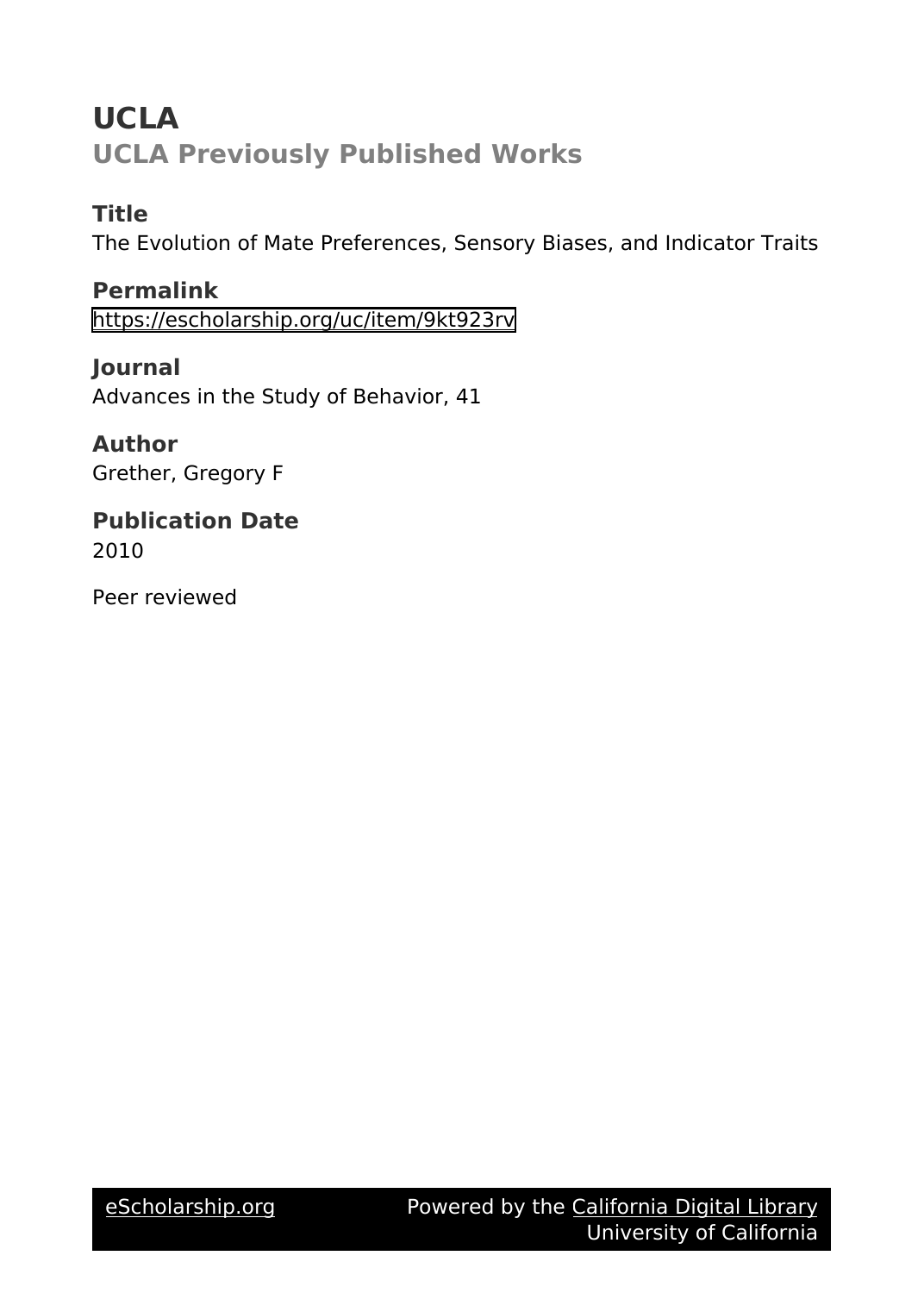# **UCLA UCLA Previously Published Works**

## **Title**

The Evolution of Mate Preferences, Sensory Biases, and Indicator Traits

**Permalink** <https://escholarship.org/uc/item/9kt923rv>

**Journal** Advances in the Study of Behavior, 41

**Author** Grether, Gregory F

## **Publication Date** 2010

Peer reviewed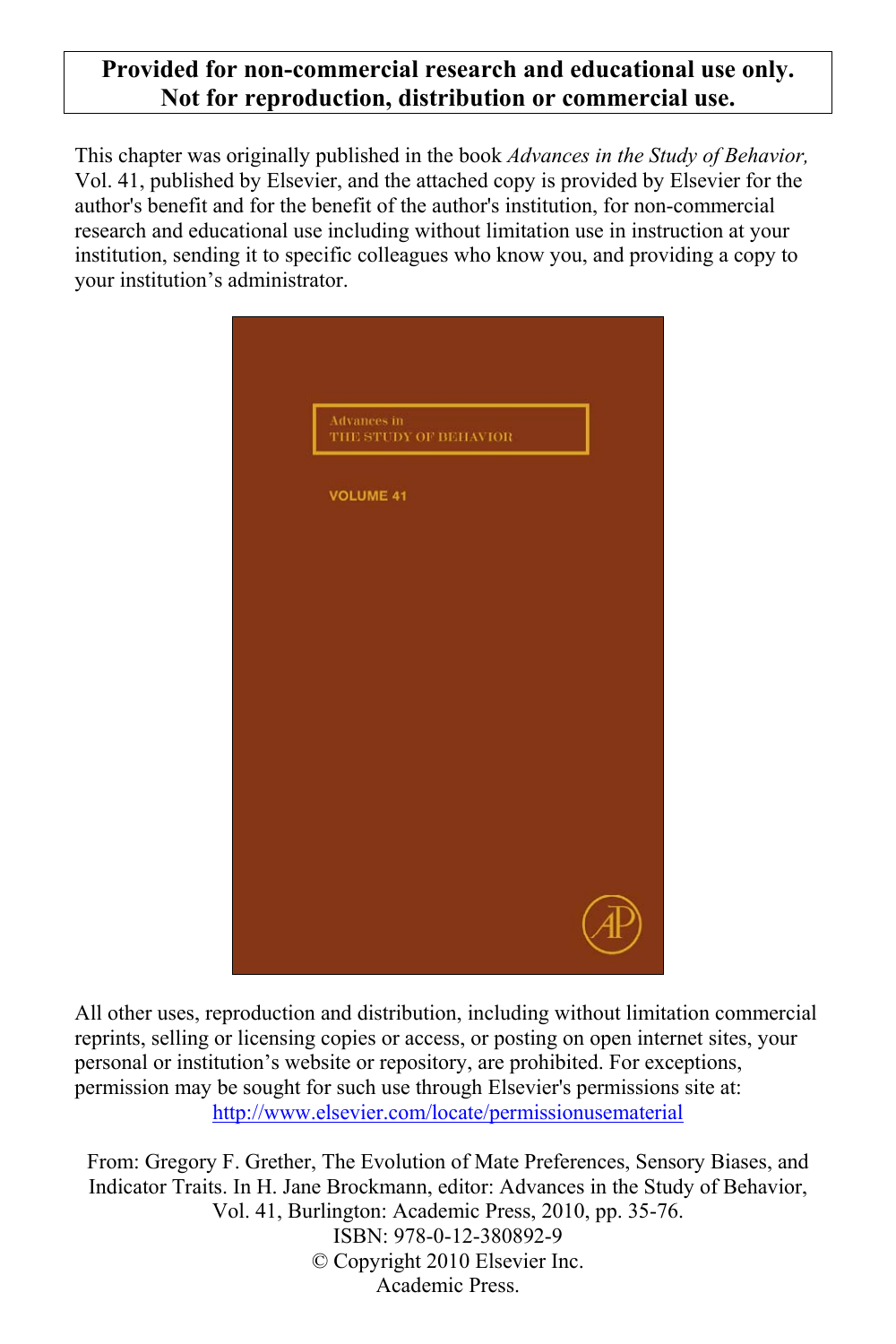## **Provided for non-commercial research and educational use only. Not for reproduction, distribution or commercial use.**

This chapter was originally published in the book *Advances in the Study of Behavior,*  Vol. 41, published by Elsevier, and the attached copy is provided by Elsevier for the author's benefit and for the benefit of the author's institution, for non-commercial research and educational use including without limitation use in instruction at your institution, sending it to specific colleagues who know you, and providing a copy to your institution's administrator.



All other uses, reproduction and distribution, including without limitation commercial reprints, selling or licensing copies or access, or posting on open internet sites, your personal or institution's website or repository, are prohibited. For exceptions, permission may be sought for such use through Elsevier's permissions site at: http://www.elsevier.com/locate/permissionusematerial

From: Gregory F. Grether, The Evolution of Mate Preferences, Sensory Biases, and Indicator Traits. In H. Jane Brockmann, editor: Advances in the Study of Behavior, Vol. 41, Burlington: Academic Press, 2010, pp. 35-76. ISBN: 978-0-12-380892-9 © Copyright 2010 Elsevier Inc. Academic Press.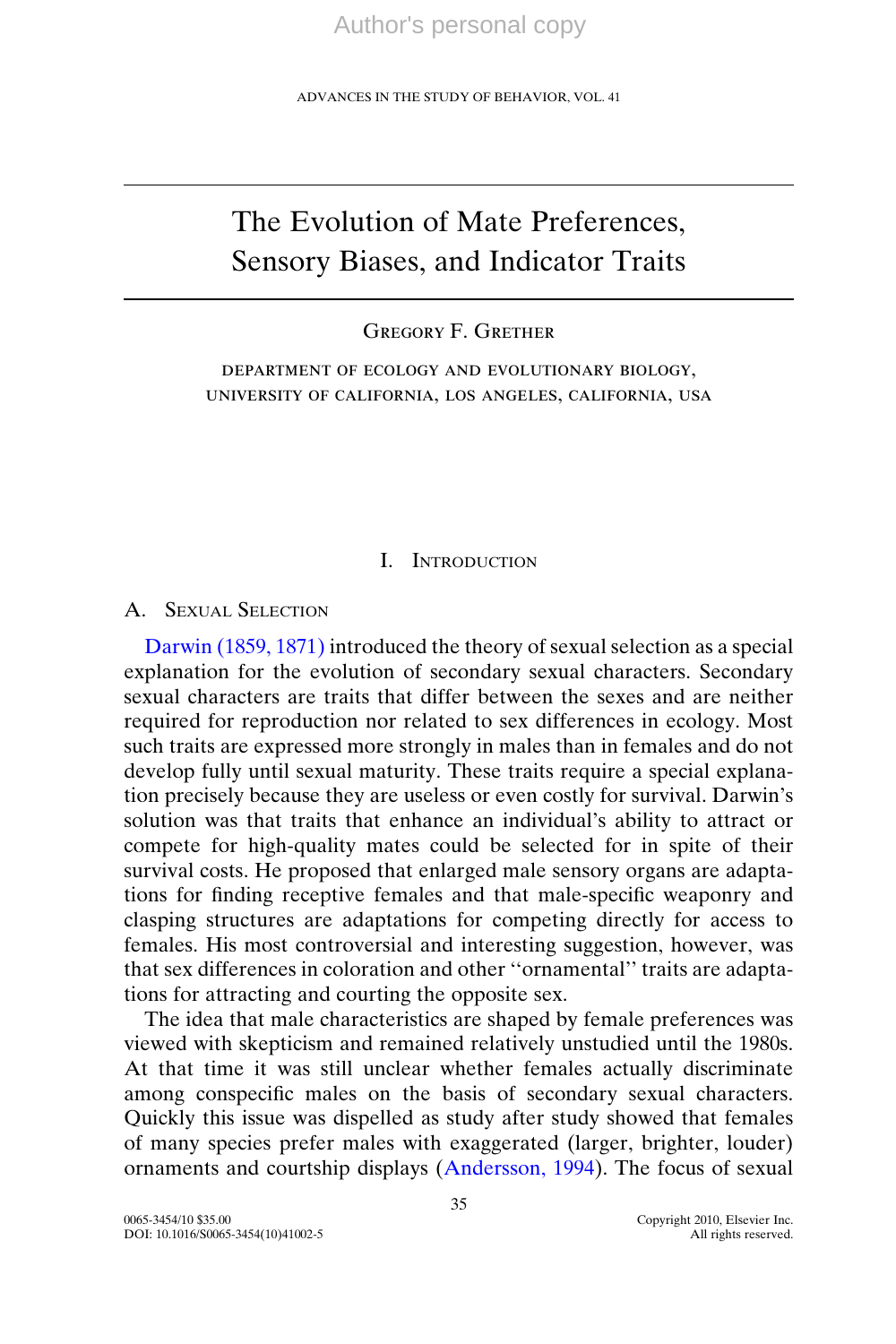ADVANCES IN THE STUDY OF BEHAVIOR, VOL. 41

## The Evolution of Mate Preferences, Sensory Biases, and Indicator Traits

## Gregory F. Grether

department of ecology and evolutionary biology, university of california, los angeles, california, usa

## I. INTRODUCTION

## A. SEXUAL SELECTION

Darwin (1859, 1871) introduced the theory of sexual selection as a special explanation for the evolution of secondary sexual characters. Secondary sexual characters are traits that differ between the sexes and are neither required for reproduction nor related to sex differences in ecology. Most such traits are expressed more strongly in males than in females and do not develop fully until sexual maturity. These traits require a special explanation precisely because they are useless or even costly for survival. Darwin's solution was that traits that enhance an individual's ability to attract or compete for high-quality mates could be selected for in spite of their survival costs. He proposed that enlarged male sensory organs are adaptations for finding receptive females and that male-specific weaponry and clasping structures are adaptations for competing directly for access to females. His most controversial and interesting suggestion, however, was that sex differences in coloration and other ''ornamental'' traits are adaptations for attracting and courting the opposite sex.

The idea that male characteristics are shaped by female preferences was viewed with skepticism and remained relatively unstudied until the 1980s. At that time it was still unclear whether females actually discriminate among conspecific males on the basis of secondary sexual characters. Quickly this issue was dispelled as study after study showed that females of many species prefer males with exaggerated (larger, brighter, louder) ornaments and courtship displays (Andersson, 1994). The focus of sexual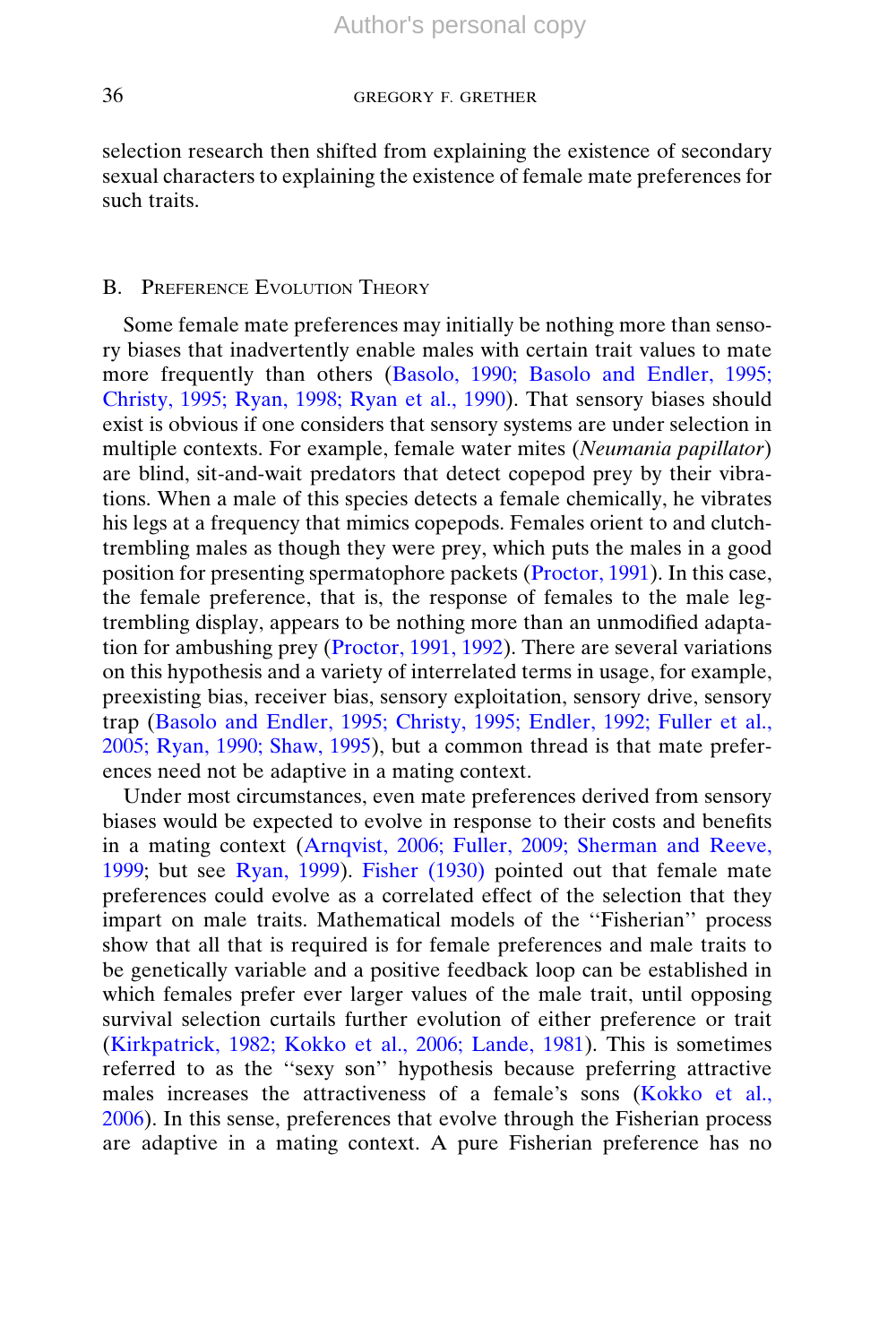selection research then shifted from explaining the existence of secondary sexual characters to explaining the existence of female mate preferences for such traits.

## B. PREFERENCE EVOLUTION THEORY

Some female mate preferences may initially be nothing more than sensory biases that inadvertently enable males with certain trait values to mate more frequently than others (Basolo, 1990; Basolo and Endler, 1995; Christy, 1995; Ryan, 1998; Ryan et al., 1990). That sensory biases should exist is obvious if one considers that sensory systems are under selection in multiple contexts. For example, female water mites (Neumania papillator) are blind, sit-and-wait predators that detect copepod prey by their vibrations. When a male of this species detects a female chemically, he vibrates his legs at a frequency that mimics copepods. Females orient to and clutchtrembling males as though they were prey, which puts the males in a good position for presenting spermatophore packets (Proctor, 1991). In this case, the female preference, that is, the response of females to the male legtrembling display, appears to be nothing more than an unmodified adaptation for ambushing prey (Proctor, 1991, 1992). There are several variations on this hypothesis and a variety of interrelated terms in usage, for example, preexisting bias, receiver bias, sensory exploitation, sensory drive, sensory trap (Basolo and Endler, 1995; Christy, 1995; Endler, 1992; Fuller et al., 2005; Ryan, 1990; Shaw, 1995), but a common thread is that mate preferences need not be adaptive in a mating context.

Under most circumstances, even mate preferences derived from sensory biases would be expected to evolve in response to their costs and benefits in a mating context (Arnqvist, 2006; Fuller, 2009; Sherman and Reeve, 1999; but see Ryan, 1999). Fisher (1930) pointed out that female mate preferences could evolve as a correlated effect of the selection that they impart on male traits. Mathematical models of the ''Fisherian'' process show that all that is required is for female preferences and male traits to be genetically variable and a positive feedback loop can be established in which females prefer ever larger values of the male trait, until opposing survival selection curtails further evolution of either preference or trait (Kirkpatrick, 1982; Kokko et al., 2006; Lande, 1981). This is sometimes referred to as the ''sexy son'' hypothesis because preferring attractive males increases the attractiveness of a female's sons (Kokko et al., 2006). In this sense, preferences that evolve through the Fisherian process are adaptive in a mating context. A pure Fisherian preference has no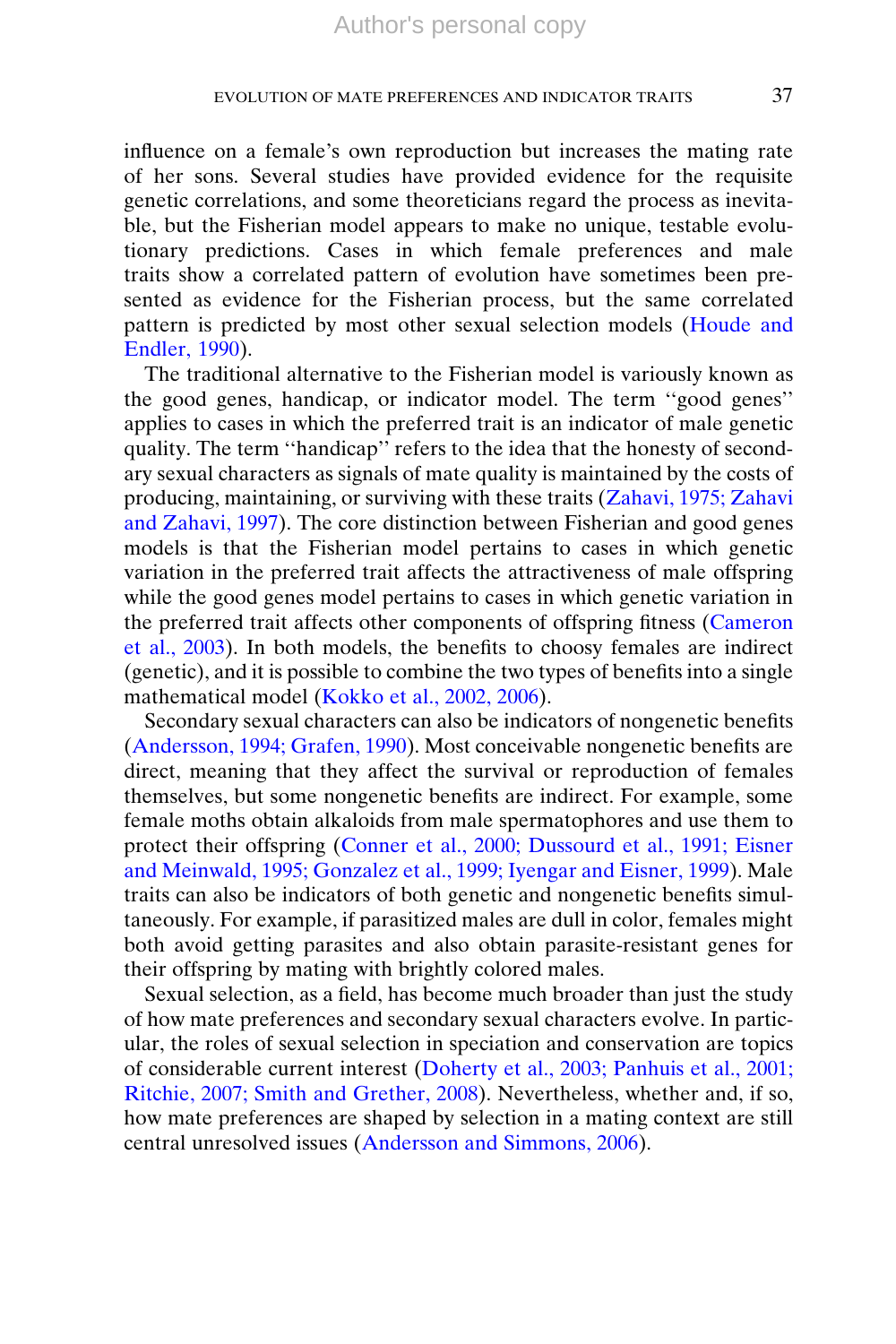influence on a female's own reproduction but increases the mating rate of her sons. Several studies have provided evidence for the requisite genetic correlations, and some theoreticians regard the process as inevitable, but the Fisherian model appears to make no unique, testable evolutionary predictions. Cases in which female preferences and male traits show a correlated pattern of evolution have sometimes been presented as evidence for the Fisherian process, but the same correlated pattern is predicted by most other sexual selection models (Houde and Endler, 1990).

The traditional alternative to the Fisherian model is variously known as the good genes, handicap, or indicator model. The term ''good genes'' applies to cases in which the preferred trait is an indicator of male genetic quality. The term ''handicap'' refers to the idea that the honesty of secondary sexual characters as signals of mate quality is maintained by the costs of producing, maintaining, or surviving with these traits (Zahavi, 1975; Zahavi and Zahavi, 1997). The core distinction between Fisherian and good genes models is that the Fisherian model pertains to cases in which genetic variation in the preferred trait affects the attractiveness of male offspring while the good genes model pertains to cases in which genetic variation in the preferred trait affects other components of offspring fitness (Cameron et al., 2003). In both models, the benefits to choosy females are indirect (genetic), and it is possible to combine the two types of benefits into a single mathematical model (Kokko et al., 2002, 2006).

Secondary sexual characters can also be indicators of nongenetic benefits (Andersson, 1994; Grafen, 1990). Most conceivable nongenetic benefits are direct, meaning that they affect the survival or reproduction of females themselves, but some nongenetic benefits are indirect. For example, some female moths obtain alkaloids from male spermatophores and use them to protect their offspring (Conner et al., 2000; Dussourd et al., 1991; Eisner and Meinwald, 1995; Gonzalez et al., 1999; Iyengar and Eisner, 1999). Male traits can also be indicators of both genetic and nongenetic benefits simultaneously. For example, if parasitized males are dull in color, females might both avoid getting parasites and also obtain parasite-resistant genes for their offspring by mating with brightly colored males.

Sexual selection, as a field, has become much broader than just the study of how mate preferences and secondary sexual characters evolve. In particular, the roles of sexual selection in speciation and conservation are topics of considerable current interest (Doherty et al., 2003; Panhuis et al., 2001; Ritchie, 2007; Smith and Grether, 2008). Nevertheless, whether and, if so, how mate preferences are shaped by selection in a mating context are still central unresolved issues (Andersson and Simmons, 2006).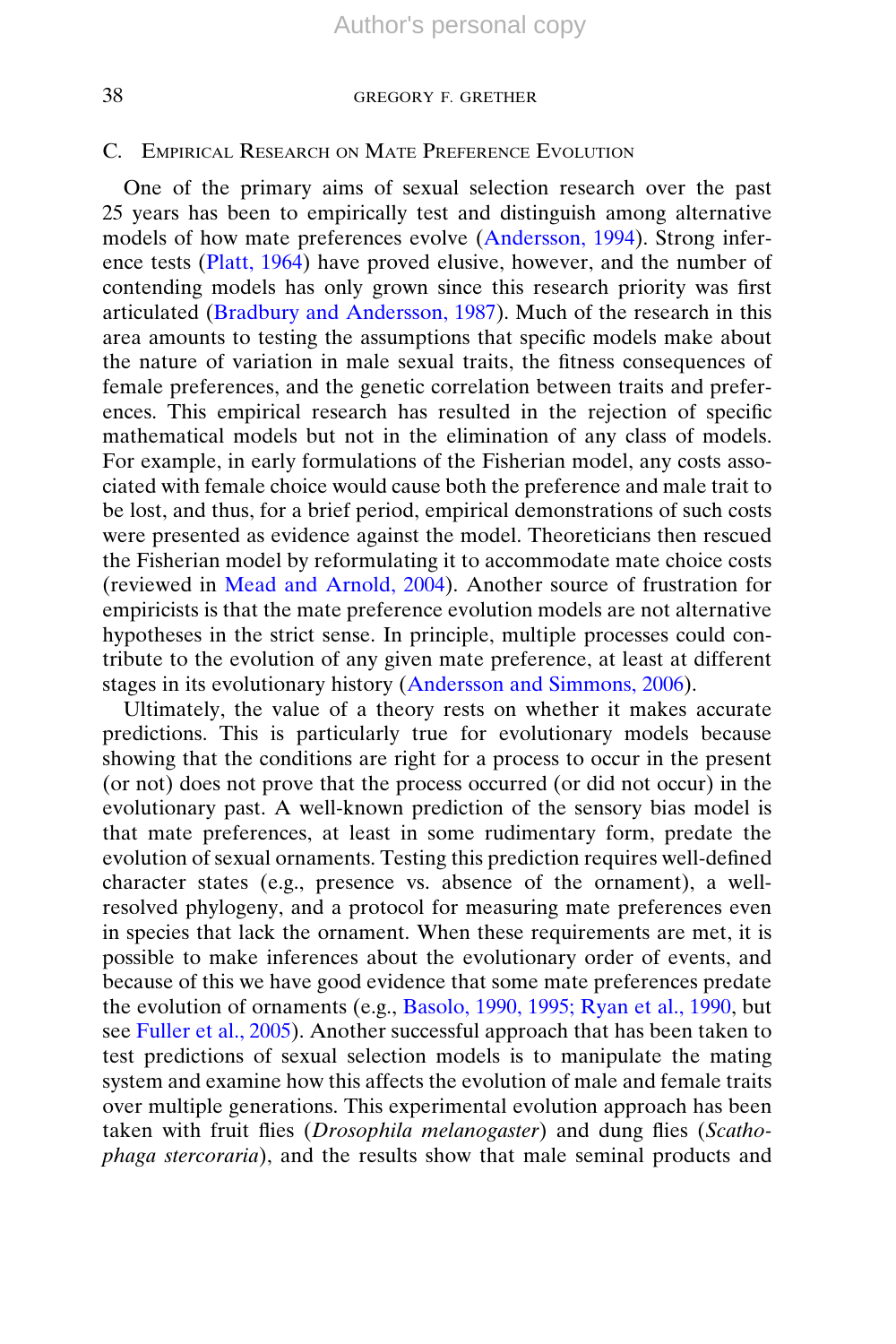## C. EMPIRICAL RESEARCH ON MATE PREFERENCE EVOLUTION

One of the primary aims of sexual selection research over the past 25 years has been to empirically test and distinguish among alternative models of how mate preferences evolve (Andersson, 1994). Strong inference tests (Platt, 1964) have proved elusive, however, and the number of contending models has only grown since this research priority was first articulated (Bradbury and Andersson, 1987). Much of the research in this area amounts to testing the assumptions that specific models make about the nature of variation in male sexual traits, the fitness consequences of female preferences, and the genetic correlation between traits and preferences. This empirical research has resulted in the rejection of specific mathematical models but not in the elimination of any class of models. For example, in early formulations of the Fisherian model, any costs associated with female choice would cause both the preference and male trait to be lost, and thus, for a brief period, empirical demonstrations of such costs were presented as evidence against the model. Theoreticians then rescued the Fisherian model by reformulating it to accommodate mate choice costs (reviewed in Mead and Arnold, 2004). Another source of frustration for empiricists is that the mate preference evolution models are not alternative hypotheses in the strict sense. In principle, multiple processes could contribute to the evolution of any given mate preference, at least at different stages in its evolutionary history (Andersson and Simmons, 2006).

Ultimately, the value of a theory rests on whether it makes accurate predictions. This is particularly true for evolutionary models because showing that the conditions are right for a process to occur in the present (or not) does not prove that the process occurred (or did not occur) in the evolutionary past. A well-known prediction of the sensory bias model is that mate preferences, at least in some rudimentary form, predate the evolution of sexual ornaments. Testing this prediction requires well-defined character states (e.g., presence vs. absence of the ornament), a wellresolved phylogeny, and a protocol for measuring mate preferences even in species that lack the ornament. When these requirements are met, it is possible to make inferences about the evolutionary order of events, and because of this we have good evidence that some mate preferences predate the evolution of ornaments (e.g., Basolo, 1990, 1995; Ryan et al., 1990, but see Fuller et al., 2005). Another successful approach that has been taken to test predictions of sexual selection models is to manipulate the mating system and examine how this affects the evolution of male and female traits over multiple generations. This experimental evolution approach has been taken with fruit flies (Drosophila melanogaster) and dung flies (Scathophaga stercoraria), and the results show that male seminal products and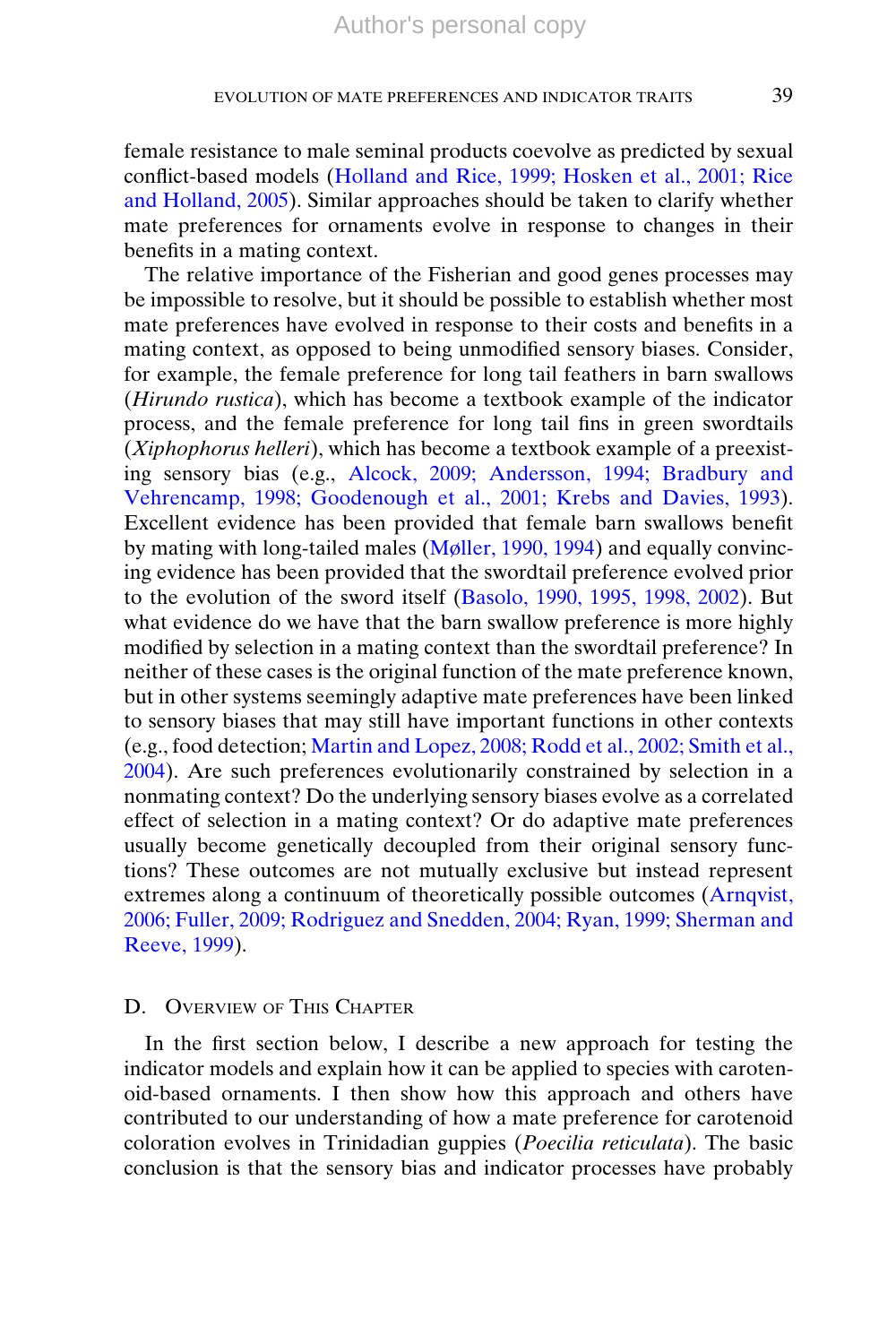female resistance to male seminal products coevolve as predicted by sexual conflict-based models (Holland and Rice, 1999; Hosken et al., 2001; Rice and Holland, 2005). Similar approaches should be taken to clarify whether mate preferences for ornaments evolve in response to changes in their benefits in a mating context.

The relative importance of the Fisherian and good genes processes may be impossible to resolve, but it should be possible to establish whether most mate preferences have evolved in response to their costs and benefits in a mating context, as opposed to being unmodified sensory biases. Consider, for example, the female preference for long tail feathers in barn swallows (Hirundo rustica), which has become a textbook example of the indicator process, and the female preference for long tail fins in green swordtails (Xiphophorus helleri), which has become a textbook example of a preexisting sensory bias (e.g., Alcock, 2009; Andersson, 1994; Bradbury and Vehrencamp, 1998; Goodenough et al., 2001; Krebs and Davies, 1993). Excellent evidence has been provided that female barn swallows benefit by mating with long-tailed males (Møller, 1990, 1994) and equally convincing evidence has been provided that the swordtail preference evolved prior to the evolution of the sword itself (Basolo, 1990, 1995, 1998, 2002). But what evidence do we have that the barn swallow preference is more highly modified by selection in a mating context than the swordtail preference? In neither of these cases is the original function of the mate preference known, but in other systems seemingly adaptive mate preferences have been linked to sensory biases that may still have important functions in other contexts (e.g., food detection; Martin and Lopez, 2008; Rodd et al., 2002; Smith et al., 2004). Are such preferences evolutionarily constrained by selection in a nonmating context? Do the underlying sensory biases evolve as a correlated effect of selection in a mating context? Or do adaptive mate preferences usually become genetically decoupled from their original sensory functions? These outcomes are not mutually exclusive but instead represent extremes along a continuum of theoretically possible outcomes (Arnqvist, 2006; Fuller, 2009; Rodriguez and Snedden, 2004; Ryan, 1999; Sherman and Reeve, 1999).

## D. OVERVIEW OF THIS CHAPTER

In the first section below, I describe a new approach for testing the indicator models and explain how it can be applied to species with carotenoid-based ornaments. I then show how this approach and others have contributed to our understanding of how a mate preference for carotenoid coloration evolves in Trinidadian guppies (Poecilia reticulata). The basic conclusion is that the sensory bias and indicator processes have probably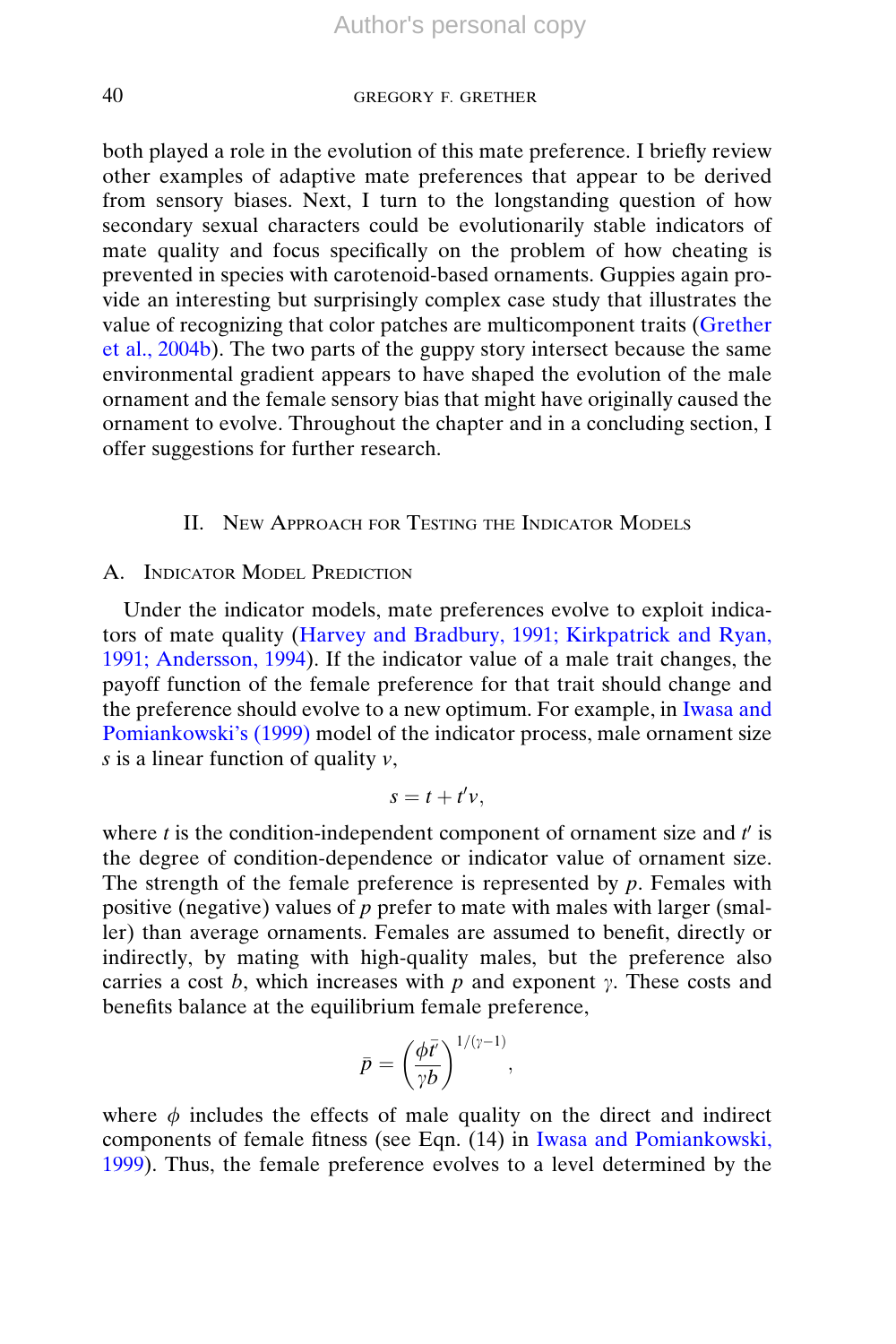both played a role in the evolution of this mate preference. I briefly review other examples of adaptive mate preferences that appear to be derived from sensory biases. Next, I turn to the longstanding question of how secondary sexual characters could be evolutionarily stable indicators of mate quality and focus specifically on the problem of how cheating is prevented in species with carotenoid-based ornaments. Guppies again provide an interesting but surprisingly complex case study that illustrates the value of recognizing that color patches are multicomponent traits (Grether et al., 2004b). The two parts of the guppy story intersect because the same environmental gradient appears to have shaped the evolution of the male ornament and the female sensory bias that might have originally caused the ornament to evolve. Throughout the chapter and in a concluding section, I offer suggestions for further research.

## II. NEW APPROACH FOR TESTING THE INDICATOR MODELS

## A. INDICATOR MODEL PREDICTION

Under the indicator models, mate preferences evolve to exploit indicators of mate quality (Harvey and Bradbury, 1991; Kirkpatrick and Ryan, 1991; Andersson, 1994). If the indicator value of a male trait changes, the payoff function of the female preference for that trait should change and the preference should evolve to a new optimum. For example, in Iwasa and Pomiankowski's (1999) model of the indicator process, male ornament size s is a linear function of quality  $\nu$ ,

$$
s=t+t'\nu,
$$

where  $t$  is the condition-independent component of ornament size and  $t'$  is the degree of condition-dependence or indicator value of ornament size. The strength of the female preference is represented by  $p$ . Females with positive (negative) values of p prefer to mate with males with larger (smaller) than average ornaments. Females are assumed to benefit, directly or indirectly, by mating with high-quality males, but the preference also carries a cost b, which increases with  $p$  and exponent  $\gamma$ . These costs and benefits balance at the equilibrium female preference,

$$
\bar{p} = \left(\frac{\phi\bar{t'}}{\gamma b}\right)^{1/(\gamma-1)},
$$

where  $\phi$  includes the effects of male quality on the direct and indirect components of female fitness (see Eqn. (14) in Iwasa and Pomiankowski, 1999). Thus, the female preference evolves to a level determined by the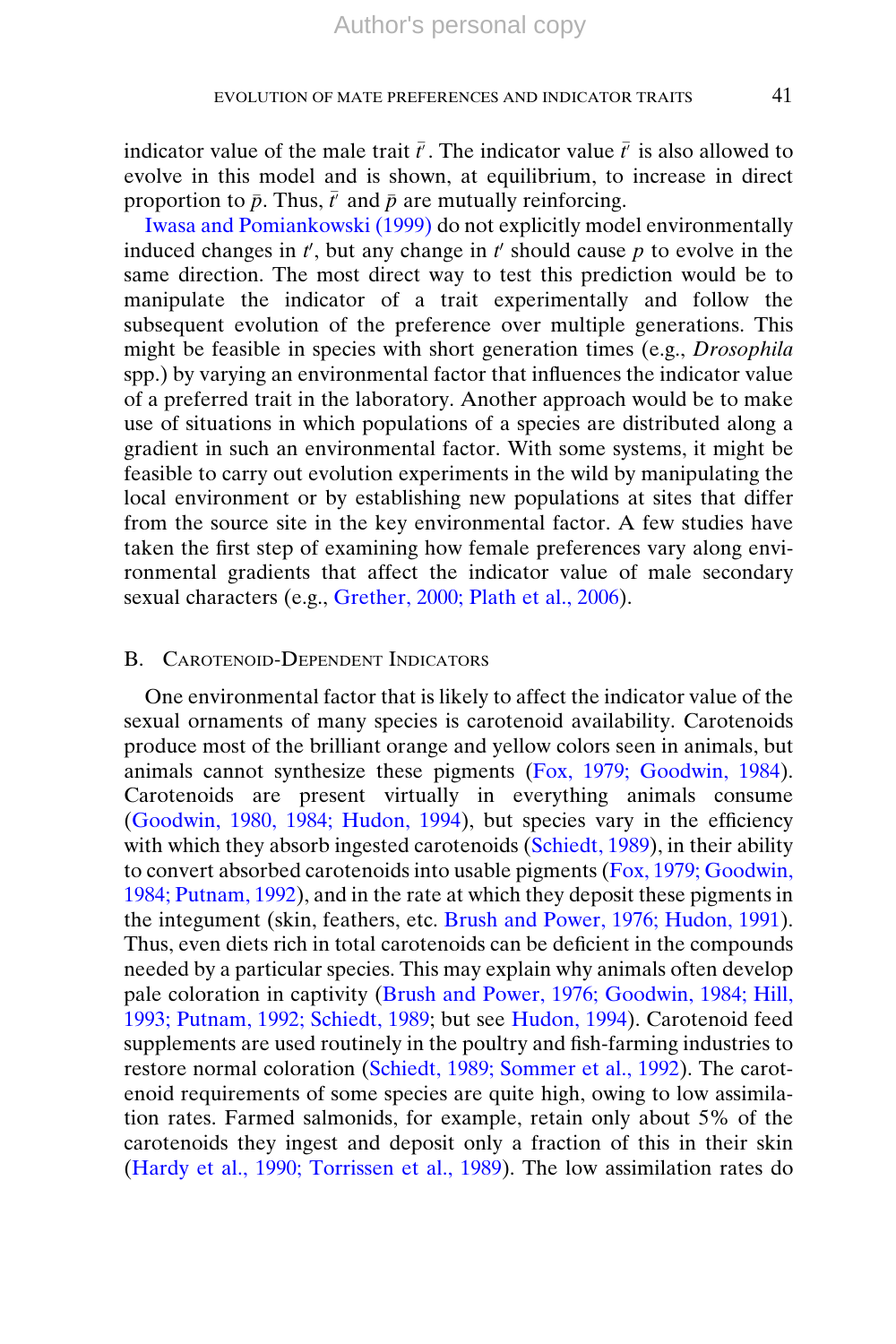indicator value of the male trait  $\bar{t}$ . The indicator value  $\bar{t}$  is also allowed to evolve in this model and is shown, at equilibrium, to increase in direct proportion to  $\bar{p}$ . Thus,  $\bar{t}'$  and  $\bar{p}$  are mutually reinforcing.

Iwasa and Pomiankowski (1999) do not explicitly model environmentally induced changes in  $t'$ , but any change in  $t'$  should cause  $p$  to evolve in the same direction. The most direct way to test this prediction would be to manipulate the indicator of a trait experimentally and follow the subsequent evolution of the preference over multiple generations. This might be feasible in species with short generation times (e.g., Drosophila spp.) by varying an environmental factor that influences the indicator value of a preferred trait in the laboratory. Another approach would be to make use of situations in which populations of a species are distributed along a gradient in such an environmental factor. With some systems, it might be feasible to carry out evolution experiments in the wild by manipulating the local environment or by establishing new populations at sites that differ from the source site in the key environmental factor. A few studies have taken the first step of examining how female preferences vary along environmental gradients that affect the indicator value of male secondary sexual characters (e.g., Grether, 2000; Plath et al., 2006).

## B. CAROTENOID-DEPENDENT INDICATORS

One environmental factor that is likely to affect the indicator value of the sexual ornaments of many species is carotenoid availability. Carotenoids produce most of the brilliant orange and yellow colors seen in animals, but animals cannot synthesize these pigments (Fox, 1979; Goodwin, 1984). Carotenoids are present virtually in everything animals consume (Goodwin, 1980, 1984; Hudon, 1994), but species vary in the efficiency with which they absorb ingested carotenoids (Schiedt, 1989), in their ability to convert absorbed carotenoids into usable pigments (Fox, 1979; Goodwin, 1984; Putnam, 1992), and in the rate at which they deposit these pigments in the integument (skin, feathers, etc. Brush and Power, 1976; Hudon, 1991). Thus, even diets rich in total carotenoids can be deficient in the compounds needed by a particular species. This may explain why animals often develop pale coloration in captivity (Brush and Power, 1976; Goodwin, 1984; Hill, 1993; Putnam, 1992; Schiedt, 1989; but see Hudon, 1994). Carotenoid feed supplements are used routinely in the poultry and fish-farming industries to restore normal coloration (Schiedt, 1989; Sommer et al., 1992). The carotenoid requirements of some species are quite high, owing to low assimilation rates. Farmed salmonids, for example, retain only about 5% of the carotenoids they ingest and deposit only a fraction of this in their skin (Hardy et al., 1990; Torrissen et al., 1989). The low assimilation rates do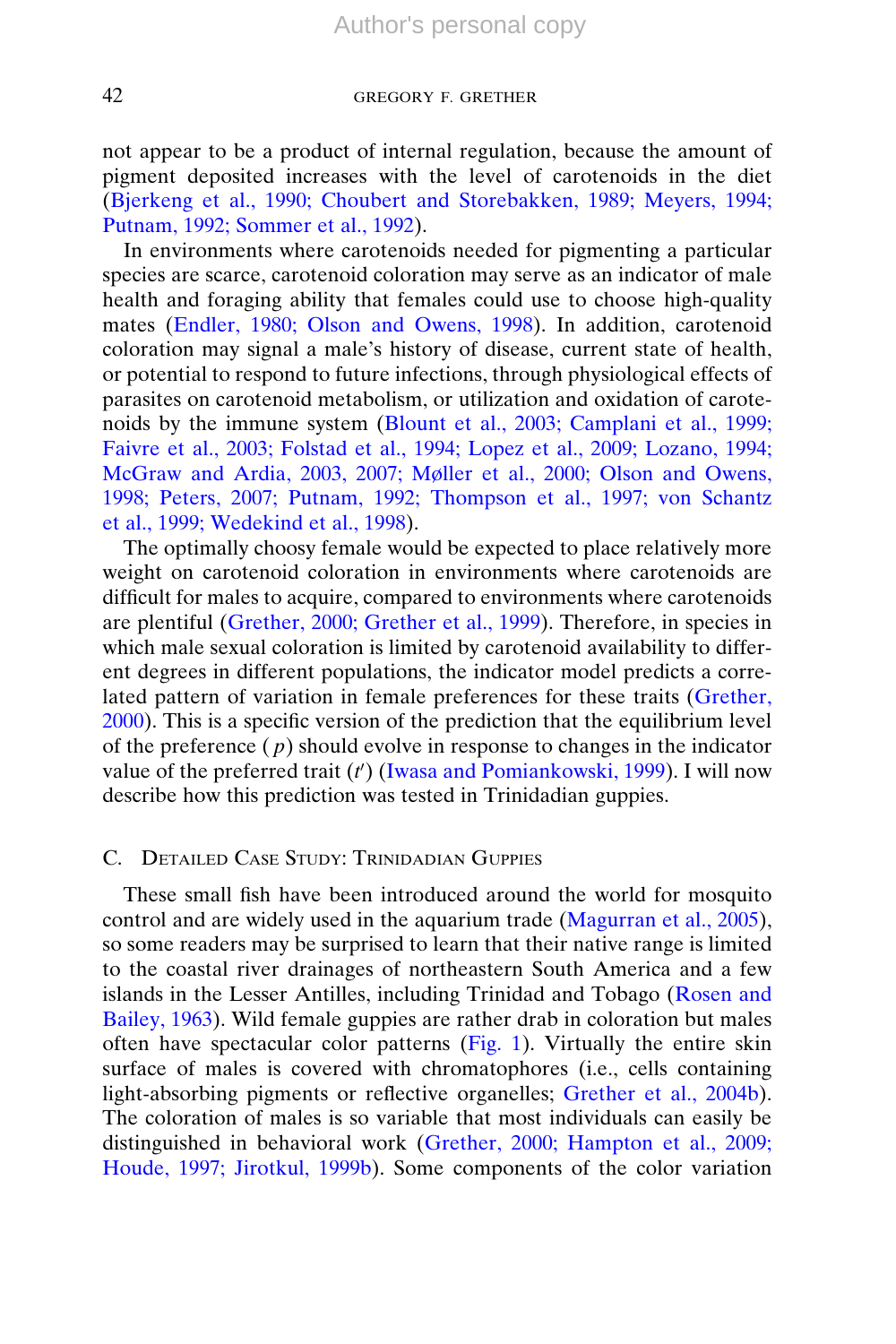not appear to be a product of internal regulation, because the amount of pigment deposited increases with the level of carotenoids in the diet (Bjerkeng et al., 1990; Choubert and Storebakken, 1989; Meyers, 1994; Putnam, 1992; Sommer et al., 1992).

In environments where carotenoids needed for pigmenting a particular species are scarce, carotenoid coloration may serve as an indicator of male health and foraging ability that females could use to choose high-quality mates (Endler, 1980; Olson and Owens, 1998). In addition, carotenoid coloration may signal a male's history of disease, current state of health, or potential to respond to future infections, through physiological effects of parasites on carotenoid metabolism, or utilization and oxidation of carotenoids by the immune system (Blount et al., 2003; Camplani et al., 1999; Faivre et al., 2003; Folstad et al., 1994; Lopez et al., 2009; Lozano, 1994; McGraw and Ardia, 2003, 2007; Møller et al., 2000; Olson and Owens, 1998; Peters, 2007; Putnam, 1992; Thompson et al., 1997; von Schantz et al., 1999; Wedekind et al., 1998).

The optimally choosy female would be expected to place relatively more weight on carotenoid coloration in environments where carotenoids are difficult for males to acquire, compared to environments where carotenoids are plentiful (Grether, 2000; Grether et al., 1999). Therefore, in species in which male sexual coloration is limited by carotenoid availability to different degrees in different populations, the indicator model predicts a correlated pattern of variation in female preferences for these traits (Grether, 2000). This is a specific version of the prediction that the equilibrium level of the preference  $(p)$  should evolve in response to changes in the indicator value of the preferred trait (*t'*) (Iwasa and Pomiankowski, 1999). I will now describe how this prediction was tested in Trinidadian guppies.

## C. DETAILED CASE STUDY: TRINIDADIAN GUPPIES

These small fish have been introduced around the world for mosquito control and are widely used in the aquarium trade (Magurran et al., 2005), so some readers may be surprised to learn that their native range is limited to the coastal river drainages of northeastern South America and a few islands in the Lesser Antilles, including Trinidad and Tobago (Rosen and Bailey, 1963). Wild female guppies are rather drab in coloration but males often have spectacular color patterns [\(Fig. 1](#page-10-0)). Virtually the entire skin surface of males is covered with chromatophores (i.e., cells containing light-absorbing pigments or reflective organelles; Grether et al., 2004b). The coloration of males is so variable that most individuals can easily be distinguished in behavioral work (Grether, 2000; Hampton et al., 2009; Houde, 1997; Jirotkul, 1999b). Some components of the color variation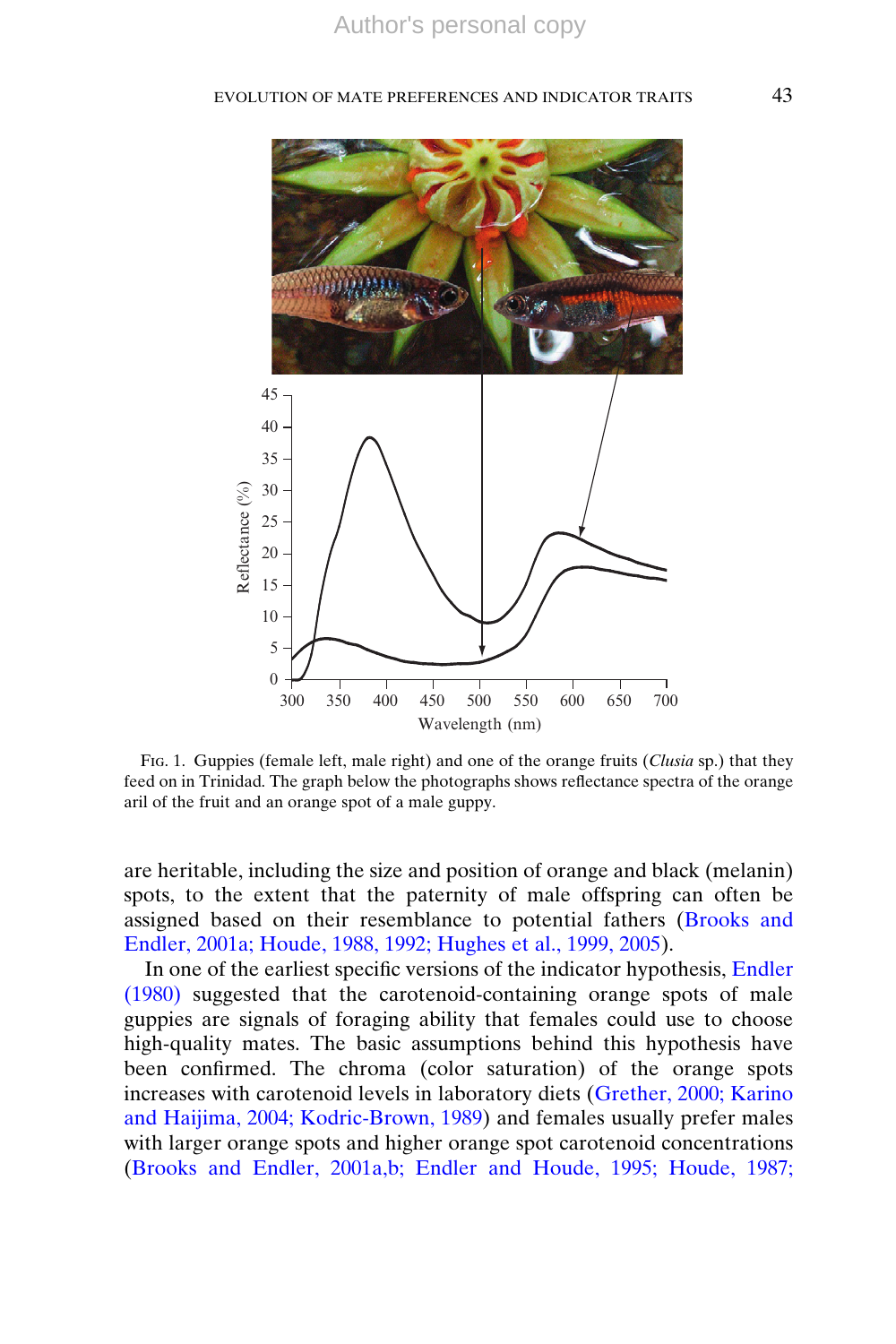<span id="page-10-0"></span>

Fig. 1. Guppies (female left, male right) and one of the orange fruits (*Clusia* sp.) that they feed on in Trinidad. The graph below the photographs shows reflectance spectra of the orange aril of the fruit and an orange spot of a male guppy.

are heritable, including the size and position of orange and black (melanin) spots, to the extent that the paternity of male offspring can often be assigned based on their resemblance to potential fathers (Brooks and Endler, 2001a; Houde, 1988, 1992; Hughes et al., 1999, 2005).

In one of the earliest specific versions of the indicator hypothesis, Endler (1980) suggested that the carotenoid-containing orange spots of male guppies are signals of foraging ability that females could use to choose high-quality mates. The basic assumptions behind this hypothesis have been confirmed. The chroma (color saturation) of the orange spots increases with carotenoid levels in laboratory diets (Grether, 2000; Karino and Haijima, 2004; Kodric-Brown, 1989) and females usually prefer males with larger orange spots and higher orange spot carotenoid concentrations (Brooks and Endler, 2001a,b; Endler and Houde, 1995; Houde, 1987;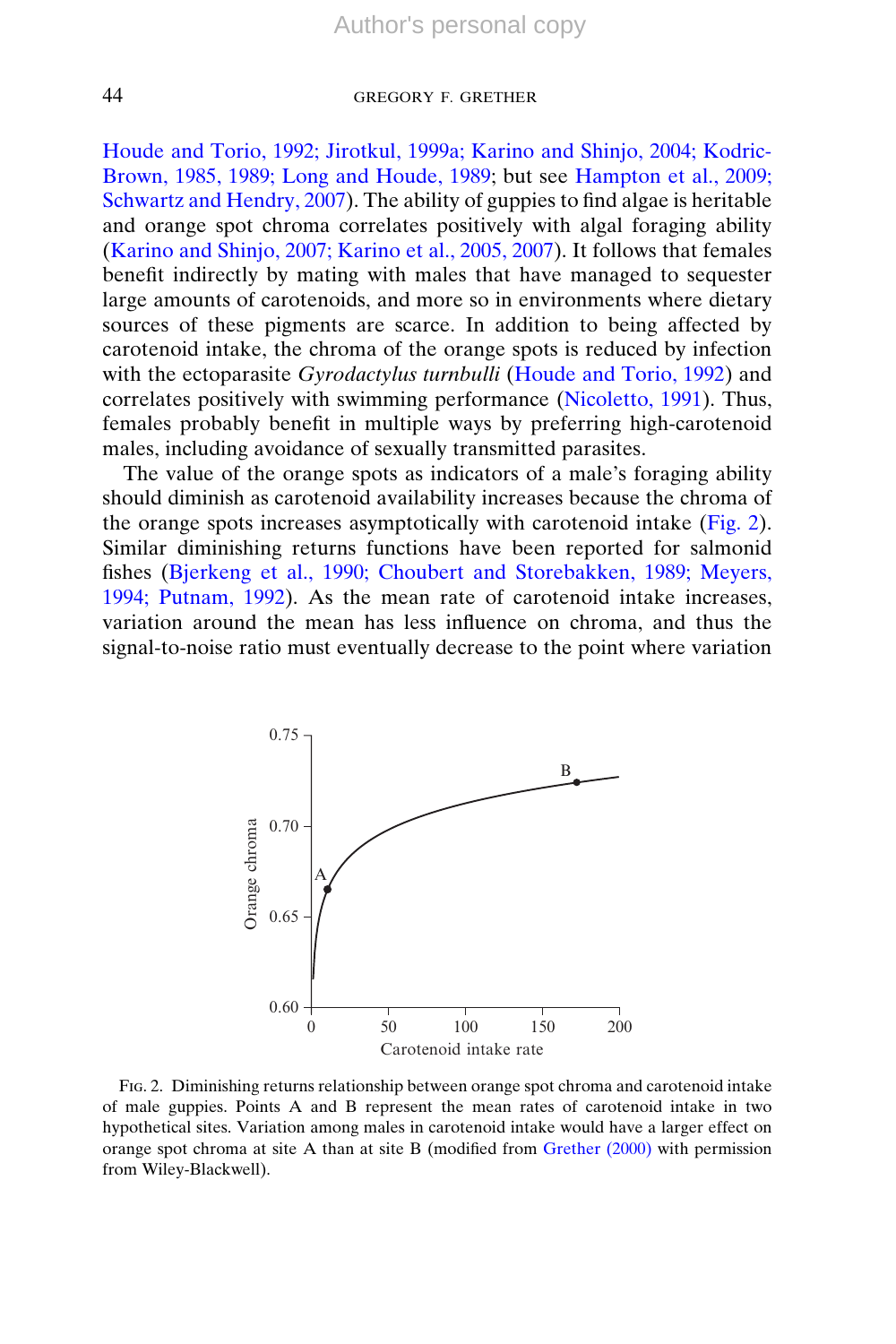Houde and Torio, 1992; Jirotkul, 1999a; Karino and Shinjo, 2004; Kodric-Brown, 1985, 1989; Long and Houde, 1989; but see Hampton et al., 2009; Schwartz and Hendry, 2007). The ability of guppies to find algae is heritable and orange spot chroma correlates positively with algal foraging ability (Karino and Shinjo, 2007; Karino et al., 2005, 2007). It follows that females benefit indirectly by mating with males that have managed to sequester large amounts of carotenoids, and more so in environments where dietary sources of these pigments are scarce. In addition to being affected by carotenoid intake, the chroma of the orange spots is reduced by infection with the ectoparasite *Gyrodactylus turnbulli* (Houde and Torio, 1992) and correlates positively with swimming performance (Nicoletto, 1991). Thus, females probably benefit in multiple ways by preferring high-carotenoid males, including avoidance of sexually transmitted parasites.

The value of the orange spots as indicators of a male's foraging ability should diminish as carotenoid availability increases because the chroma of the orange spots increases asymptotically with carotenoid intake (Fig. 2). Similar diminishing returns functions have been reported for salmonid fishes (Bjerkeng et al., 1990; Choubert and Storebakken, 1989; Meyers, 1994; Putnam, 1992). As the mean rate of carotenoid intake increases, variation around the mean has less influence on chroma, and thus the signal-to-noise ratio must eventually decrease to the point where variation



Fig. 2. Diminishing returns relationship between orange spot chroma and carotenoid intake of male guppies. Points A and B represent the mean rates of carotenoid intake in two hypothetical sites. Variation among males in carotenoid intake would have a larger effect on orange spot chroma at site A than at site B (modified from Grether (2000) with permission from Wiley-Blackwell).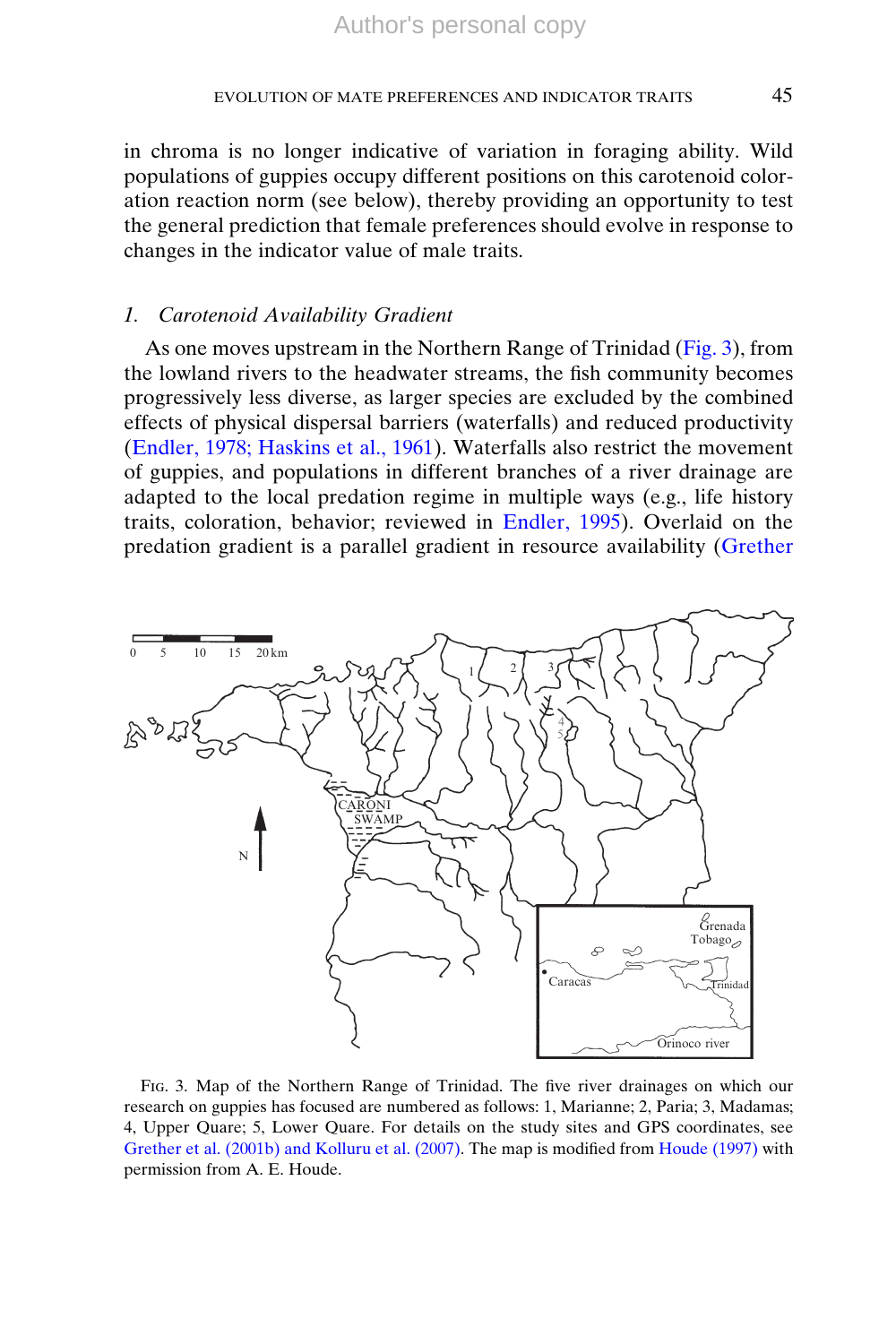in chroma is no longer indicative of variation in foraging ability. Wild populations of guppies occupy different positions on this carotenoid coloration reaction norm (see below), thereby providing an opportunity to test the general prediction that female preferences should evolve in response to changes in the indicator value of male traits.

## 1. Carotenoid Availability Gradient

As one moves upstream in the Northern Range of Trinidad (Fig. 3), from the lowland rivers to the headwater streams, the fish community becomes progressively less diverse, as larger species are excluded by the combined effects of physical dispersal barriers (waterfalls) and reduced productivity (Endler, 1978; Haskins et al., 1961). Waterfalls also restrict the movement of guppies, and populations in different branches of a river drainage are adapted to the local predation regime in multiple ways (e.g., life history traits, coloration, behavior; reviewed in Endler, 1995). Overlaid on the predation gradient is a parallel gradient in resource availability (Grether



Fig. 3. Map of the Northern Range of Trinidad. The five river drainages on which our research on guppies has focused are numbered as follows: 1, Marianne; 2, Paria; 3, Madamas; 4, Upper Quare; 5, Lower Quare. For details on the study sites and GPS coordinates, see Grether et al. (2001b) and Kolluru et al. (2007). The map is modified from Houde (1997) with permission from A. E. Houde.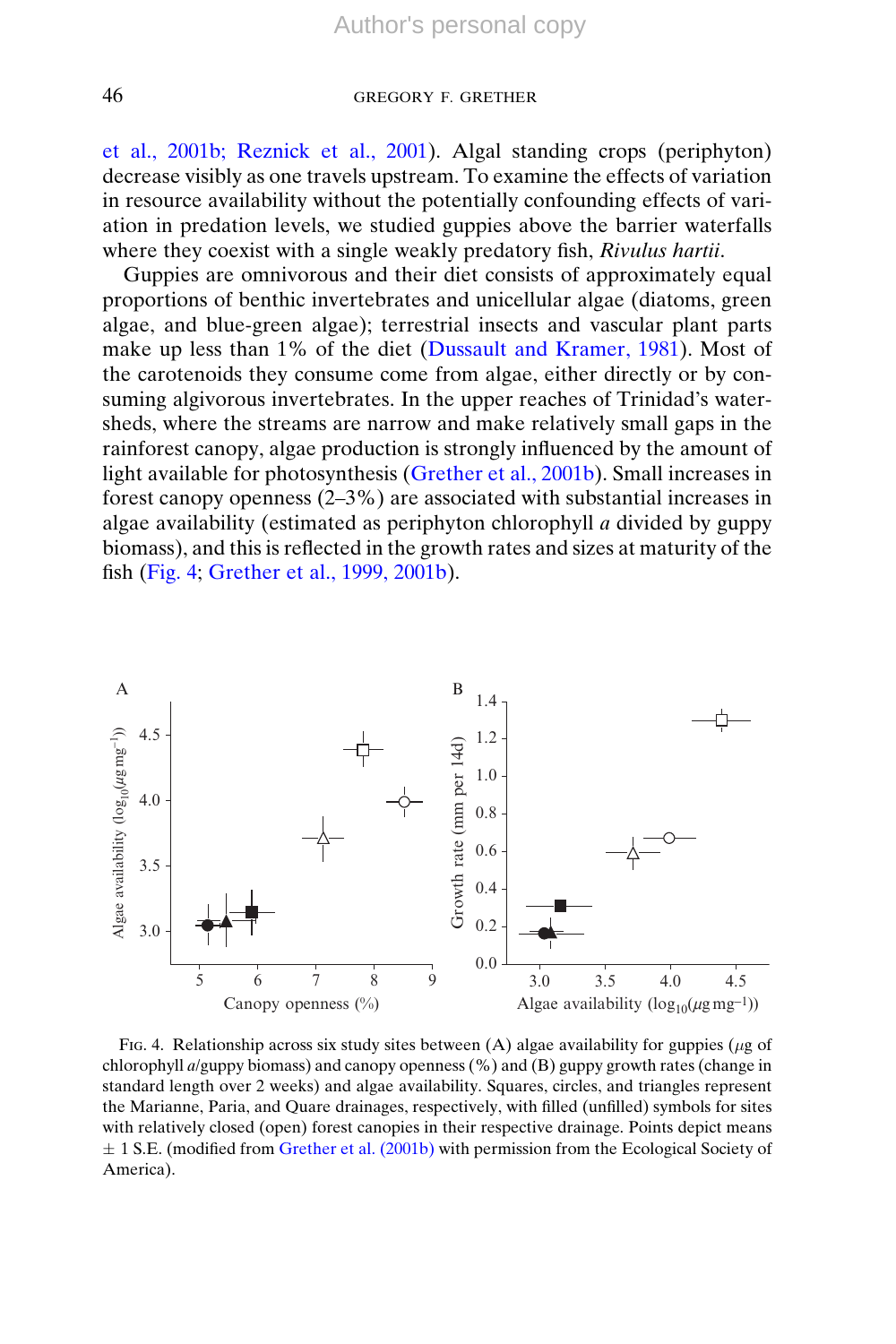et al., 2001b; Reznick et al., 2001). Algal standing crops (periphyton) decrease visibly as one travels upstream. To examine the effects of variation in resource availability without the potentially confounding effects of variation in predation levels, we studied guppies above the barrier waterfalls where they coexist with a single weakly predatory fish, Rivulus hartii.

Guppies are omnivorous and their diet consists of approximately equal proportions of benthic invertebrates and unicellular algae (diatoms, green algae, and blue-green algae); terrestrial insects and vascular plant parts make up less than 1% of the diet (Dussault and Kramer, 1981). Most of the carotenoids they consume come from algae, either directly or by consuming algivorous invertebrates. In the upper reaches of Trinidad's watersheds, where the streams are narrow and make relatively small gaps in the rainforest canopy, algae production is strongly influenced by the amount of light available for photosynthesis (Grether et al., 2001b). Small increases in forest canopy openness (2–3%) are associated with substantial increases in algae availability (estimated as periphyton chlorophyll  $a$  divided by guppy biomass), and this is reflected in the growth rates and sizes at maturity of the fish (Fig. 4; Grether et al., 1999, 2001b).



FIG. 4. Relationship across six study sites between  $(A)$  algae availability for guppies ( $\mu$ g of chlorophyll a/guppy biomass) and canopy openness (%) and (B) guppy growth rates (change in standard length over 2 weeks) and algae availability. Squares, circles, and triangles represent the Marianne, Paria, and Quare drainages, respectively, with filled (unfilled) symbols for sites with relatively closed (open) forest canopies in their respective drainage. Points depict means  $\pm$  1 S.E. (modified from Grether et al. (2001b) with permission from the Ecological Society of America).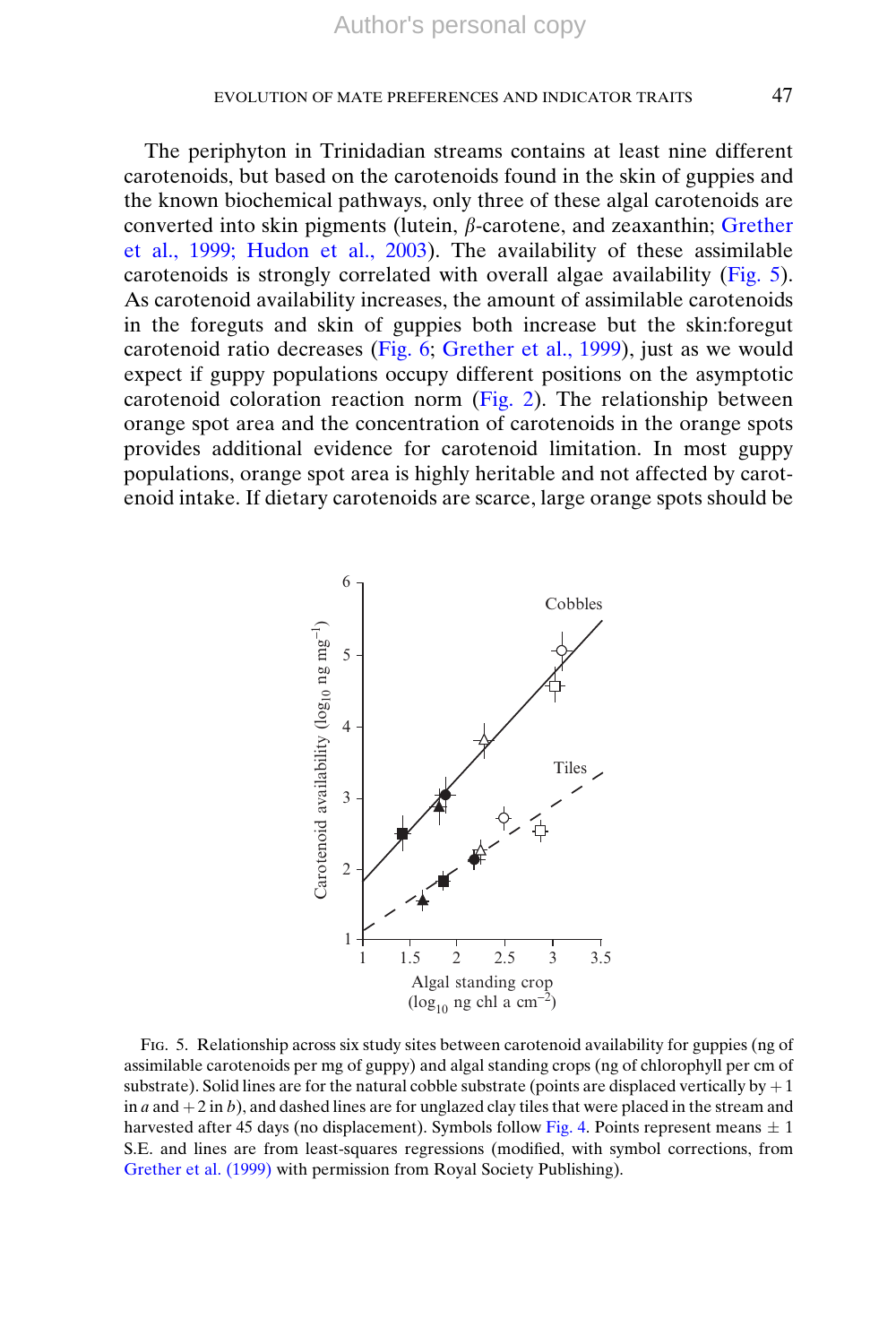The periphyton in Trinidadian streams contains at least nine different carotenoids, but based on the carotenoids found in the skin of guppies and the known biochemical pathways, only three of these algal carotenoids are converted into skin pigments (lutein,  $\beta$ -carotene, and zeaxanthin; Grether et al., 1999; Hudon et al., 2003). The availability of these assimilable carotenoids is strongly correlated with overall algae availability (Fig. 5). As carotenoid availability increases, the amount of assimilable carotenoids in the foreguts and skin of guppies both increase but the skin:foregut carotenoid ratio decreases (Fig. 6; Grether et al., 1999), just as we would expect if guppy populations occupy different positions on the asymptotic carotenoid coloration reaction norm (Fig. 2). The relationship between orange spot area and the concentration of carotenoids in the orange spots provides additional evidence for carotenoid limitation. In most guppy populations, orange spot area is highly heritable and not affected by carotenoid intake. If dietary carotenoids are scarce, large orange spots should be



Fig. 5. Relationship across six study sites between carotenoid availability for guppies (ng of assimilable carotenoids per mg of guppy) and algal standing crops (ng of chlorophyll per cm of substrate). Solid lines are for the natural cobble substrate (points are displaced vertically by  $+1$ in a and  $+2$  in b), and dashed lines are for unglazed clay tiles that were placed in the stream and harvested after 45 days (no displacement). Symbols follow Fig. 4. Points represent means  $\pm 1$ S.E. and lines are from least-squares regressions (modified, with symbol corrections, from Grether et al. (1999) with permission from Royal Society Publishing).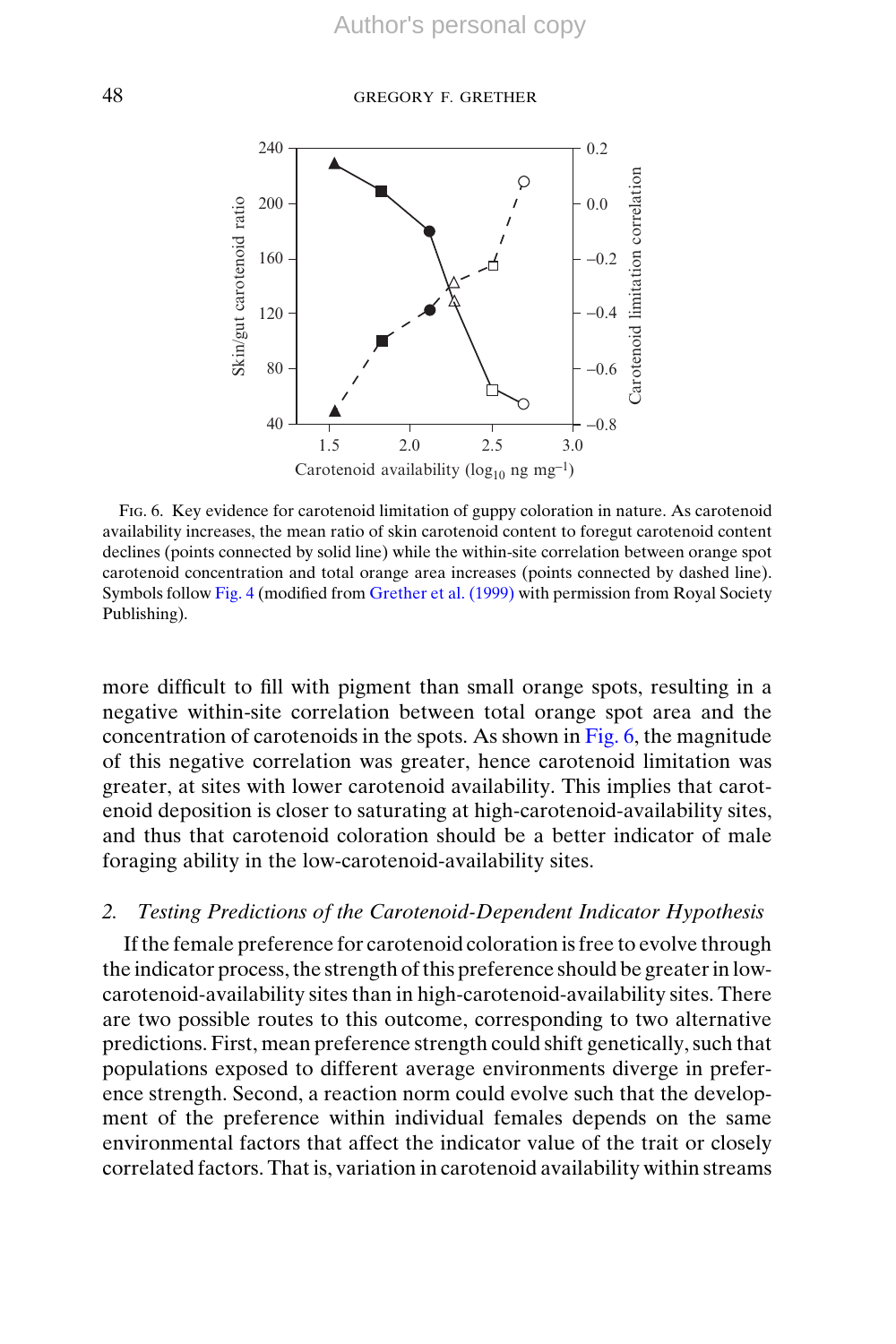

Fig. 6. Key evidence for carotenoid limitation of guppy coloration in nature. As carotenoid availability increases, the mean ratio of skin carotenoid content to foregut carotenoid content declines (points connected by solid line) while the within-site correlation between orange spot carotenoid concentration and total orange area increases (points connected by dashed line). Symbols follow Fig. 4 (modified from Grether et al. (1999) with permission from Royal Society Publishing).

more difficult to fill with pigment than small orange spots, resulting in a negative within-site correlation between total orange spot area and the concentration of carotenoids in the spots. As shown in Fig.  $6$ , the magnitude of this negative correlation was greater, hence carotenoid limitation was greater, at sites with lower carotenoid availability. This implies that carotenoid deposition is closer to saturating at high-carotenoid-availability sites, and thus that carotenoid coloration should be a better indicator of male foraging ability in the low-carotenoid-availability sites.

## 2. Testing Predictions of the Carotenoid-Dependent Indicator Hypothesis

If the female preference for carotenoid coloration is free to evolve through the indicator process, the strength of this preference should be greater in lowcarotenoid-availability sites than in high-carotenoid-availability sites. There are two possible routes to this outcome, corresponding to two alternative predictions. First, mean preference strength could shift genetically, such that populations exposed to different average environments diverge in preference strength. Second, a reaction norm could evolve such that the development of the preference within individual females depends on the same environmental factors that affect the indicator value of the trait or closely correlated factors. That is, variation in carotenoid availability within streams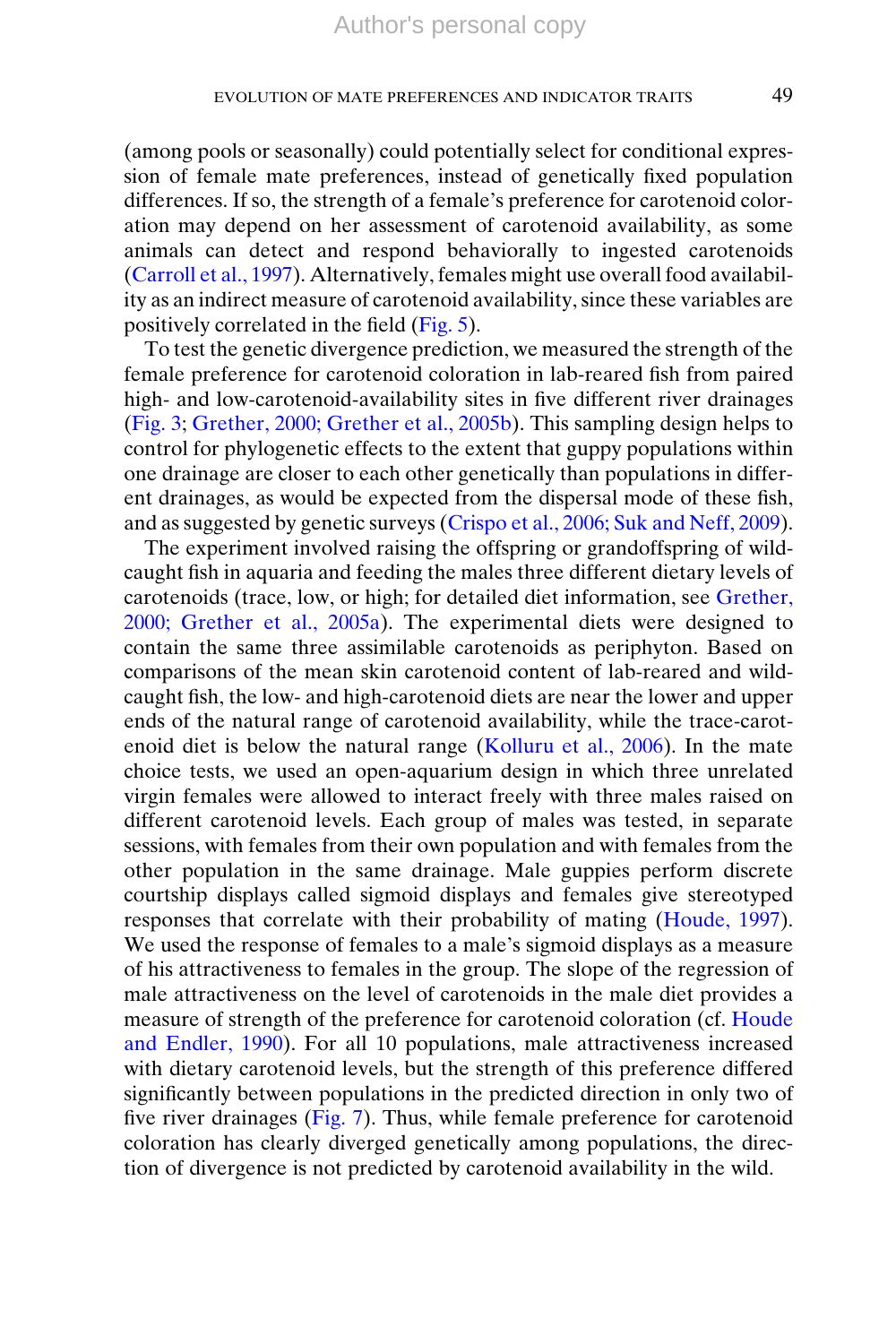(among pools or seasonally) could potentially select for conditional expression of female mate preferences, instead of genetically fixed population differences. If so, the strength of a female's preference for carotenoid coloration may depend on her assessment of carotenoid availability, as some animals can detect and respond behaviorally to ingested carotenoids (Carroll et al., 1997). Alternatively, females might use overall food availability as an indirect measure of carotenoid availability, since these variables are positively correlated in the field (Fig. 5).

To test the genetic divergence prediction, we measured the strength of the female preference for carotenoid coloration in lab-reared fish from paired high- and low-carotenoid-availability sites in five different river drainages (Fig. 3; Grether, 2000; Grether et al., 2005b). This sampling design helps to control for phylogenetic effects to the extent that guppy populations within one drainage are closer to each other genetically than populations in different drainages, as would be expected from the dispersal mode of these fish, and as suggested by genetic surveys (Crispo et al., 2006; Suk and Neff, 2009).

The experiment involved raising the offspring or grandoffspring of wildcaught fish in aquaria and feeding the males three different dietary levels of carotenoids (trace, low, or high; for detailed diet information, see Grether, 2000; Grether et al., 2005a). The experimental diets were designed to contain the same three assimilable carotenoids as periphyton. Based on comparisons of the mean skin carotenoid content of lab-reared and wildcaught fish, the low- and high-carotenoid diets are near the lower and upper ends of the natural range of carotenoid availability, while the trace-carotenoid diet is below the natural range (Kolluru et al., 2006). In the mate choice tests, we used an open-aquarium design in which three unrelated virgin females were allowed to interact freely with three males raised on different carotenoid levels. Each group of males was tested, in separate sessions, with females from their own population and with females from the other population in the same drainage. Male guppies perform discrete courtship displays called sigmoid displays and females give stereotyped responses that correlate with their probability of mating (Houde, 1997). We used the response of females to a male's sigmoid displays as a measure of his attractiveness to females in the group. The slope of the regression of male attractiveness on the level of carotenoids in the male diet provides a measure of strength of the preference for carotenoid coloration (cf. Houde and Endler, 1990). For all 10 populations, male attractiveness increased with dietary carotenoid levels, but the strength of this preference differed significantly between populations in the predicted direction in only two of five river drainages (Fig. 7). Thus, while female preference for carotenoid coloration has clearly diverged genetically among populations, the direction of divergence is not predicted by carotenoid availability in the wild.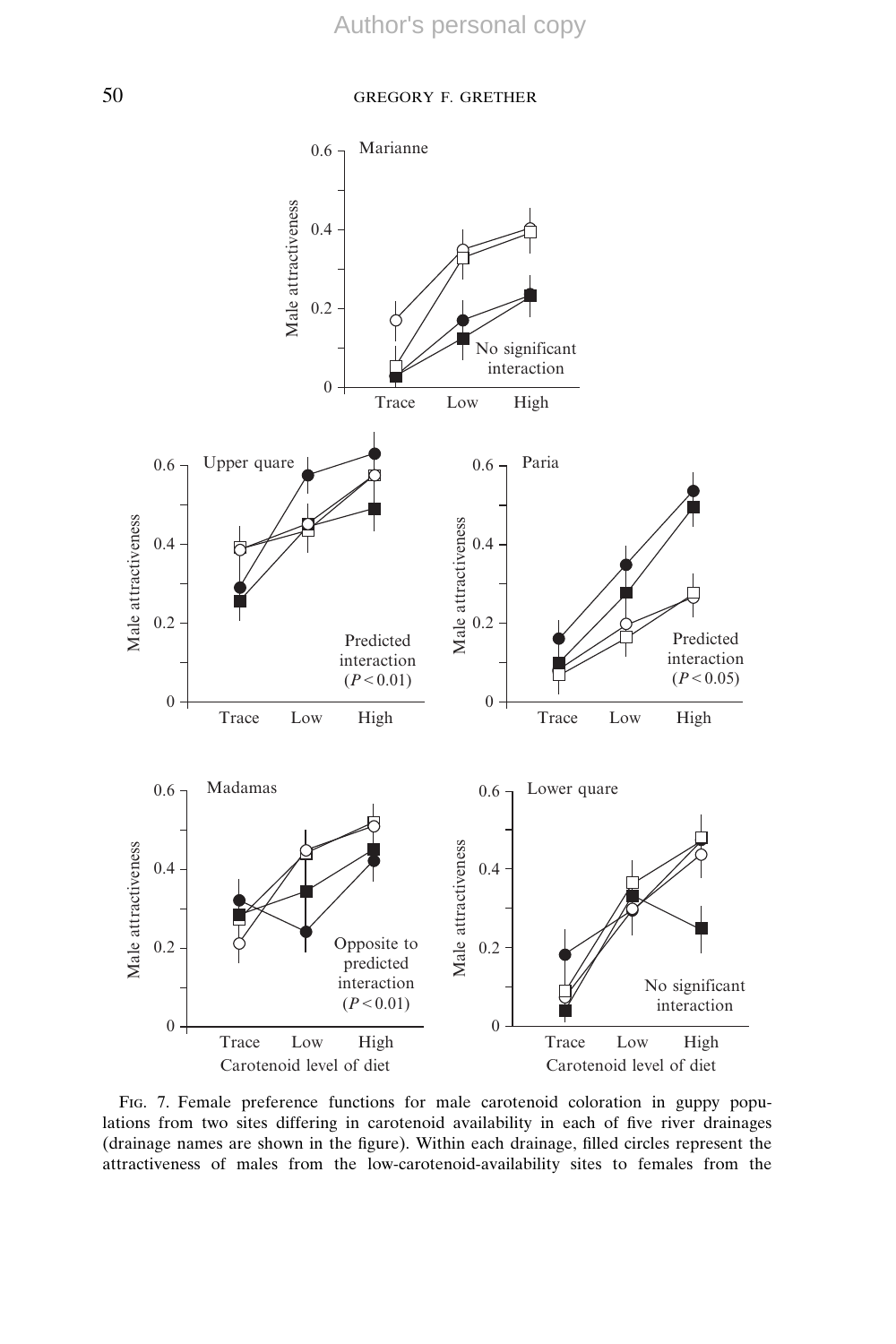

Fig. 7. Female preference functions for male carotenoid coloration in guppy populations from two sites differing in carotenoid availability in each of five river drainages (drainage names are shown in the figure). Within each drainage, filled circles represent the attractiveness of males from the low-carotenoid-availability sites to females from the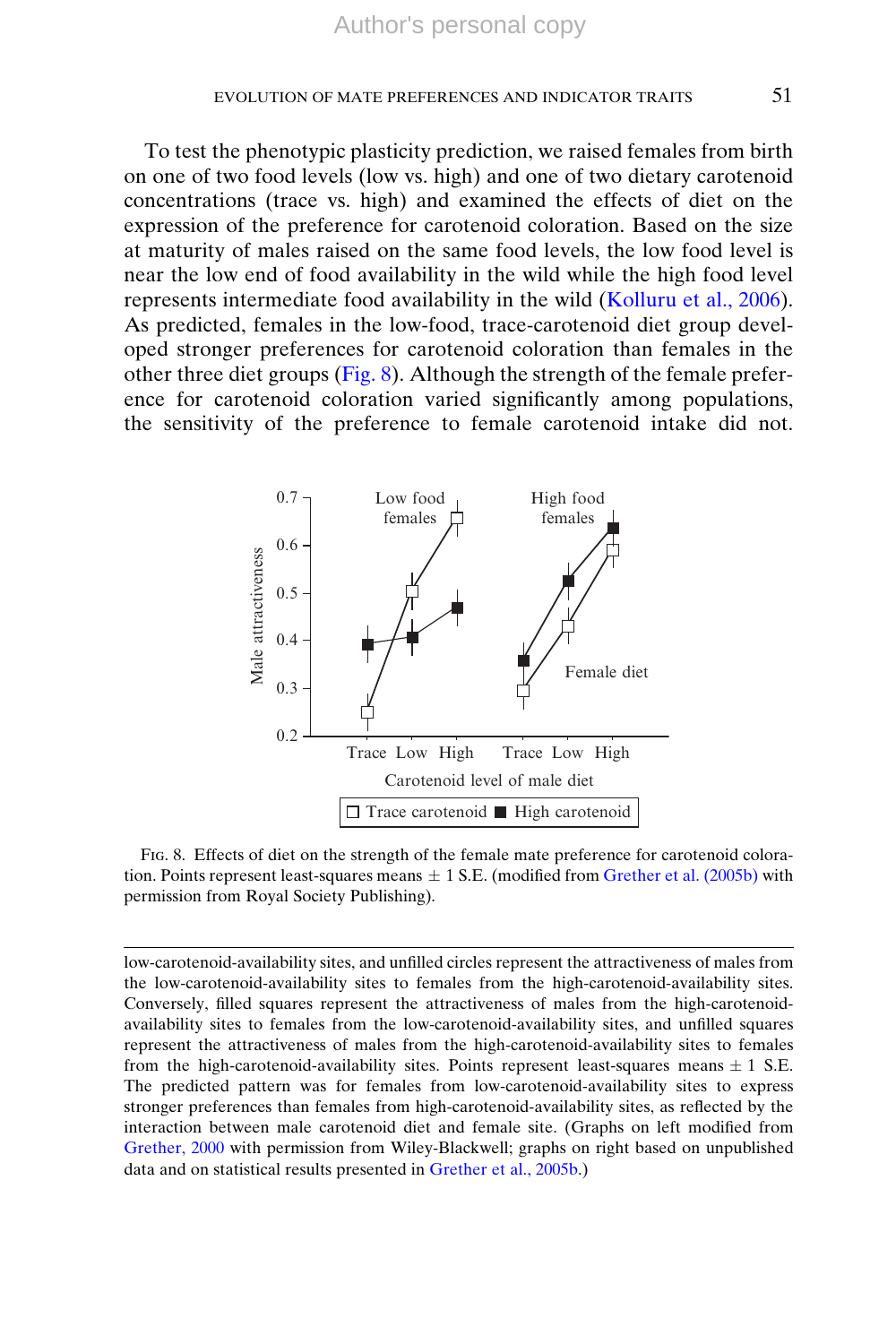## EVOLUTION OF MATE PREFERENCES AND INDICATOR TRAITS  $51$

To test the phenotypic plasticity prediction, we raised females from birth on one of two food levels (low vs. high) and one of two dietary carotenoid concentrations (trace vs. high) and examined the effects of diet on the expression of the preference for carotenoid coloration. Based on the size at maturity of males raised on the same food levels, the low food level is near the low end of food availability in the wild while the high food level represents intermediate food availability in the wild (Kolluru et al., 2006). As predicted, females in the low-food, trace-carotenoid diet group developed stronger preferences for carotenoid coloration than females in the other three diet groups (Fig. 8). Although the strength of the female preference for carotenoid coloration varied significantly among populations, the sensitivity of the preference to female carotenoid intake did not.



Fig. 8. Effects of diet on the strength of the female mate preference for carotenoid coloration. Points represent least-squares means  $\pm 1$  S.E. (modified from Grether et al. (2005b) with permission from Royal Society Publishing).

low-carotenoid-availability sites, and unfilled circles represent the attractiveness of males from the low-carotenoid-availability sites to females from the high-carotenoid-availability sites. Conversely, filled squares represent the attractiveness of males from the high-carotenoidavailability sites to females from the low-carotenoid-availability sites, and unfilled squares represent the attractiveness of males from the high-carotenoid-availability sites to females from the high-carotenoid-availability sites. Points represent least-squares means  $\pm 1$  S.E. The predicted pattern was for females from low-carotenoid-availability sites to express stronger preferences than females from high-carotenoid-availability sites, as reflected by the interaction between male carotenoid diet and female site. (Graphs on left modified from Grether, 2000 with permission from Wiley-Blackwell; graphs on right based on unpublished data and on statistical results presented in Grether et al., 2005b.)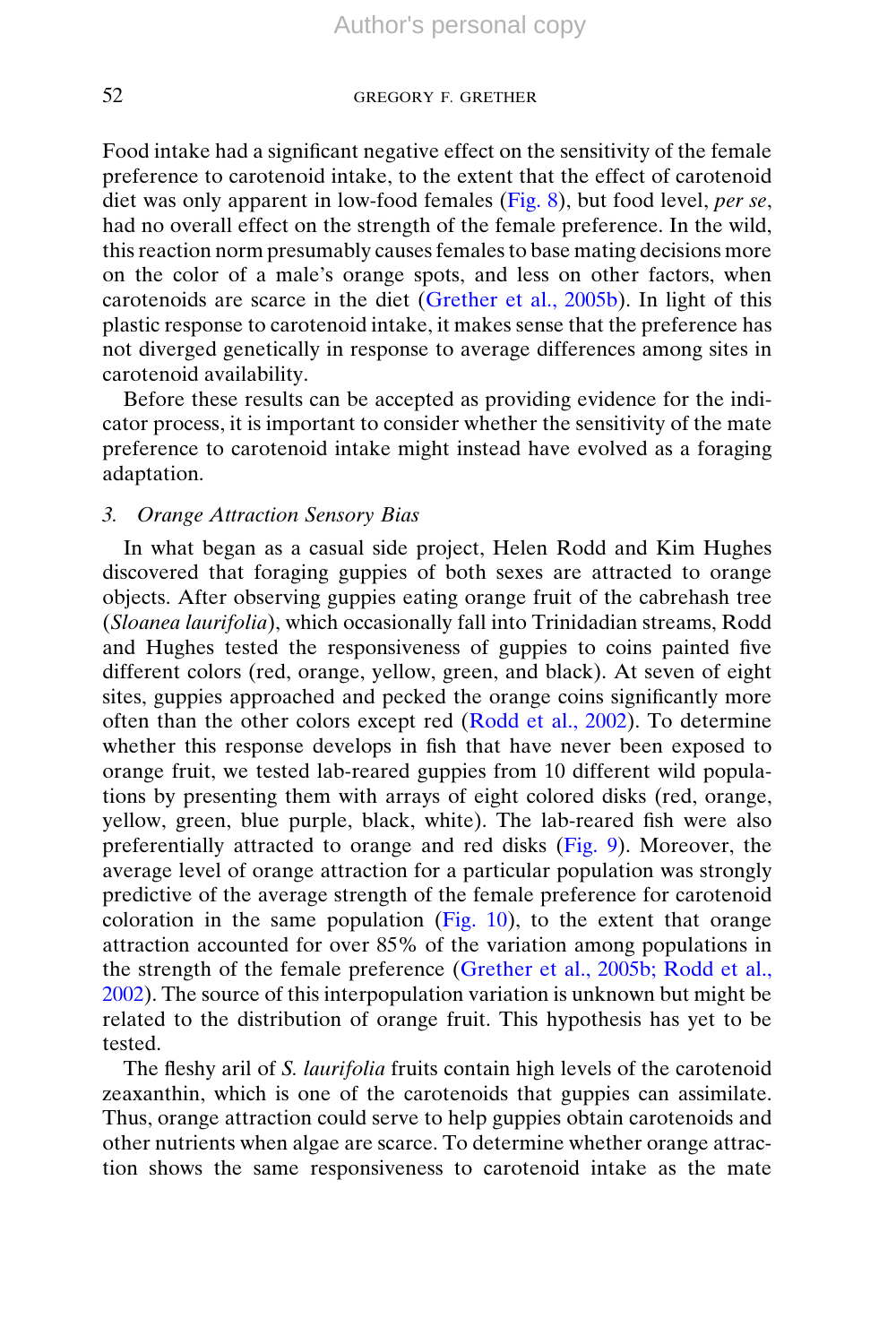Food intake had a significant negative effect on the sensitivity of the female preference to carotenoid intake, to the extent that the effect of carotenoid diet was only apparent in low-food females (Fig. 8), but food level, per se, had no overall effect on the strength of the female preference. In the wild, this reaction norm presumably causes females to base mating decisions more on the color of a male's orange spots, and less on other factors, when carotenoids are scarce in the diet (Grether et al., 2005b). In light of this plastic response to carotenoid intake, it makes sense that the preference has not diverged genetically in response to average differences among sites in carotenoid availability.

Before these results can be accepted as providing evidence for the indicator process, it is important to consider whether the sensitivity of the mate preference to carotenoid intake might instead have evolved as a foraging adaptation.

## 3. Orange Attraction Sensory Bias

In what began as a casual side project, Helen Rodd and Kim Hughes discovered that foraging guppies of both sexes are attracted to orange objects. After observing guppies eating orange fruit of the cabrehash tree (Sloanea laurifolia), which occasionally fall into Trinidadian streams, Rodd and Hughes tested the responsiveness of guppies to coins painted five different colors (red, orange, yellow, green, and black). At seven of eight sites, guppies approached and pecked the orange coins significantly more often than the other colors except red (Rodd et al., 2002). To determine whether this response develops in fish that have never been exposed to orange fruit, we tested lab-reared guppies from 10 different wild populations by presenting them with arrays of eight colored disks (red, orange, yellow, green, blue purple, black, white). The lab-reared fish were also preferentially attracted to orange and red disks (Fig. 9). Moreover, the average level of orange attraction for a particular population was strongly predictive of the average strength of the female preference for carotenoid coloration in the same population  $(Fig, 10)$ , to the extent that orange attraction accounted for over 85% of the variation among populations in the strength of the female preference (Grether et al., 2005b; Rodd et al., 2002). The source of this interpopulation variation is unknown but might be related to the distribution of orange fruit. This hypothesis has yet to be tested.

The fleshy aril of S. laurifolia fruits contain high levels of the carotenoid zeaxanthin, which is one of the carotenoids that guppies can assimilate. Thus, orange attraction could serve to help guppies obtain carotenoids and other nutrients when algae are scarce. To determine whether orange attraction shows the same responsiveness to carotenoid intake as the mate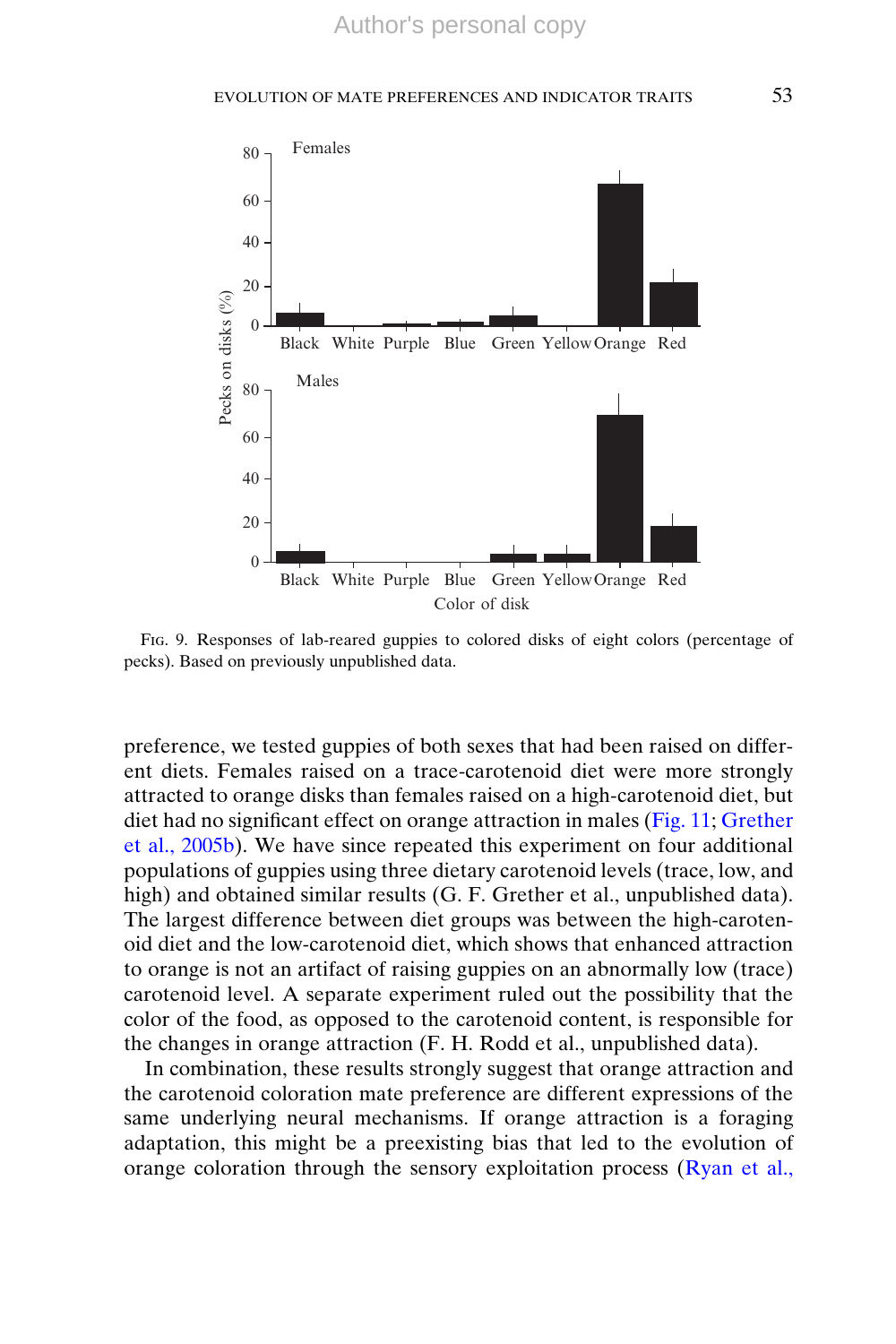

Fig. 9. Responses of lab-reared guppies to colored disks of eight colors (percentage of pecks). Based on previously unpublished data.

preference, we tested guppies of both sexes that had been raised on different diets. Females raised on a trace-carotenoid diet were more strongly attracted to orange disks than females raised on a high-carotenoid diet, but diet had no significant effect on orange attraction in males (Fig. 11; Grether et al., 2005b). We have since repeated this experiment on four additional populations of guppies using three dietary carotenoid levels (trace, low, and high) and obtained similar results (G. F. Grether et al., unpublished data). The largest difference between diet groups was between the high-carotenoid diet and the low-carotenoid diet, which shows that enhanced attraction to orange is not an artifact of raising guppies on an abnormally low (trace) carotenoid level. A separate experiment ruled out the possibility that the color of the food, as opposed to the carotenoid content, is responsible for the changes in orange attraction (F. H. Rodd et al., unpublished data). **Example 12**<br> **Example 12** Blue Green Yellow Orange Red<br>
Fig. 9. Responses of lab-reared guppies to colored disks of eight colors (percentage of<br>  $\frac{20}{2}$ <br>
Fig. 9. Responses of lab-reared guppies to colored disks of eig

In combination, these results strongly suggest that orange attraction and the carotenoid coloration mate preference are different expressions of the same underlying neural mechanisms. If orange attraction is a foraging adaptation, this might be a preexisting bias that led to the evolution of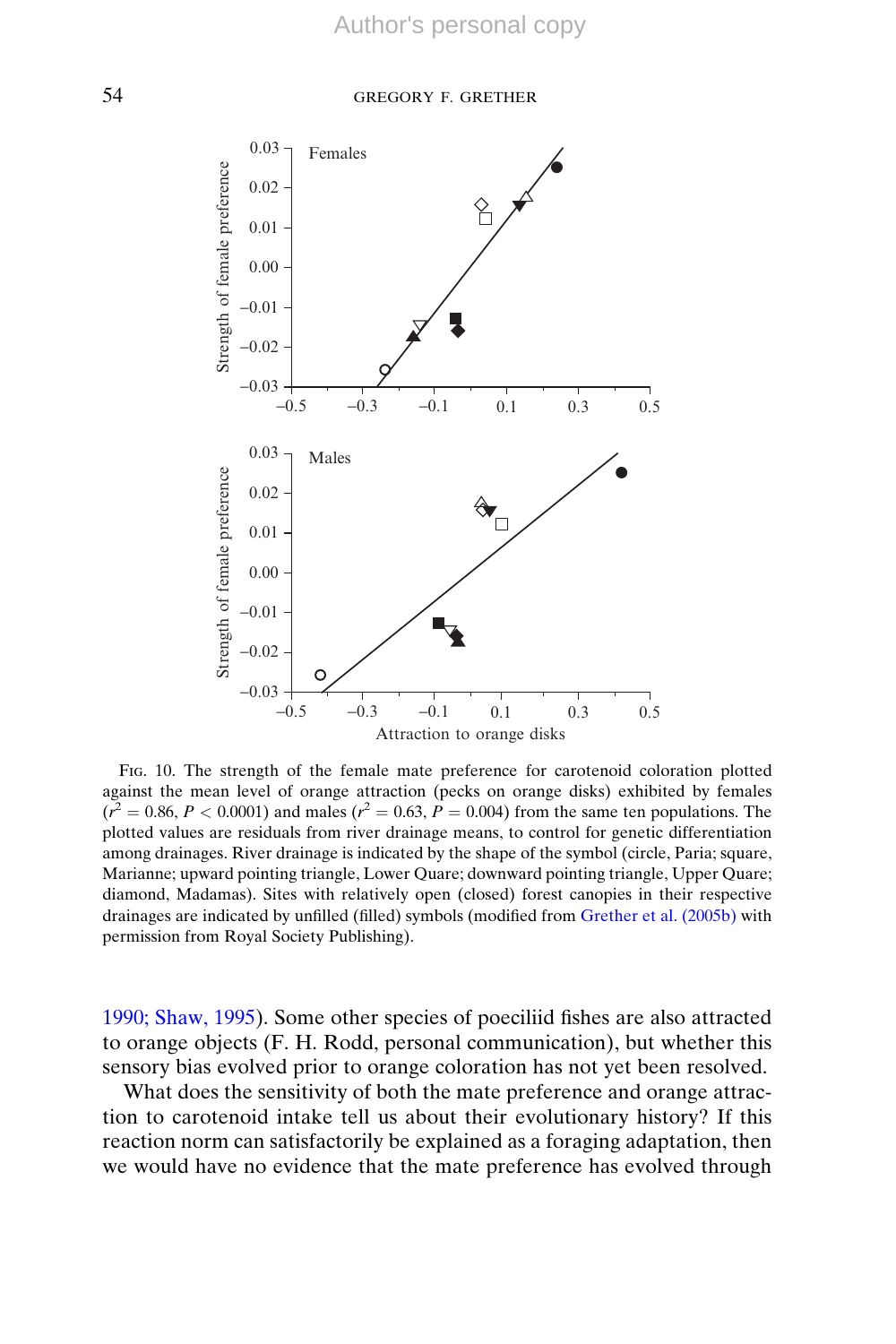

Fig. 10. The strength of the female mate preference for carotenoid coloration plotted against the mean level of orange attraction (pecks on orange disks) exhibited by females  $(r^2 = 0.86, P < 0.0001)$  and males  $(r^2 = 0.63, P = 0.004)$  from the same ten populations. The plotted values are residuals from river drainage means, to control for genetic differentiation among drainages. River drainage is indicated by the shape of the symbol (circle, Paria; square, Marianne; upward pointing triangle, Lower Quare; downward pointing triangle, Upper Quare; diamond, Madamas). Sites with relatively open (closed) forest canopies in their respective drainages are indicated by unfilled (filled) symbols (modified from Grether et al. (2005b) with permission from Royal Society Publishing).

1990; Shaw, 1995). Some other species of poeciliid fishes are also attracted to orange objects (F. H. Rodd, personal communication), but whether this sensory bias evolved prior to orange coloration has not yet been resolved.

What does the sensitivity of both the mate preference and orange attraction to carotenoid intake tell us about their evolutionary history? If this reaction norm can satisfactorily be explained as a foraging adaptation, then we would have no evidence that the mate preference has evolved through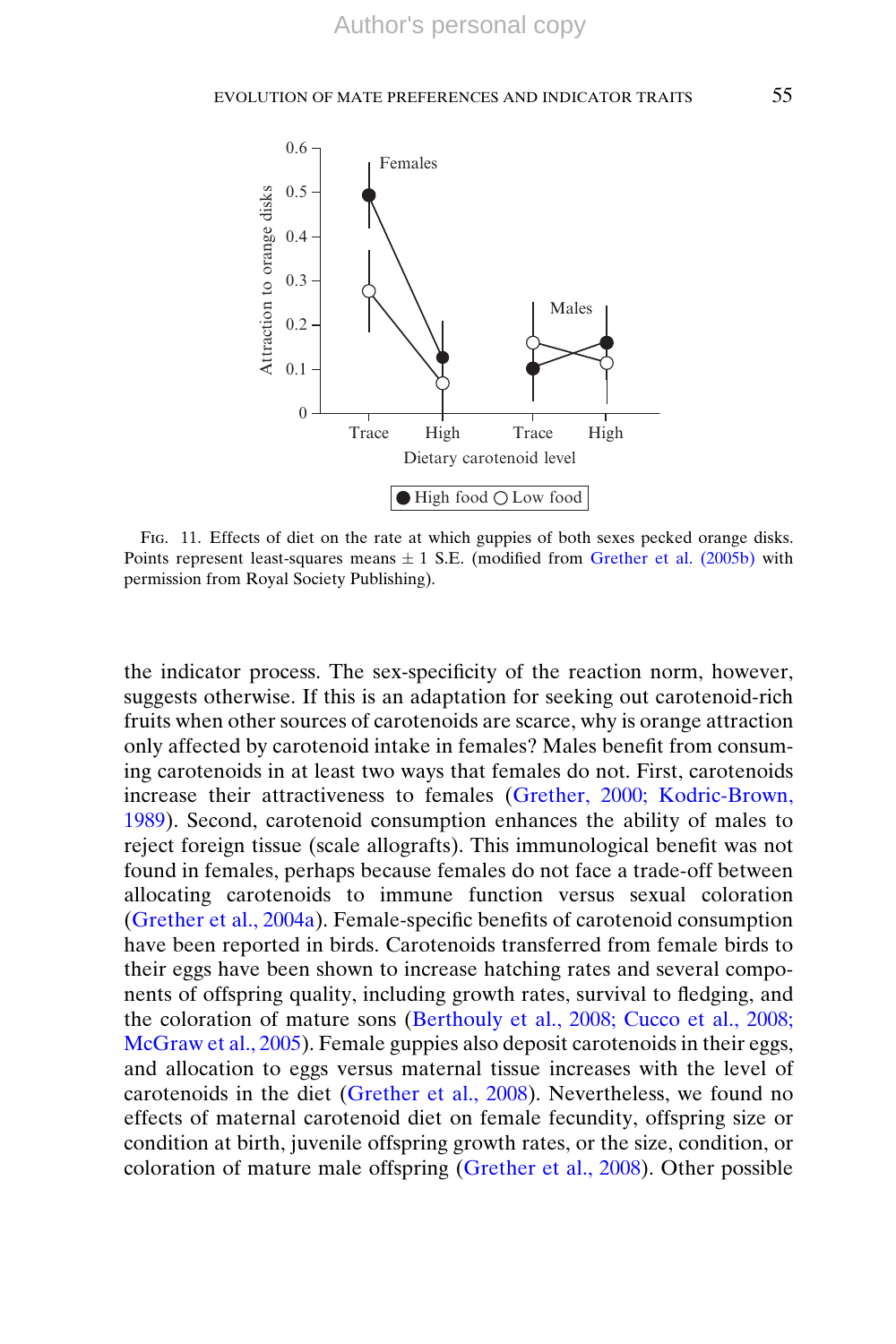

Fig. 11. Effects of diet on the rate at which guppies of both sexes pecked orange disks. Points represent least-squares means  $\pm 1$  S.E. (modified from Grether et al. (2005b) with permission from Royal Society Publishing).

the indicator process. The sex-specificity of the reaction norm, however, suggests otherwise. If this is an adaptation for seeking out carotenoid-rich fruits when other sources of carotenoids are scarce, why is orange attraction only affected by carotenoid intake in females? Males benefit from consuming carotenoids in at least two ways that females do not. First, carotenoids increase their attractiveness to females (Grether, 2000; Kodric-Brown, 1989). Second, carotenoid consumption enhances the ability of males to reject foreign tissue (scale allografts). This immunological benefit was not found in females, perhaps because females do not face a trade-off between allocating carotenoids to immune function versus sexual coloration (Grether et al., 2004a). Female-specific benefits of carotenoid consumption have been reported in birds. Carotenoids transferred from female birds to their eggs have been shown to increase hatching rates and several components of offspring quality, including growth rates, survival to fledging, and the coloration of mature sons (Berthouly et al., 2008; Cucco et al., 2008; McGraw et al., 2005). Female guppies also deposit carotenoids in their eggs, and allocation to eggs versus maternal tissue increases with the level of carotenoids in the diet (Grether et al., 2008). Nevertheless, we found no effects of maternal carotenoid diet on female fecundity, offspring size or condition at birth, juvenile offspring growth rates, or the size, condition, or coloration of mature male offspring (Grether et al., 2008). Other possible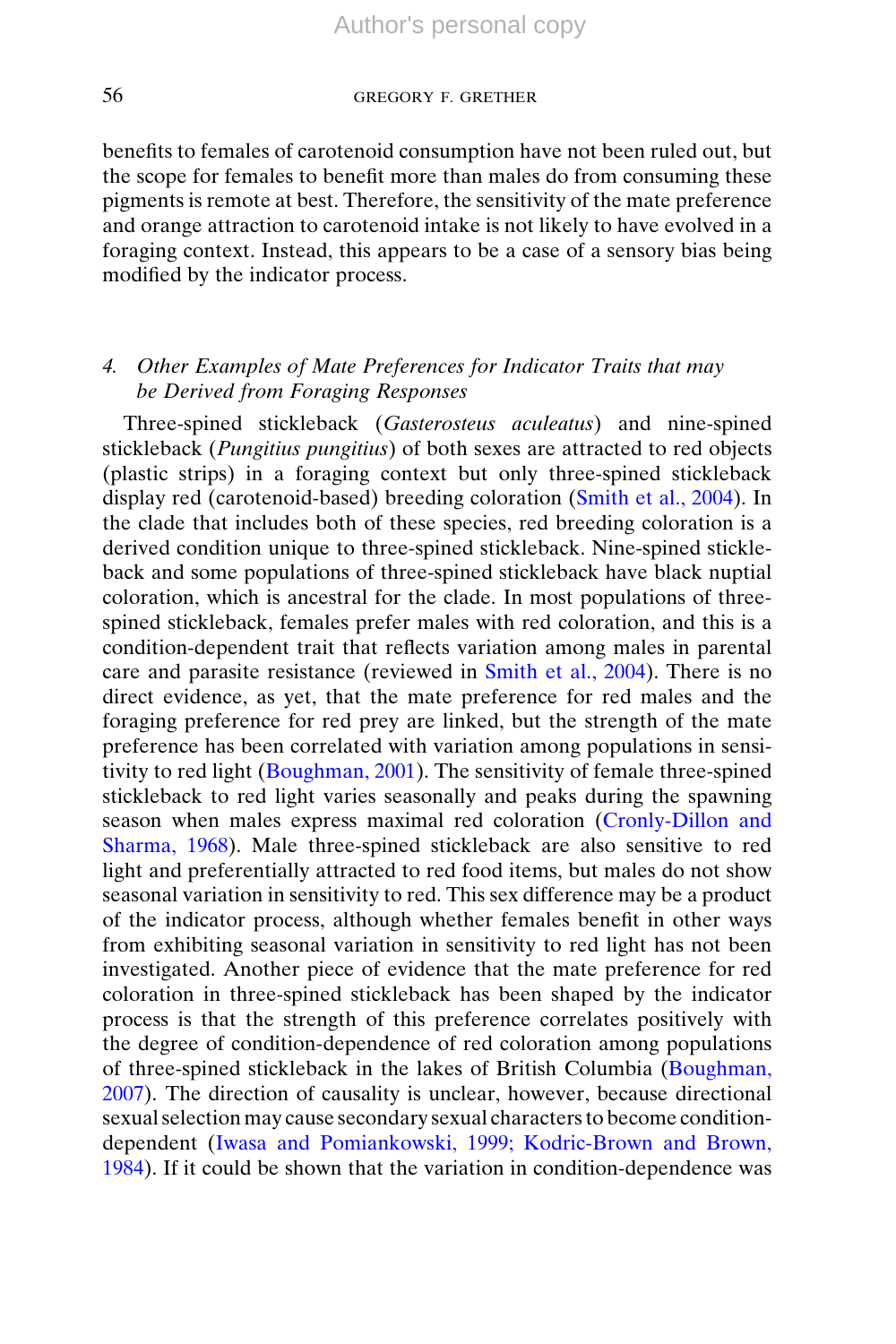benefits to females of carotenoid consumption have not been ruled out, but the scope for females to benefit more than males do from consuming these pigments is remote at best. Therefore, the sensitivity of the mate preference and orange attraction to carotenoid intake is not likely to have evolved in a foraging context. Instead, this appears to be a case of a sensory bias being modified by the indicator process.

## 4. Other Examples of Mate Preferences for Indicator Traits that may be Derived from Foraging Responses

Three-spined stickleback (Gasterosteus aculeatus) and nine-spined stickleback (Pungitius pungitius) of both sexes are attracted to red objects (plastic strips) in a foraging context but only three-spined stickleback display red (carotenoid-based) breeding coloration (Smith et al., 2004). In the clade that includes both of these species, red breeding coloration is a derived condition unique to three-spined stickleback. Nine-spined stickleback and some populations of three-spined stickleback have black nuptial coloration, which is ancestral for the clade. In most populations of threespined stickleback, females prefer males with red coloration, and this is a condition-dependent trait that reflects variation among males in parental care and parasite resistance (reviewed in Smith et al., 2004). There is no direct evidence, as yet, that the mate preference for red males and the foraging preference for red prey are linked, but the strength of the mate preference has been correlated with variation among populations in sensitivity to red light (Boughman, 2001). The sensitivity of female three-spined stickleback to red light varies seasonally and peaks during the spawning season when males express maximal red coloration (Cronly-Dillon and Sharma, 1968). Male three-spined stickleback are also sensitive to red light and preferentially attracted to red food items, but males do not show seasonal variation in sensitivity to red. This sex difference may be a product of the indicator process, although whether females benefit in other ways from exhibiting seasonal variation in sensitivity to red light has not been investigated. Another piece of evidence that the mate preference for red coloration in three-spined stickleback has been shaped by the indicator process is that the strength of this preference correlates positively with the degree of condition-dependence of red coloration among populations of three-spined stickleback in the lakes of British Columbia (Boughman, 2007). The direction of causality is unclear, however, because directional sexual selection may cause secondary sexual characters to become conditiondependent (Iwasa and Pomiankowski, 1999; Kodric-Brown and Brown, 1984). If it could be shown that the variation in condition-dependence was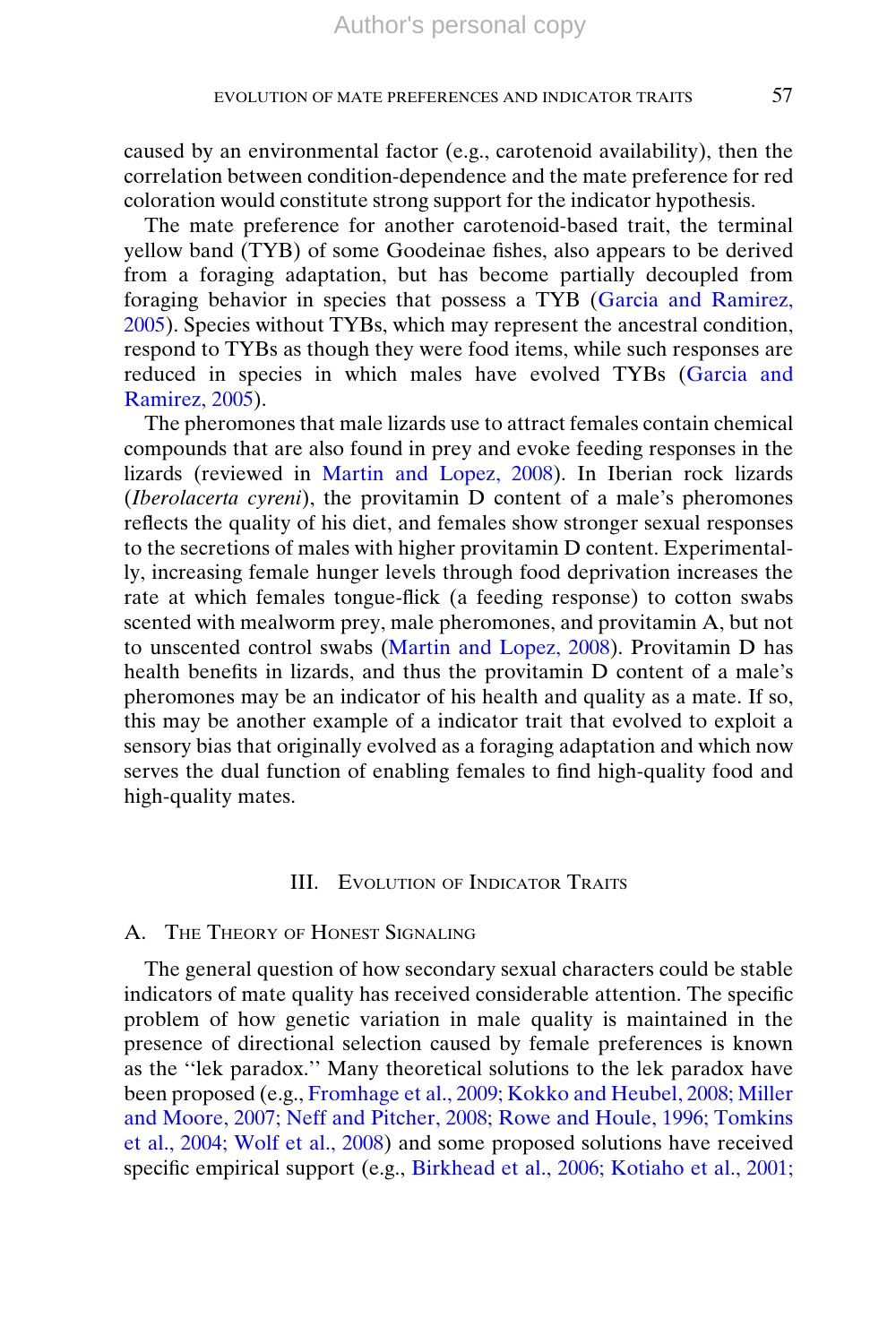caused by an environmental factor (e.g., carotenoid availability), then the correlation between condition-dependence and the mate preference for red coloration would constitute strong support for the indicator hypothesis.

The mate preference for another carotenoid-based trait, the terminal yellow band (TYB) of some Goodeinae fishes, also appears to be derived from a foraging adaptation, but has become partially decoupled from foraging behavior in species that possess a TYB (Garcia and Ramirez, 2005). Species without TYBs, which may represent the ancestral condition, respond to TYBs as though they were food items, while such responses are reduced in species in which males have evolved TYBs (Garcia and Ramirez, 2005).

The pheromones that male lizards use to attract females contain chemical compounds that are also found in prey and evoke feeding responses in the lizards (reviewed in Martin and Lopez, 2008). In Iberian rock lizards (Iberolacerta cyreni), the provitamin D content of a male's pheromones reflects the quality of his diet, and females show stronger sexual responses to the secretions of males with higher provitamin D content. Experimentally, increasing female hunger levels through food deprivation increases the rate at which females tongue-flick (a feeding response) to cotton swabs scented with mealworm prey, male pheromones, and provitamin A, but not to unscented control swabs (Martin and Lopez, 2008). Provitamin D has health benefits in lizards, and thus the provitamin D content of a male's pheromones may be an indicator of his health and quality as a mate. If so, this may be another example of a indicator trait that evolved to exploit a sensory bias that originally evolved as a foraging adaptation and which now serves the dual function of enabling females to find high-quality food and high-quality mates.

## III. EVOLUTION OF INDICATOR TRAITS

## A. THE THEORY OF HONEST SIGNALING

The general question of how secondary sexual characters could be stable indicators of mate quality has received considerable attention. The specific problem of how genetic variation in male quality is maintained in the presence of directional selection caused by female preferences is known as the ''lek paradox.'' Many theoretical solutions to the lek paradox have been proposed (e.g., Fromhage et al., 2009; Kokko and Heubel, 2008; Miller and Moore, 2007; Neff and Pitcher, 2008; Rowe and Houle, 1996; Tomkins et al., 2004; Wolf et al., 2008) and some proposed solutions have received specific empirical support (e.g., Birkhead et al., 2006; Kotiaho et al., 2001;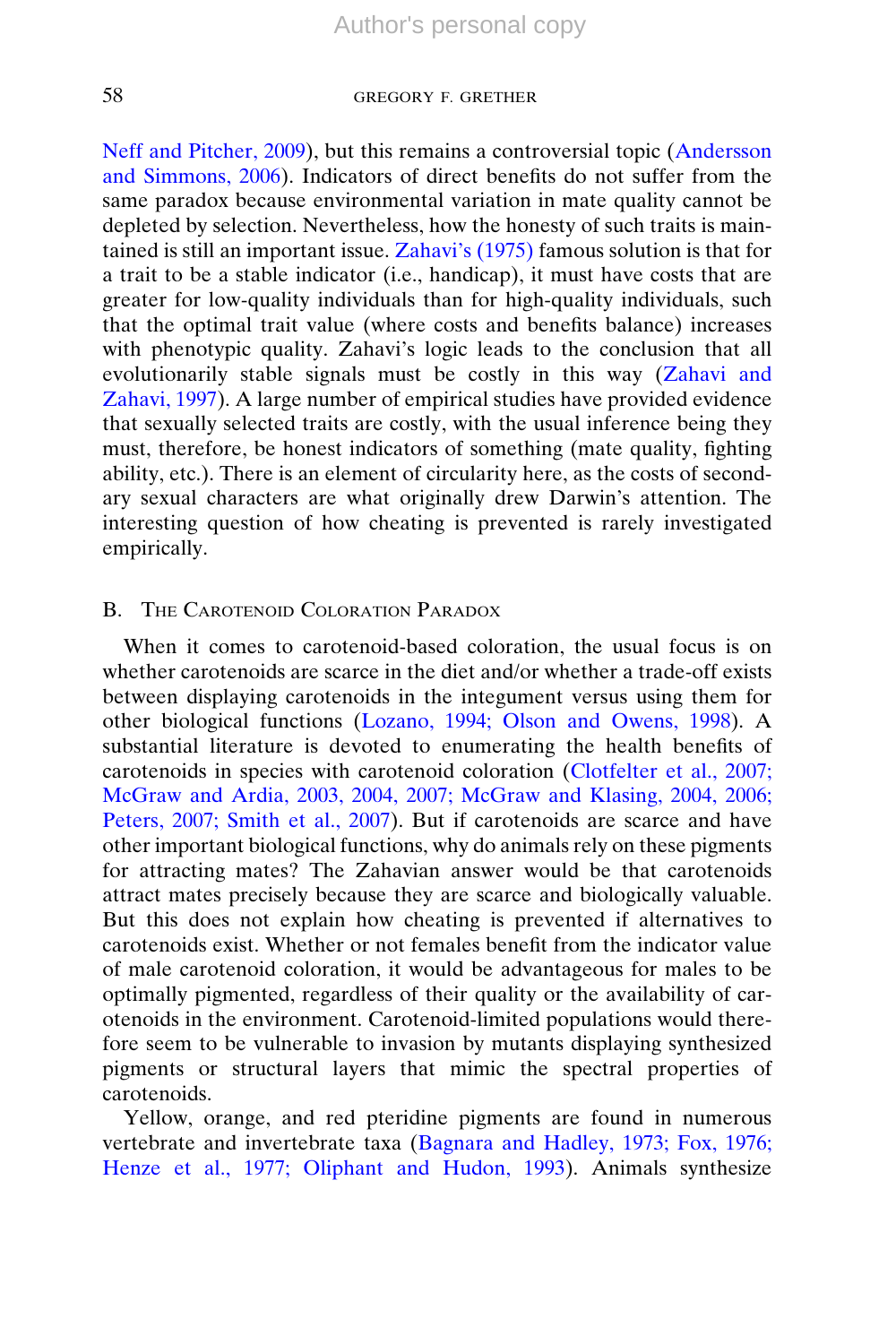Neff and Pitcher, 2009), but this remains a controversial topic (Andersson and Simmons, 2006). Indicators of direct benefits do not suffer from the same paradox because environmental variation in mate quality cannot be depleted by selection. Nevertheless, how the honesty of such traits is maintained is still an important issue. Zahavi's (1975) famous solution is that for a trait to be a stable indicator (i.e., handicap), it must have costs that are greater for low-quality individuals than for high-quality individuals, such that the optimal trait value (where costs and benefits balance) increases with phenotypic quality. Zahavi's logic leads to the conclusion that all evolutionarily stable signals must be costly in this way (Zahavi and Zahavi, 1997). A large number of empirical studies have provided evidence that sexually selected traits are costly, with the usual inference being they must, therefore, be honest indicators of something (mate quality, fighting ability, etc.). There is an element of circularity here, as the costs of secondary sexual characters are what originally drew Darwin's attention. The interesting question of how cheating is prevented is rarely investigated empirically.

## B. THE CAROTENOID COLORATION PARADOX

When it comes to carotenoid-based coloration, the usual focus is on whether carotenoids are scarce in the diet and/or whether a trade-off exists between displaying carotenoids in the integument versus using them for other biological functions (Lozano, 1994; Olson and Owens, 1998). A substantial literature is devoted to enumerating the health benefits of carotenoids in species with carotenoid coloration (Clotfelter et al., 2007; McGraw and Ardia, 2003, 2004, 2007; McGraw and Klasing, 2004, 2006; Peters, 2007; Smith et al., 2007). But if carotenoids are scarce and have other important biological functions, why do animals rely on these pigments for attracting mates? The Zahavian answer would be that carotenoids attract mates precisely because they are scarce and biologically valuable. But this does not explain how cheating is prevented if alternatives to carotenoids exist. Whether or not females benefit from the indicator value of male carotenoid coloration, it would be advantageous for males to be optimally pigmented, regardless of their quality or the availability of carotenoids in the environment. Carotenoid-limited populations would therefore seem to be vulnerable to invasion by mutants displaying synthesized pigments or structural layers that mimic the spectral properties of carotenoids.

Yellow, orange, and red pteridine pigments are found in numerous vertebrate and invertebrate taxa (Bagnara and Hadley, 1973; Fox, 1976; Henze et al., 1977; Oliphant and Hudon, 1993). Animals synthesize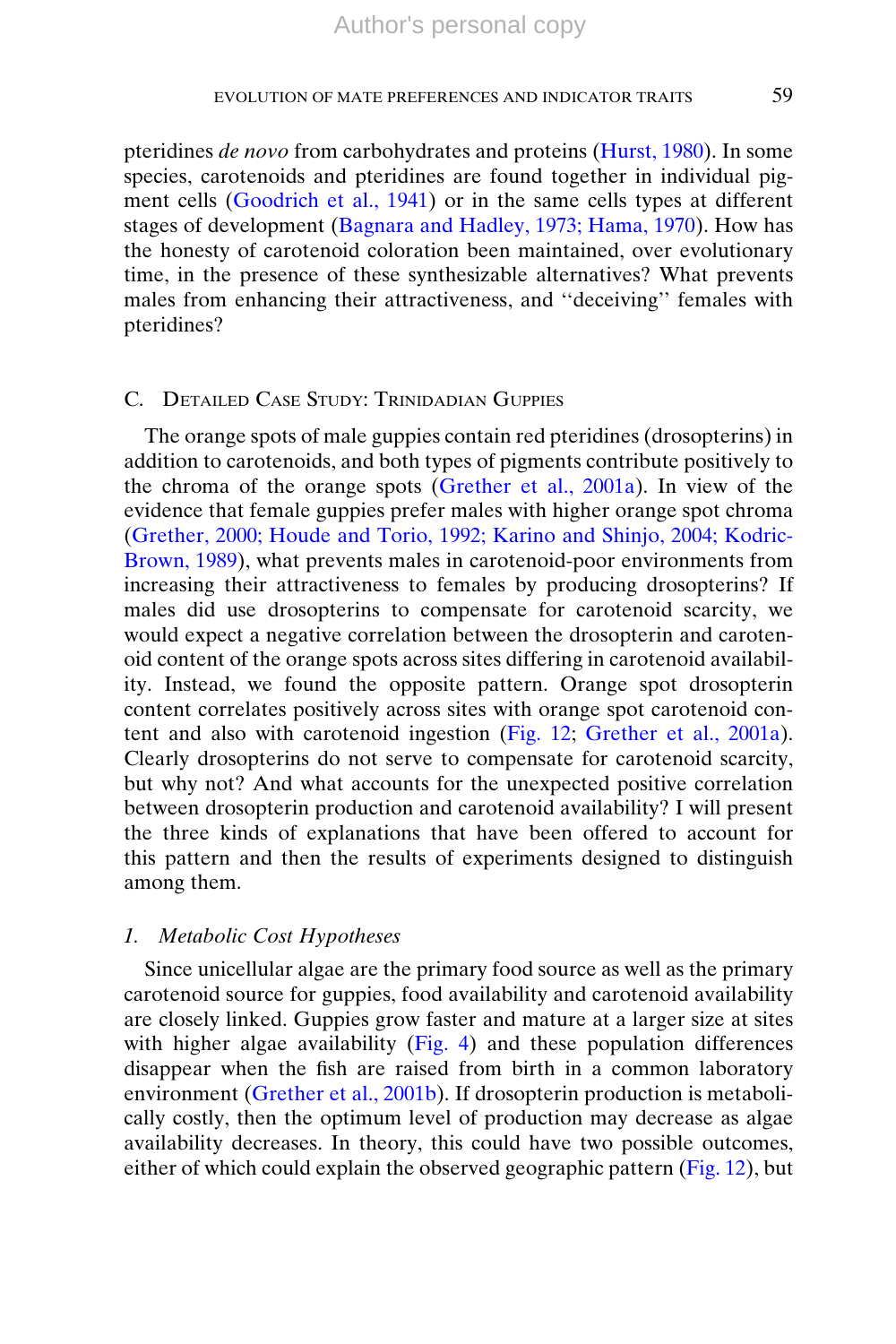pteridines de novo from carbohydrates and proteins (Hurst, 1980). In some species, carotenoids and pteridines are found together in individual pigment cells (Goodrich et al., 1941) or in the same cells types at different stages of development (Bagnara and Hadley, 1973; Hama, 1970). How has the honesty of carotenoid coloration been maintained, over evolutionary time, in the presence of these synthesizable alternatives? What prevents males from enhancing their attractiveness, and ''deceiving'' females with pteridines?

## C. DETAILED CASE STUDY: TRINIDADIAN GUPPIES

The orange spots of male guppies contain red pteridines (drosopterins) in addition to carotenoids, and both types of pigments contribute positively to the chroma of the orange spots (Grether et al., 2001a). In view of the evidence that female guppies prefer males with higher orange spot chroma (Grether, 2000; Houde and Torio, 1992; Karino and Shinjo, 2004; Kodric-Brown, 1989), what prevents males in carotenoid-poor environments from increasing their attractiveness to females by producing drosopterins? If males did use drosopterins to compensate for carotenoid scarcity, we would expect a negative correlation between the drosopterin and carotenoid content of the orange spots across sites differing in carotenoid availability. Instead, we found the opposite pattern. Orange spot drosopterin content correlates positively across sites with orange spot carotenoid content and also with carotenoid ingestion (Fig. 12; Grether et al., 2001a). Clearly drosopterins do not serve to compensate for carotenoid scarcity, but why not? And what accounts for the unexpected positive correlation between drosopterin production and carotenoid availability? I will present the three kinds of explanations that have been offered to account for this pattern and then the results of experiments designed to distinguish among them.

## 1. Metabolic Cost Hypotheses

Since unicellular algae are the primary food source as well as the primary carotenoid source for guppies, food availability and carotenoid availability are closely linked. Guppies grow faster and mature at a larger size at sites with higher algae availability (Fig. 4) and these population differences disappear when the fish are raised from birth in a common laboratory environment (Grether et al., 2001b). If drosopterin production is metabolically costly, then the optimum level of production may decrease as algae availability decreases. In theory, this could have two possible outcomes, either of which could explain the observed geographic pattern (Fig. 12), but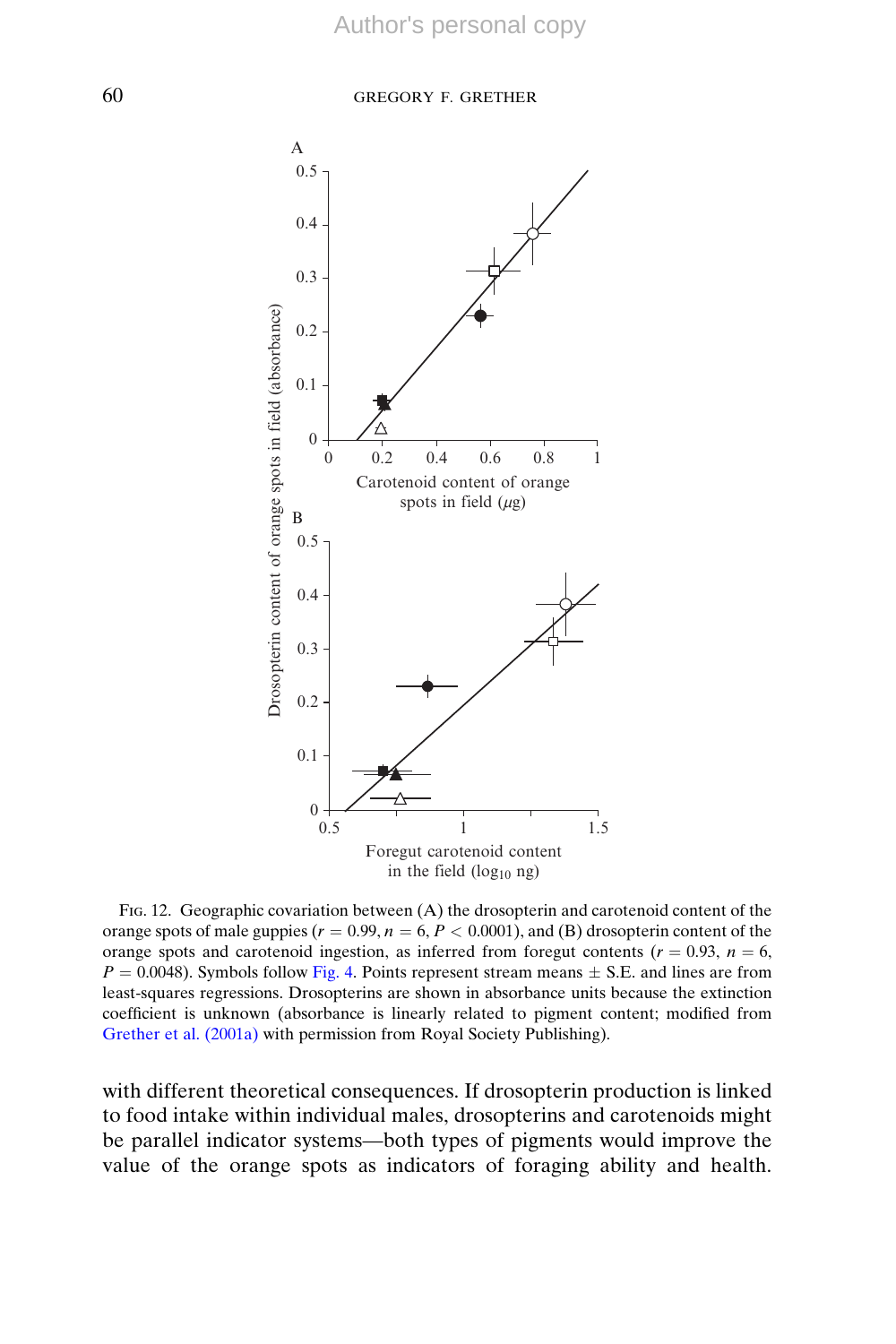

Fig. 12. Geographic covariation between (A) the drosopterin and carotenoid content of the orange spots of male guppies ( $r = 0.99$ ,  $n = 6$ ,  $P < 0.0001$ ), and (B) drosopterin content of the orange spots and carotenoid ingestion, as inferred from foregut contents ( $r = 0.93$ ,  $n = 6$ ,  $P = 0.0048$ ). Symbols follow Fig. 4. Points represent stream means  $\pm$  S.E. and lines are from least-squares regressions. Drosopterins are shown in absorbance units because the extinction coefficient is unknown (absorbance is linearly related to pigment content; modified from Grether et al. (2001a) with permission from Royal Society Publishing).

with different theoretical consequences. If drosopterin production is linked to food intake within individual males, drosopterins and carotenoids might be parallel indicator systems—both types of pigments would improve the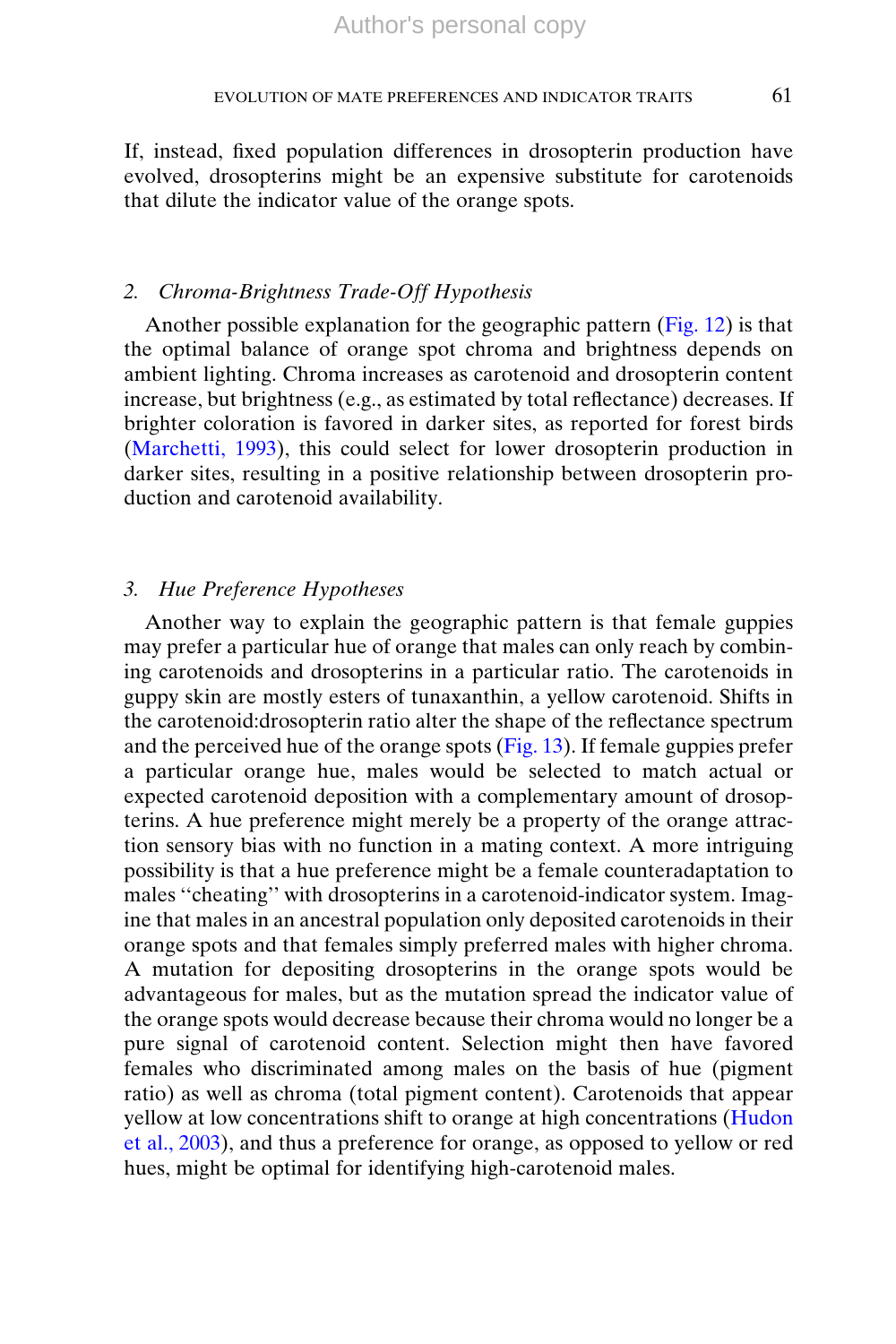If, instead, fixed population differences in drosopterin production have evolved, drosopterins might be an expensive substitute for carotenoids that dilute the indicator value of the orange spots.

### 2. Chroma-Brightness Trade-Off Hypothesis

Another possible explanation for the geographic pattern (Fig. 12) is that the optimal balance of orange spot chroma and brightness depends on ambient lighting. Chroma increases as carotenoid and drosopterin content increase, but brightness (e.g., as estimated by total reflectance) decreases. If brighter coloration is favored in darker sites, as reported for forest birds (Marchetti, 1993), this could select for lower drosopterin production in darker sites, resulting in a positive relationship between drosopterin production and carotenoid availability.

## 3. Hue Preference Hypotheses

Another way to explain the geographic pattern is that female guppies may prefer a particular hue of orange that males can only reach by combining carotenoids and drosopterins in a particular ratio. The carotenoids in guppy skin are mostly esters of tunaxanthin, a yellow carotenoid. Shifts in the carotenoid:drosopterin ratio alter the shape of the reflectance spectrum and the perceived hue of the orange spots (Fig. 13). If female guppies prefer a particular orange hue, males would be selected to match actual or expected carotenoid deposition with a complementary amount of drosopterins. A hue preference might merely be a property of the orange attraction sensory bias with no function in a mating context. A more intriguing possibility is that a hue preference might be a female counteradaptation to males ''cheating'' with drosopterins in a carotenoid-indicator system. Imagine that males in an ancestral population only deposited carotenoids in their orange spots and that females simply preferred males with higher chroma. A mutation for depositing drosopterins in the orange spots would be advantageous for males, but as the mutation spread the indicator value of the orange spots would decrease because their chroma would no longer be a pure signal of carotenoid content. Selection might then have favored females who discriminated among males on the basis of hue (pigment ratio) as well as chroma (total pigment content). Carotenoids that appear yellow at low concentrations shift to orange at high concentrations (Hudon et al., 2003), and thus a preference for orange, as opposed to yellow or red hues, might be optimal for identifying high-carotenoid males.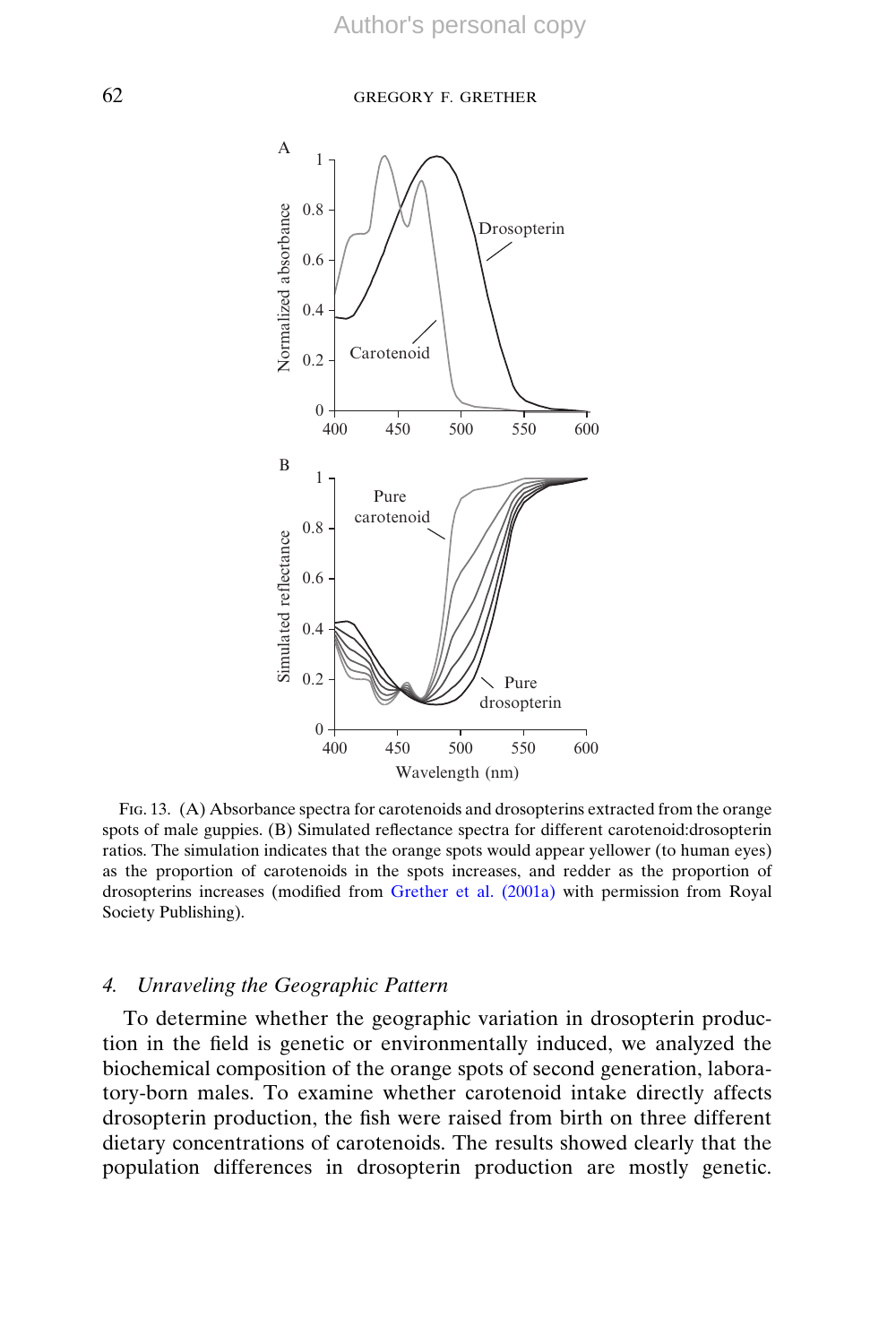

Fig. 13. (A) Absorbance spectra for carotenoids and drosopterins extracted from the orange spots of male guppies. (B) Simulated reflectance spectra for different carotenoid:drosopterin ratios. The simulation indicates that the orange spots would appear yellower (to human eyes) as the proportion of carotenoids in the spots increases, and redder as the proportion of drosopterins increases (modified from Grether et al. (2001a) with permission from Royal Society Publishing).

## 4. Unraveling the Geographic Pattern

To determine whether the geographic variation in drosopterin production in the field is genetic or environmentally induced, we analyzed the biochemical composition of the orange spots of second generation, laboratory-born males. To examine whether carotenoid intake directly affects drosopterin production, the fish were raised from birth on three different dietary concentrations of carotenoids. The results showed clearly that the population differences in drosopterin production are mostly genetic.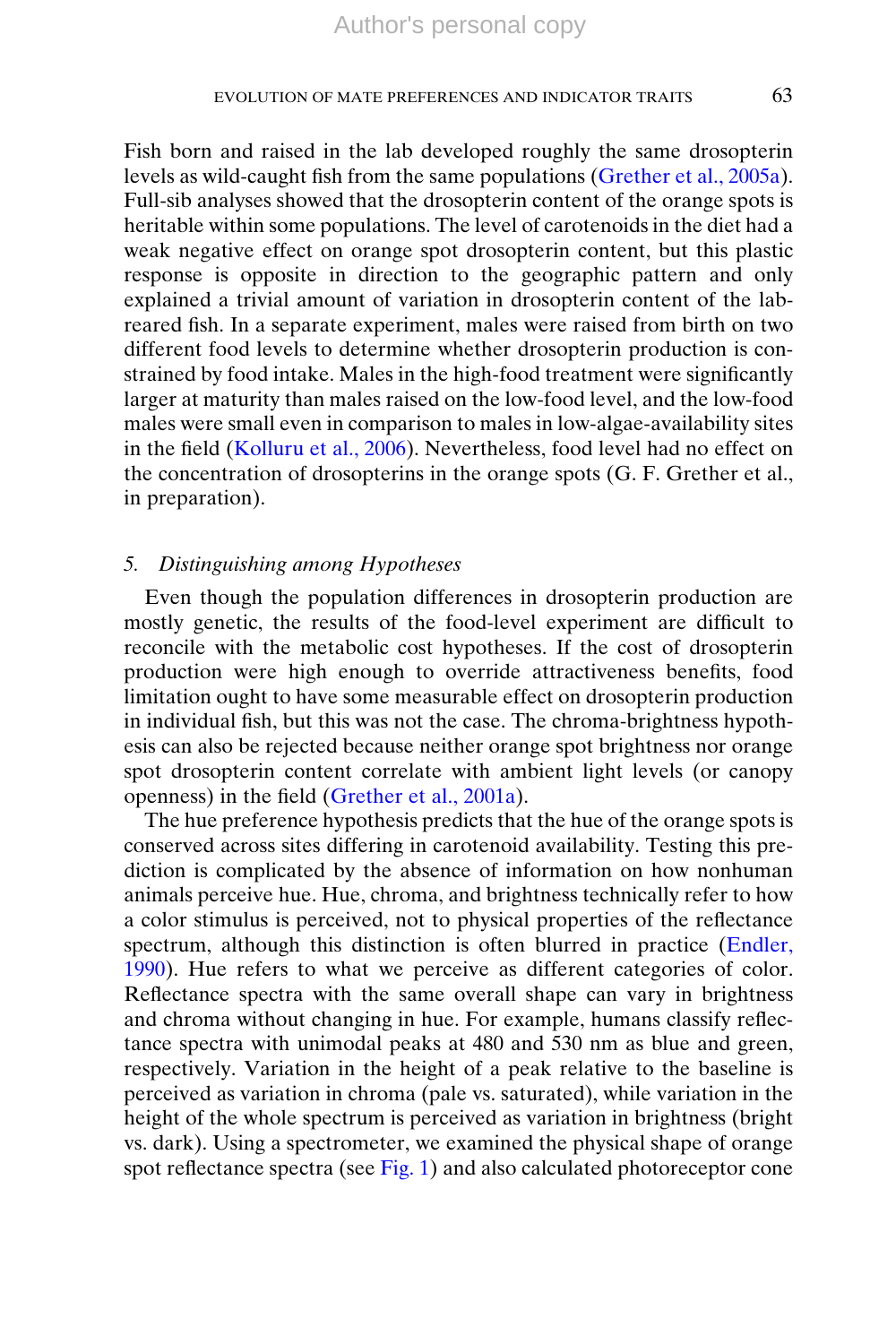Fish born and raised in the lab developed roughly the same drosopterin levels as wild-caught fish from the same populations (Grether et al., 2005a). Full-sib analyses showed that the drosopterin content of the orange spots is heritable within some populations. The level of carotenoids in the diet had a weak negative effect on orange spot drosopterin content, but this plastic response is opposite in direction to the geographic pattern and only explained a trivial amount of variation in drosopterin content of the labreared fish. In a separate experiment, males were raised from birth on two different food levels to determine whether drosopterin production is constrained by food intake. Males in the high-food treatment were significantly larger at maturity than males raised on the low-food level, and the low-food males were small even in comparison to males in low-algae-availability sites in the field (Kolluru et al., 2006). Nevertheless, food level had no effect on the concentration of drosopterins in the orange spots (G. F. Grether et al., in preparation).

## 5. Distinguishing among Hypotheses

Even though the population differences in drosopterin production are mostly genetic, the results of the food-level experiment are difficult to reconcile with the metabolic cost hypotheses. If the cost of drosopterin production were high enough to override attractiveness benefits, food limitation ought to have some measurable effect on drosopterin production in individual fish, but this was not the case. The chroma-brightness hypothesis can also be rejected because neither orange spot brightness nor orange spot drosopterin content correlate with ambient light levels (or canopy openness) in the field (Grether et al., 2001a).

The hue preference hypothesis predicts that the hue of the orange spots is conserved across sites differing in carotenoid availability. Testing this prediction is complicated by the absence of information on how nonhuman animals perceive hue. Hue, chroma, and brightness technically refer to how a color stimulus is perceived, not to physical properties of the reflectance spectrum, although this distinction is often blurred in practice (Endler, 1990). Hue refers to what we perceive as different categories of color. Reflectance spectra with the same overall shape can vary in brightness and chroma without changing in hue. For example, humans classify reflectance spectra with unimodal peaks at 480 and 530 nm as blue and green, respectively. Variation in the height of a peak relative to the baseline is perceived as variation in chroma (pale vs. saturated), while variation in the height of the whole spectrum is perceived as variation in brightness (bright vs. dark). Using a spectrometer, we examined the physical shape of orange spot reflectance spectra (see Fig. 1) and also calculated photoreceptor cone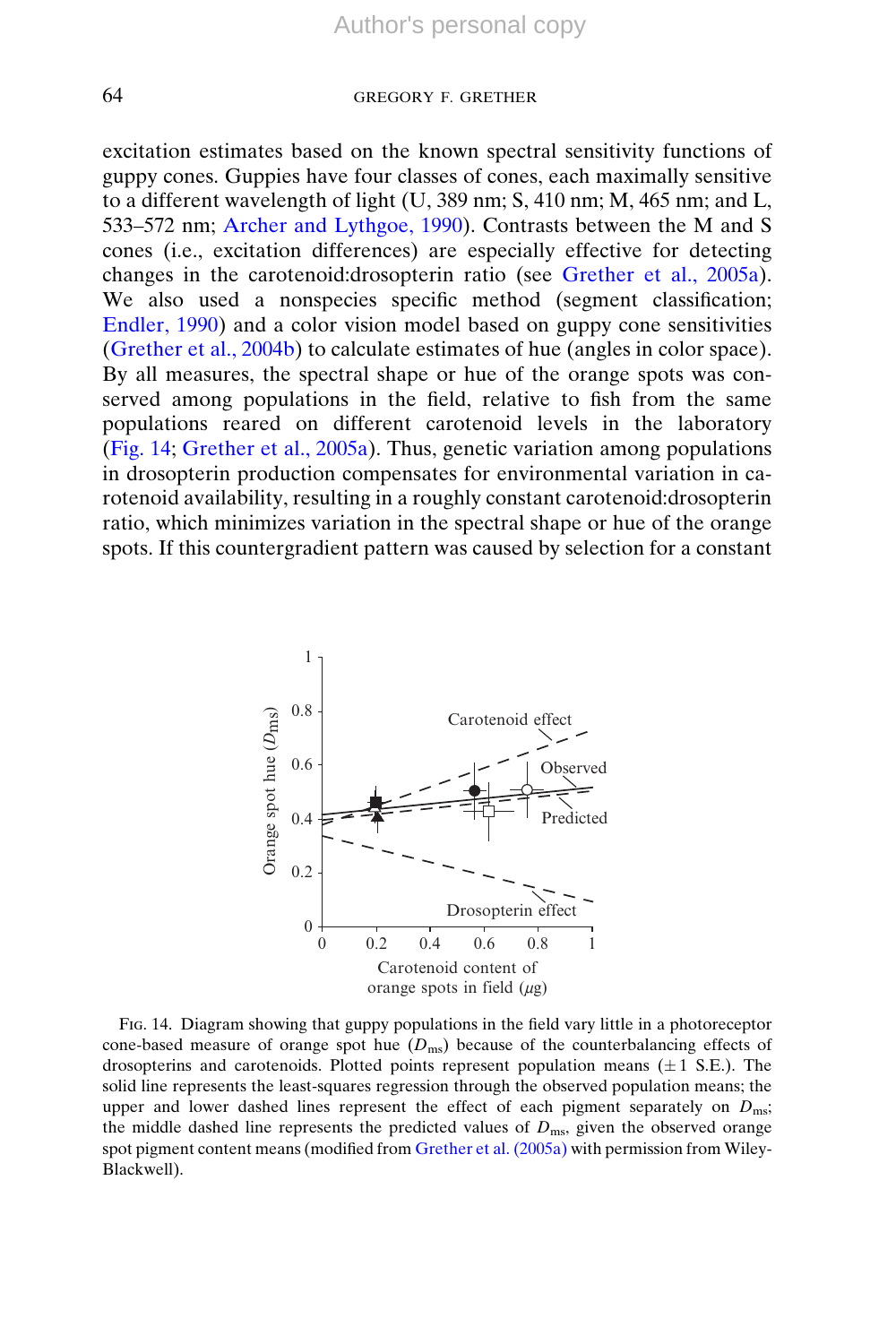excitation estimates based on the known spectral sensitivity functions of guppy cones. Guppies have four classes of cones, each maximally sensitive to a different wavelength of light (U, 389 nm; S, 410 nm; M, 465 nm; and L, 533–572 nm; Archer and Lythgoe, 1990). Contrasts between the M and S cones (i.e., excitation differences) are especially effective for detecting changes in the carotenoid:drosopterin ratio (see Grether et al., 2005a). We also used a nonspecies specific method (segment classification; Endler, 1990) and a color vision model based on guppy cone sensitivities (Grether et al., 2004b) to calculate estimates of hue (angles in color space). By all measures, the spectral shape or hue of the orange spots was conserved among populations in the field, relative to fish from the same populations reared on different carotenoid levels in the laboratory (Fig. 14; Grether et al., 2005a). Thus, genetic variation among populations in drosopterin production compensates for environmental variation in carotenoid availability, resulting in a roughly constant carotenoid:drosopterin ratio, which minimizes variation in the spectral shape or hue of the orange spots. If this countergradient pattern was caused by selection for a constant



Fig. 14. Diagram showing that guppy populations in the field vary little in a photoreceptor cone-based measure of orange spot hue  $(D_{\text{ms}})$  because of the counterbalancing effects of drosopterins and carotenoids. Plotted points represent population means  $(\pm 1 \text{ S.E.})$ . The solid line represents the least-squares regression through the observed population means; the upper and lower dashed lines represent the effect of each pigment separately on  $D_{\text{ms}}$ ; the middle dashed line represents the predicted values of  $D_{\text{ms}}$ , given the observed orange spot pigment content means (modified from Grether et al. (2005a) with permission from Wiley-Blackwell).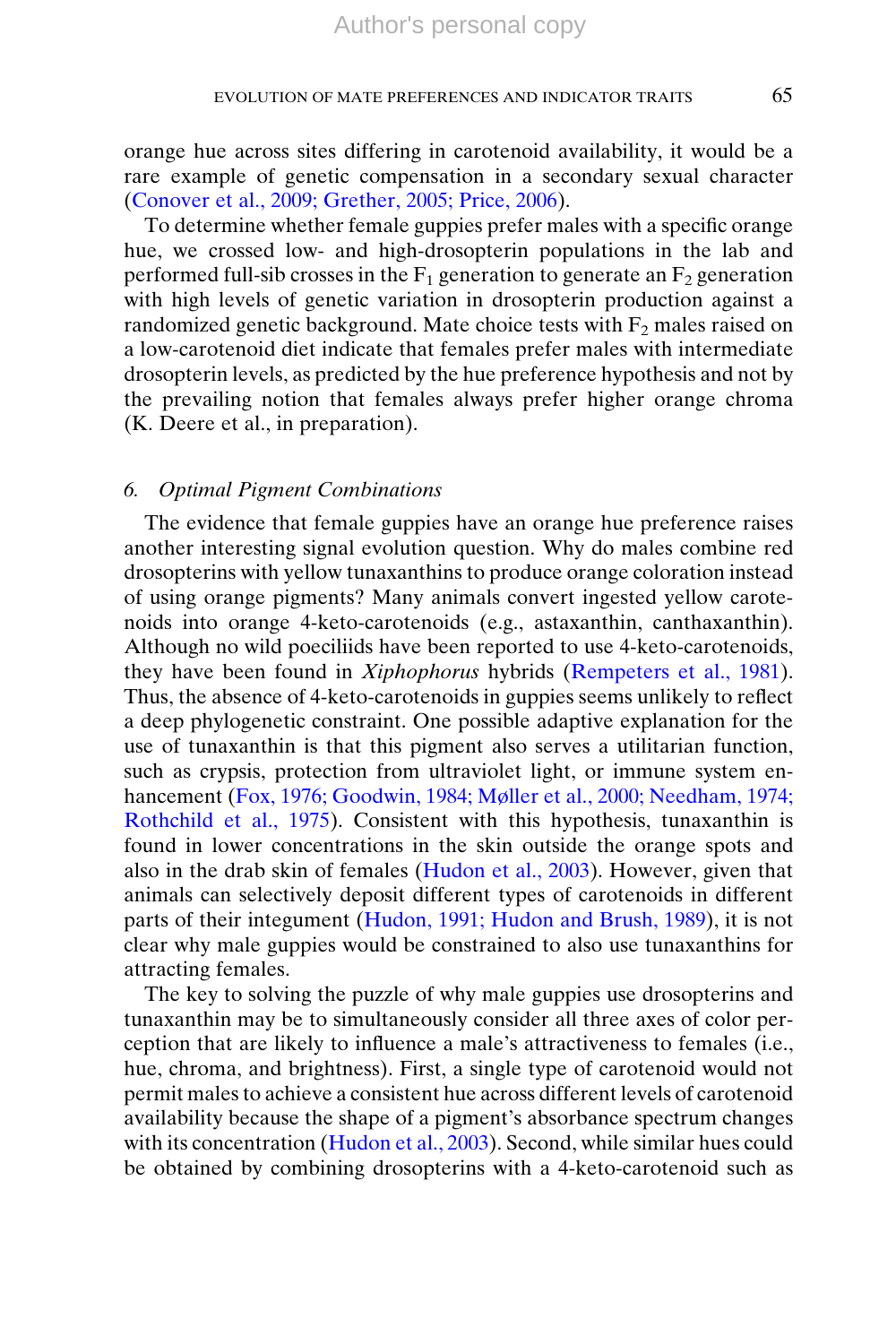orange hue across sites differing in carotenoid availability, it would be a rare example of genetic compensation in a secondary sexual character (Conover et al., 2009; Grether, 2005; Price, 2006).

To determine whether female guppies prefer males with a specific orange hue, we crossed low- and high-drosopterin populations in the lab and performed full-sib crosses in the  $F_1$  generation to generate an  $F_2$  generation with high levels of genetic variation in drosopterin production against a randomized genetic background. Mate choice tests with  $F_2$  males raised on a low-carotenoid diet indicate that females prefer males with intermediate drosopterin levels, as predicted by the hue preference hypothesis and not by the prevailing notion that females always prefer higher orange chroma (K. Deere et al., in preparation).

## 6. Optimal Pigment Combinations

The evidence that female guppies have an orange hue preference raises another interesting signal evolution question. Why do males combine red drosopterins with yellow tunaxanthins to produce orange coloration instead of using orange pigments? Many animals convert ingested yellow carotenoids into orange 4-keto-carotenoids (e.g., astaxanthin, canthaxanthin). Although no wild poeciliids have been reported to use 4-keto-carotenoids, they have been found in Xiphophorus hybrids (Rempeters et al., 1981). Thus, the absence of 4-keto-carotenoids in guppies seems unlikely to reflect a deep phylogenetic constraint. One possible adaptive explanation for the use of tunaxanthin is that this pigment also serves a utilitarian function, such as crypsis, protection from ultraviolet light, or immune system enhancement (Fox, 1976; Goodwin, 1984; Møller et al., 2000; Needham, 1974; Rothchild et al., 1975). Consistent with this hypothesis, tunaxanthin is found in lower concentrations in the skin outside the orange spots and also in the drab skin of females (Hudon et al., 2003). However, given that animals can selectively deposit different types of carotenoids in different parts of their integument (Hudon, 1991; Hudon and Brush, 1989), it is not clear why male guppies would be constrained to also use tunaxanthins for attracting females.

The key to solving the puzzle of why male guppies use drosopterins and tunaxanthin may be to simultaneously consider all three axes of color perception that are likely to influence a male's attractiveness to females (i.e., hue, chroma, and brightness). First, a single type of carotenoid would not permit males to achieve a consistent hue across different levels of carotenoid availability because the shape of a pigment's absorbance spectrum changes with its concentration (Hudon et al., 2003). Second, while similar hues could be obtained by combining drosopterins with a 4-keto-carotenoid such as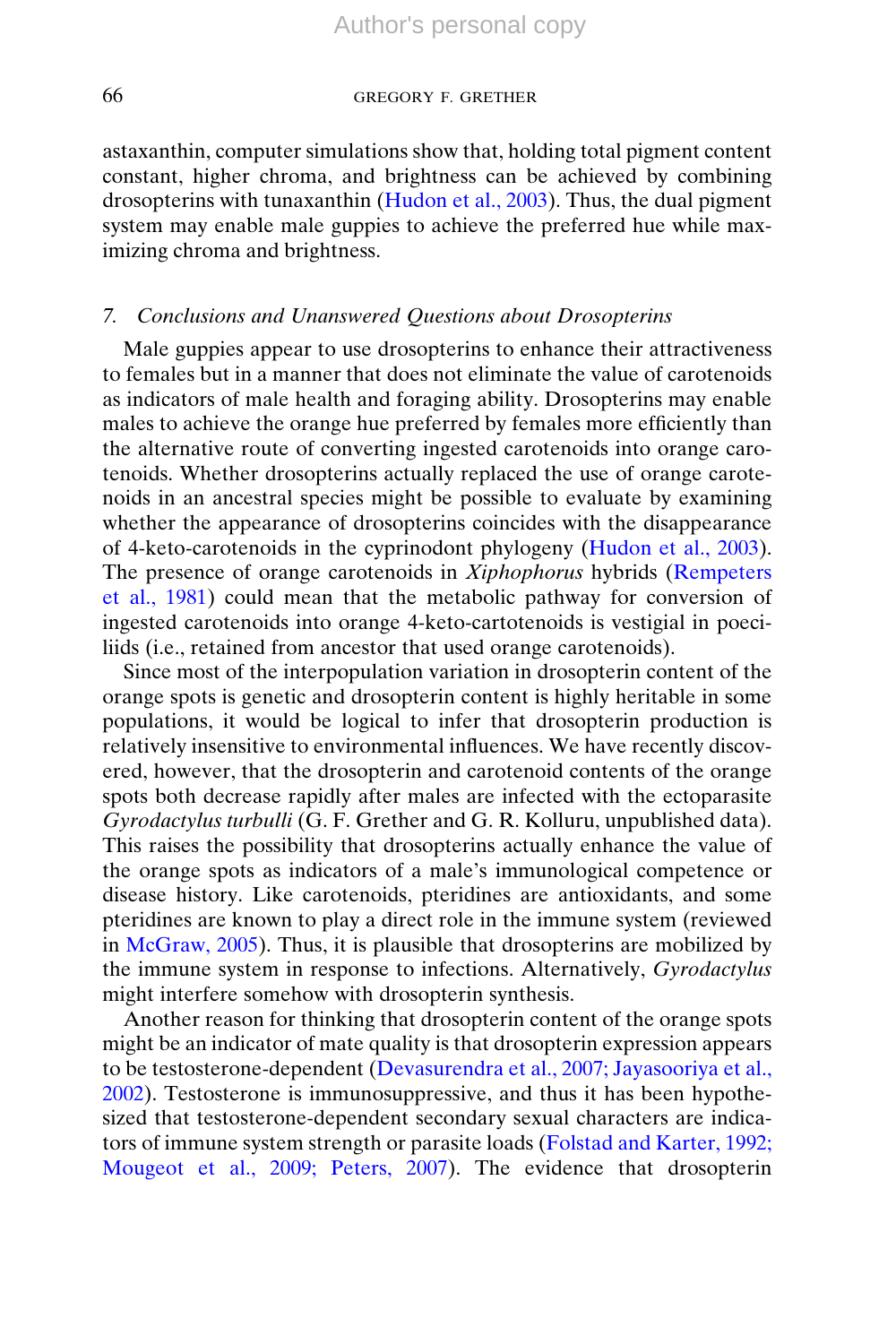astaxanthin, computer simulations show that, holding total pigment content constant, higher chroma, and brightness can be achieved by combining drosopterins with tunaxanthin (Hudon et al., 2003). Thus, the dual pigment system may enable male guppies to achieve the preferred hue while maximizing chroma and brightness.

## 7. Conclusions and Unanswered Questions about Drosopterins

Male guppies appear to use drosopterins to enhance their attractiveness to females but in a manner that does not eliminate the value of carotenoids as indicators of male health and foraging ability. Drosopterins may enable males to achieve the orange hue preferred by females more efficiently than the alternative route of converting ingested carotenoids into orange carotenoids. Whether drosopterins actually replaced the use of orange carotenoids in an ancestral species might be possible to evaluate by examining whether the appearance of drosopterins coincides with the disappearance of 4-keto-carotenoids in the cyprinodont phylogeny (Hudon et al., 2003). The presence of orange carotenoids in *Xiphophorus* hybrids (Rempeters et al., 1981) could mean that the metabolic pathway for conversion of ingested carotenoids into orange 4-keto-cartotenoids is vestigial in poeciliids (i.e., retained from ancestor that used orange carotenoids).

Since most of the interpopulation variation in drosopterin content of the orange spots is genetic and drosopterin content is highly heritable in some populations, it would be logical to infer that drosopterin production is relatively insensitive to environmental influences. We have recently discovered, however, that the drosopterin and carotenoid contents of the orange spots both decrease rapidly after males are infected with the ectoparasite Gyrodactylus turbulli (G. F. Grether and G. R. Kolluru, unpublished data). This raises the possibility that drosopterins actually enhance the value of the orange spots as indicators of a male's immunological competence or disease history. Like carotenoids, pteridines are antioxidants, and some pteridines are known to play a direct role in the immune system (reviewed in McGraw, 2005). Thus, it is plausible that drosopterins are mobilized by the immune system in response to infections. Alternatively, Gyrodactylus might interfere somehow with drosopterin synthesis.

Another reason for thinking that drosopterin content of the orange spots might be an indicator of mate quality is that drosopterin expression appears to be testosterone-dependent (Devasurendra et al., 2007; Jayasooriya et al., 2002). Testosterone is immunosuppressive, and thus it has been hypothesized that testosterone-dependent secondary sexual characters are indicators of immune system strength or parasite loads (Folstad and Karter, 1992; Mougeot et al., 2009; Peters, 2007). The evidence that drosopterin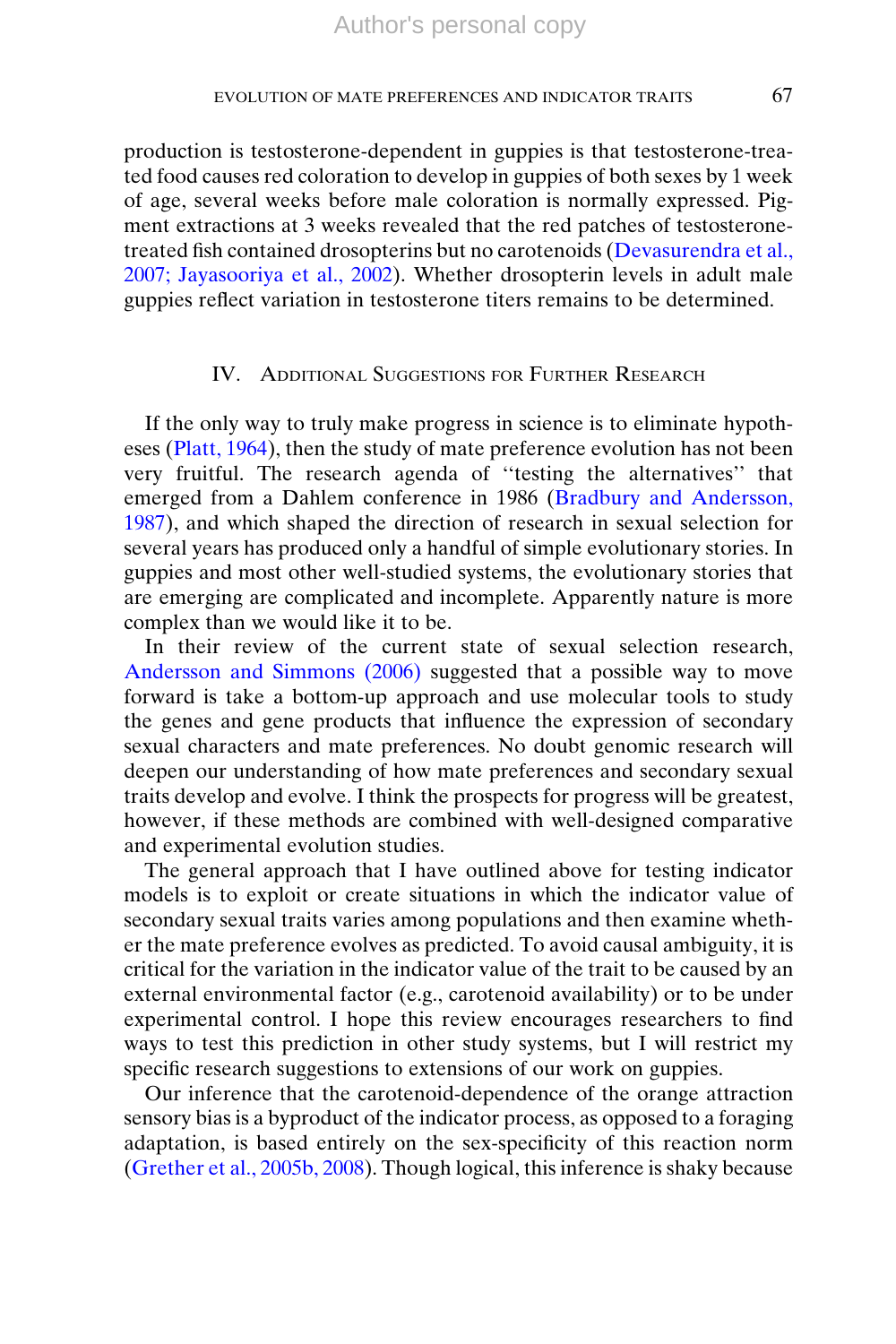production is testosterone-dependent in guppies is that testosterone-treated food causes red coloration to develop in guppies of both sexes by 1 week of age, several weeks before male coloration is normally expressed. Pigment extractions at 3 weeks revealed that the red patches of testosteronetreated fish contained drosopterins but no carotenoids (Devasurendra et al., 2007; Jayasooriya et al., 2002). Whether drosopterin levels in adult male guppies reflect variation in testosterone titers remains to be determined.

## IV. ADDITIONAL SUGGESTIONS FOR FURTHER RESEARCH

If the only way to truly make progress in science is to eliminate hypotheses (Platt, 1964), then the study of mate preference evolution has not been very fruitful. The research agenda of ''testing the alternatives'' that emerged from a Dahlem conference in 1986 (Bradbury and Andersson, 1987), and which shaped the direction of research in sexual selection for several years has produced only a handful of simple evolutionary stories. In guppies and most other well-studied systems, the evolutionary stories that are emerging are complicated and incomplete. Apparently nature is more complex than we would like it to be.

In their review of the current state of sexual selection research, Andersson and Simmons (2006) suggested that a possible way to move forward is take a bottom-up approach and use molecular tools to study the genes and gene products that influence the expression of secondary sexual characters and mate preferences. No doubt genomic research will deepen our understanding of how mate preferences and secondary sexual traits develop and evolve. I think the prospects for progress will be greatest, however, if these methods are combined with well-designed comparative and experimental evolution studies.

The general approach that I have outlined above for testing indicator models is to exploit or create situations in which the indicator value of secondary sexual traits varies among populations and then examine whether the mate preference evolves as predicted. To avoid causal ambiguity, it is critical for the variation in the indicator value of the trait to be caused by an external environmental factor (e.g., carotenoid availability) or to be under experimental control. I hope this review encourages researchers to find ways to test this prediction in other study systems, but I will restrict my specific research suggestions to extensions of our work on guppies.

Our inference that the carotenoid-dependence of the orange attraction sensory bias is a byproduct of the indicator process, as opposed to a foraging adaptation, is based entirely on the sex-specificity of this reaction norm (Grether et al., 2005b, 2008). Though logical, this inference is shaky because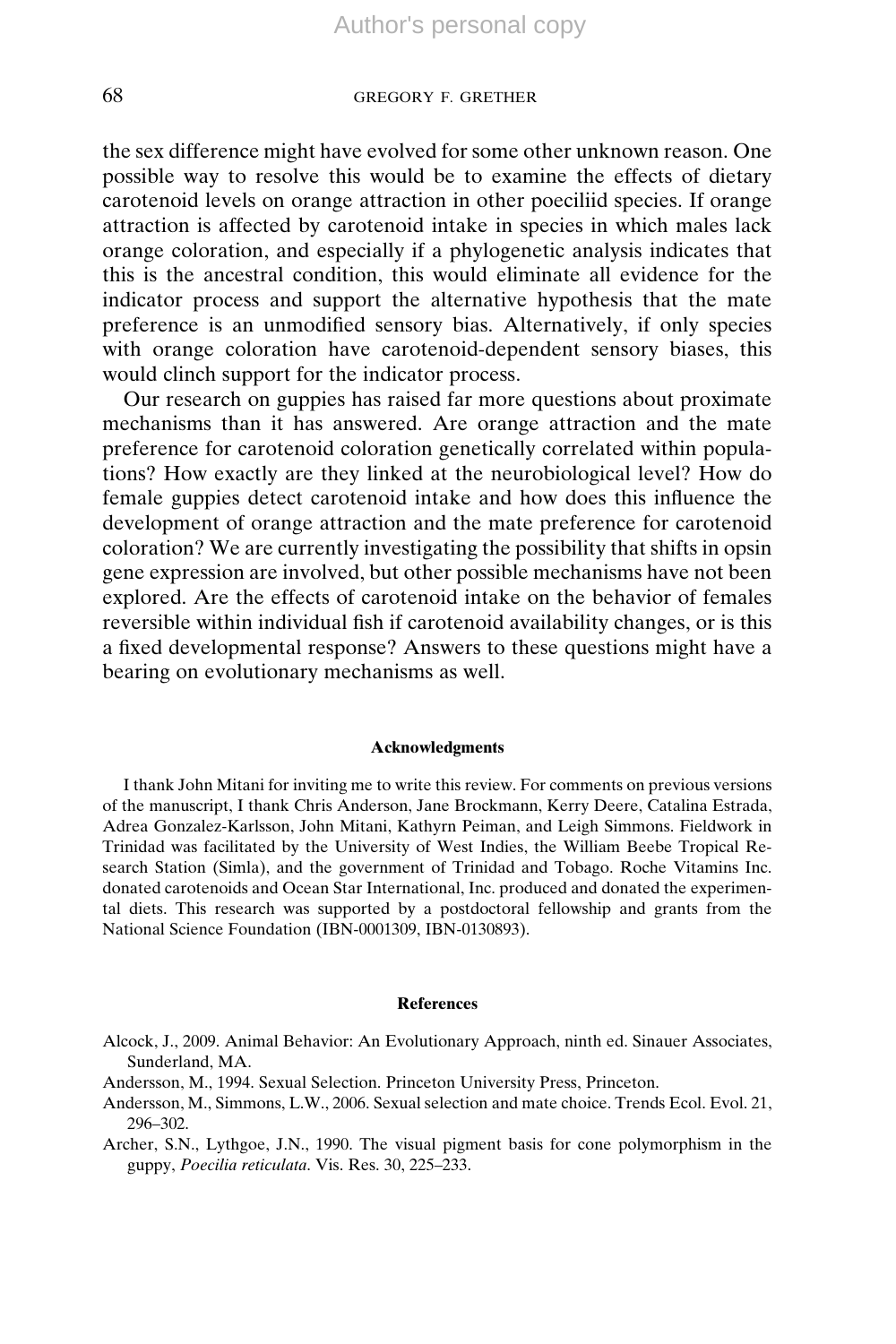the sex difference might have evolved for some other unknown reason. One possible way to resolve this would be to examine the effects of dietary carotenoid levels on orange attraction in other poeciliid species. If orange attraction is affected by carotenoid intake in species in which males lack orange coloration, and especially if a phylogenetic analysis indicates that this is the ancestral condition, this would eliminate all evidence for the indicator process and support the alternative hypothesis that the mate preference is an unmodified sensory bias. Alternatively, if only species with orange coloration have carotenoid-dependent sensory biases, this would clinch support for the indicator process.

Our research on guppies has raised far more questions about proximate mechanisms than it has answered. Are orange attraction and the mate preference for carotenoid coloration genetically correlated within populations? How exactly are they linked at the neurobiological level? How do female guppies detect carotenoid intake and how does this influence the development of orange attraction and the mate preference for carotenoid coloration? We are currently investigating the possibility that shifts in opsin gene expression are involved, but other possible mechanisms have not been explored. Are the effects of carotenoid intake on the behavior of females reversible within individual fish if carotenoid availability changes, or is this a fixed developmental response? Answers to these questions might have a bearing on evolutionary mechanisms as well.

#### Acknowledgments

I thank John Mitani for inviting me to write this review. For comments on previous versions of the manuscript, I thank Chris Anderson, Jane Brockmann, Kerry Deere, Catalina Estrada, Adrea Gonzalez-Karlsson, John Mitani, Kathyrn Peiman, and Leigh Simmons. Fieldwork in Trinidad was facilitated by the University of West Indies, the William Beebe Tropical Research Station (Simla), and the government of Trinidad and Tobago. Roche Vitamins Inc. donated carotenoids and Ocean Star International, Inc. produced and donated the experimental diets. This research was supported by a postdoctoral fellowship and grants from the National Science Foundation (IBN-0001309, IBN-0130893).

#### References

- Alcock, J., 2009. Animal Behavior: An Evolutionary Approach, ninth ed. Sinauer Associates, Sunderland, MA.
- Andersson, M., 1994. Sexual Selection. Princeton University Press, Princeton.
- Andersson, M., Simmons, L.W., 2006. Sexual selection and mate choice. Trends Ecol. Evol. 21, 296–302.
- Archer, S.N., Lythgoe, J.N., 1990. The visual pigment basis for cone polymorphism in the guppy, Poecilia reticulata. Vis. Res. 30, 225–233.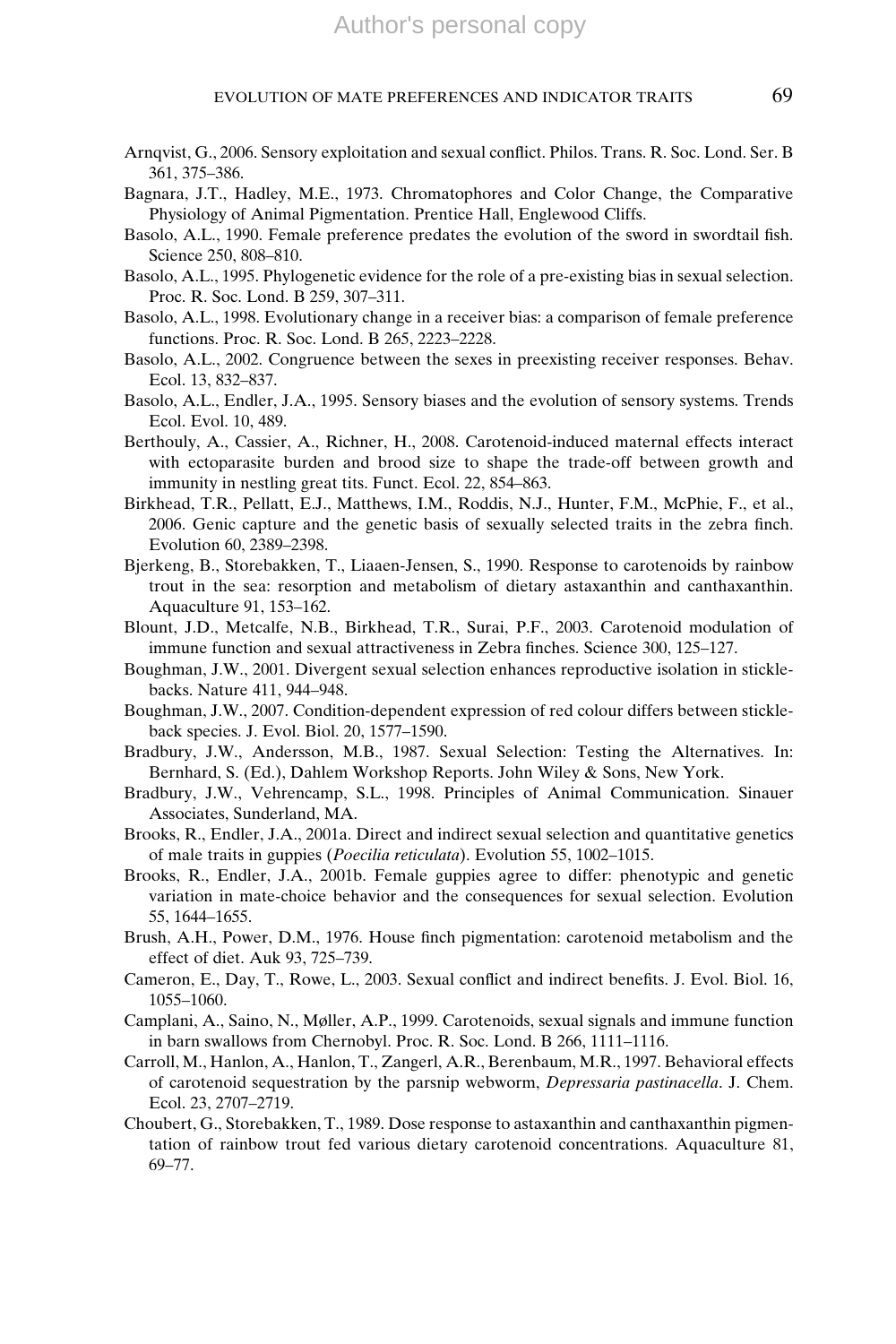- Arnqvist, G., 2006. Sensory exploitation and sexual conflict. Philos. Trans. R. Soc. Lond. Ser. B 361, 375–386.
- Bagnara, J.T., Hadley, M.E., 1973. Chromatophores and Color Change, the Comparative Physiology of Animal Pigmentation. Prentice Hall, Englewood Cliffs.
- Basolo, A.L., 1990. Female preference predates the evolution of the sword in swordtail fish. Science 250, 808–810.
- Basolo, A.L., 1995. Phylogenetic evidence for the role of a pre-existing bias in sexual selection. Proc. R. Soc. Lond. B 259, 307–311.
- Basolo, A.L., 1998. Evolutionary change in a receiver bias: a comparison of female preference functions. Proc. R. Soc. Lond. B 265, 2223–2228.
- Basolo, A.L., 2002. Congruence between the sexes in preexisting receiver responses. Behav. Ecol. 13, 832–837.
- Basolo, A.L., Endler, J.A., 1995. Sensory biases and the evolution of sensory systems. Trends Ecol. Evol. 10, 489.
- Berthouly, A., Cassier, A., Richner, H., 2008. Carotenoid-induced maternal effects interact with ectoparasite burden and brood size to shape the trade-off between growth and immunity in nestling great tits. Funct. Ecol. 22, 854–863.
- Birkhead, T.R., Pellatt, E.J., Matthews, I.M., Roddis, N.J., Hunter, F.M., McPhie, F., et al., 2006. Genic capture and the genetic basis of sexually selected traits in the zebra finch. Evolution 60, 2389–2398.
- Bjerkeng, B., Storebakken, T., Liaaen-Jensen, S., 1990. Response to carotenoids by rainbow trout in the sea: resorption and metabolism of dietary astaxanthin and canthaxanthin. Aquaculture 91, 153–162.
- Blount, J.D., Metcalfe, N.B., Birkhead, T.R., Surai, P.F., 2003. Carotenoid modulation of immune function and sexual attractiveness in Zebra finches. Science 300, 125–127.
- Boughman, J.W., 2001. Divergent sexual selection enhances reproductive isolation in sticklebacks. Nature 411, 944–948.
- Boughman, J.W., 2007. Condition-dependent expression of red colour differs between stickleback species. J. Evol. Biol. 20, 1577–1590.
- Bradbury, J.W., Andersson, M.B., 1987. Sexual Selection: Testing the Alternatives. In: Bernhard, S. (Ed.), Dahlem Workshop Reports. John Wiley & Sons, New York.
- Bradbury, J.W., Vehrencamp, S.L., 1998. Principles of Animal Communication. Sinauer Associates, Sunderland, MA.
- Brooks, R., Endler, J.A., 2001a. Direct and indirect sexual selection and quantitative genetics of male traits in guppies (Poecilia reticulata). Evolution 55, 1002–1015.
- Brooks, R., Endler, J.A., 2001b. Female guppies agree to differ: phenotypic and genetic variation in mate-choice behavior and the consequences for sexual selection. Evolution 55, 1644–1655.
- Brush, A.H., Power, D.M., 1976. House finch pigmentation: carotenoid metabolism and the effect of diet. Auk 93, 725–739.
- Cameron, E., Day, T., Rowe, L., 2003. Sexual conflict and indirect benefits. J. Evol. Biol. 16, 1055–1060.
- Camplani, A., Saino, N., Møller, A.P., 1999. Carotenoids, sexual signals and immune function in barn swallows from Chernobyl. Proc. R. Soc. Lond. B 266, 1111–1116.
- Carroll, M., Hanlon, A., Hanlon, T., Zangerl, A.R., Berenbaum, M.R., 1997. Behavioral effects of carotenoid sequestration by the parsnip webworm, Depressaria pastinacella. J. Chem. Ecol. 23, 2707–2719.
- Choubert, G., Storebakken, T., 1989. Dose response to astaxanthin and canthaxanthin pigmentation of rainbow trout fed various dietary carotenoid concentrations. Aquaculture 81, 69–77.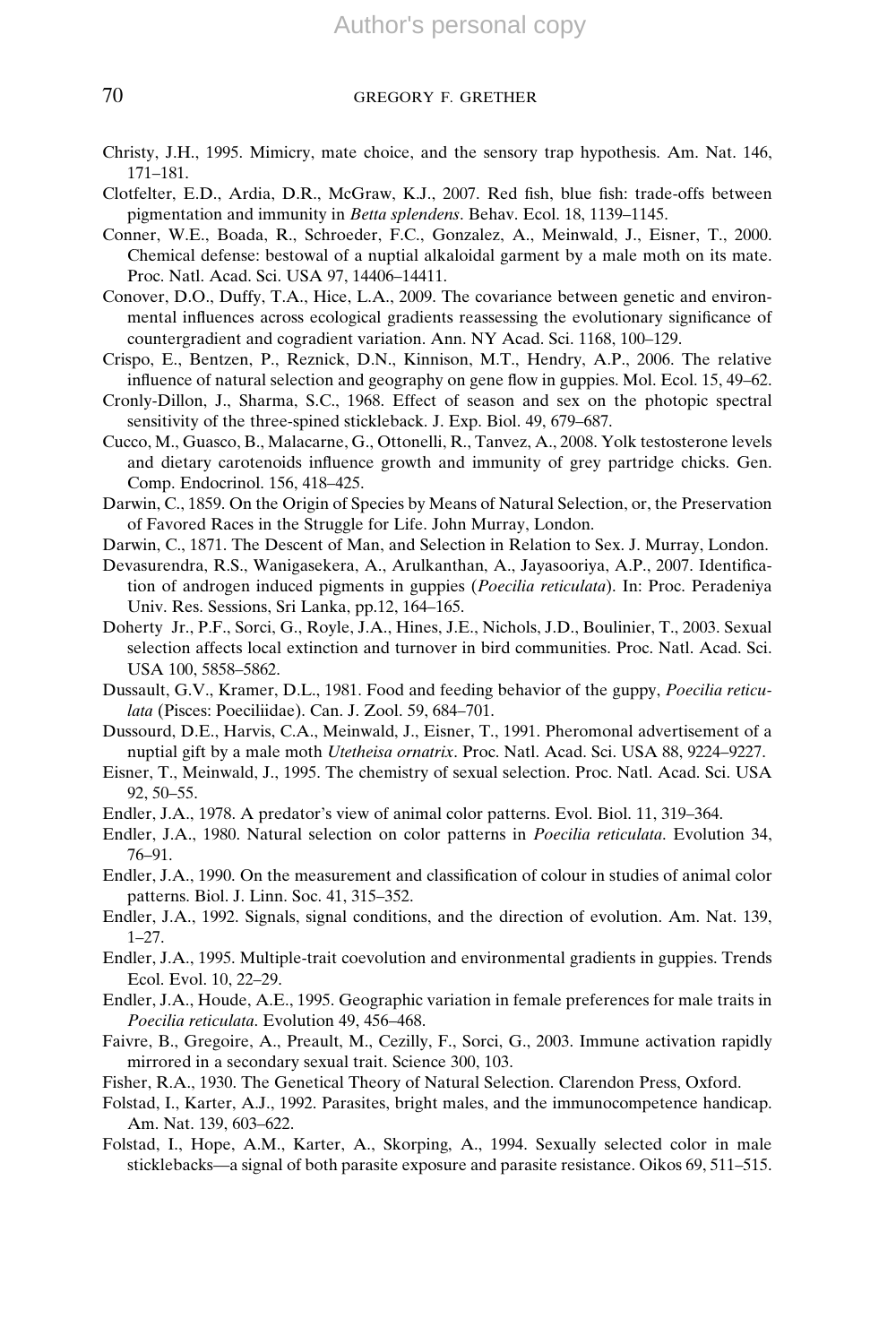- Christy, J.H., 1995. Mimicry, mate choice, and the sensory trap hypothesis. Am. Nat. 146, 171–181.
- Clotfelter, E.D., Ardia, D.R., McGraw, K.J., 2007. Red fish, blue fish: trade-offs between pigmentation and immunity in Betta splendens. Behav. Ecol. 18, 1139–1145.
- Conner, W.E., Boada, R., Schroeder, F.C., Gonzalez, A., Meinwald, J., Eisner, T., 2000. Chemical defense: bestowal of a nuptial alkaloidal garment by a male moth on its mate. Proc. Natl. Acad. Sci. USA 97, 14406–14411.
- Conover, D.O., Duffy, T.A., Hice, L.A., 2009. The covariance between genetic and environmental influences across ecological gradients reassessing the evolutionary significance of countergradient and cogradient variation. Ann. NY Acad. Sci. 1168, 100–129.
- Crispo, E., Bentzen, P., Reznick, D.N., Kinnison, M.T., Hendry, A.P., 2006. The relative influence of natural selection and geography on gene flow in guppies. Mol. Ecol. 15, 49–62.
- Cronly-Dillon, J., Sharma, S.C., 1968. Effect of season and sex on the photopic spectral sensitivity of the three-spined stickleback. J. Exp. Biol. 49, 679–687.
- Cucco, M., Guasco, B., Malacarne, G., Ottonelli, R., Tanvez, A., 2008. Yolk testosterone levels and dietary carotenoids influence growth and immunity of grey partridge chicks. Gen. Comp. Endocrinol. 156, 418–425.
- Darwin, C., 1859. On the Origin of Species by Means of Natural Selection, or, the Preservation of Favored Races in the Struggle for Life. John Murray, London.
- Darwin, C., 1871. The Descent of Man, and Selection in Relation to Sex. J. Murray, London.
- Devasurendra, R.S., Wanigasekera, A., Arulkanthan, A., Jayasooriya, A.P., 2007. Identification of androgen induced pigments in guppies (Poecilia reticulata). In: Proc. Peradeniya Univ. Res. Sessions, Sri Lanka, pp.12, 164–165.
- Doherty Jr., P.F., Sorci, G., Royle, J.A., Hines, J.E., Nichols, J.D., Boulinier, T., 2003. Sexual selection affects local extinction and turnover in bird communities. Proc. Natl. Acad. Sci. USA 100, 5858–5862.
- Dussault, G.V., Kramer, D.L., 1981. Food and feeding behavior of the guppy, Poecilia reticulata (Pisces: Poeciliidae). Can. J. Zool. 59, 684–701.
- Dussourd, D.E., Harvis, C.A., Meinwald, J., Eisner, T., 1991. Pheromonal advertisement of a nuptial gift by a male moth *Utetheisa ornatrix*. Proc. Natl. Acad. Sci. USA 88, 9224–9227.
- Eisner, T., Meinwald, J., 1995. The chemistry of sexual selection. Proc. Natl. Acad. Sci. USA 92, 50–55.
- Endler, J.A., 1978. A predator's view of animal color patterns. Evol. Biol. 11, 319–364.
- Endler, J.A., 1980. Natural selection on color patterns in Poecilia reticulata. Evolution 34, 76–91.
- Endler, J.A., 1990. On the measurement and classification of colour in studies of animal color patterns. Biol. J. Linn. Soc. 41, 315–352.
- Endler, J.A., 1992. Signals, signal conditions, and the direction of evolution. Am. Nat. 139, 1–27.
- Endler, J.A., 1995. Multiple-trait coevolution and environmental gradients in guppies. Trends Ecol. Evol. 10, 22–29.
- Endler, J.A., Houde, A.E., 1995. Geographic variation in female preferences for male traits in Poecilia reticulata. Evolution 49, 456–468.
- Faivre, B., Gregoire, A., Preault, M., Cezilly, F., Sorci, G., 2003. Immune activation rapidly mirrored in a secondary sexual trait. Science 300, 103.
- Fisher, R.A., 1930. The Genetical Theory of Natural Selection. Clarendon Press, Oxford.
- Folstad, I., Karter, A.J., 1992. Parasites, bright males, and the immunocompetence handicap. Am. Nat. 139, 603–622.
- Folstad, I., Hope, A.M., Karter, A., Skorping, A., 1994. Sexually selected color in male sticklebacks—a signal of both parasite exposure and parasite resistance. Oikos 69, 511–515.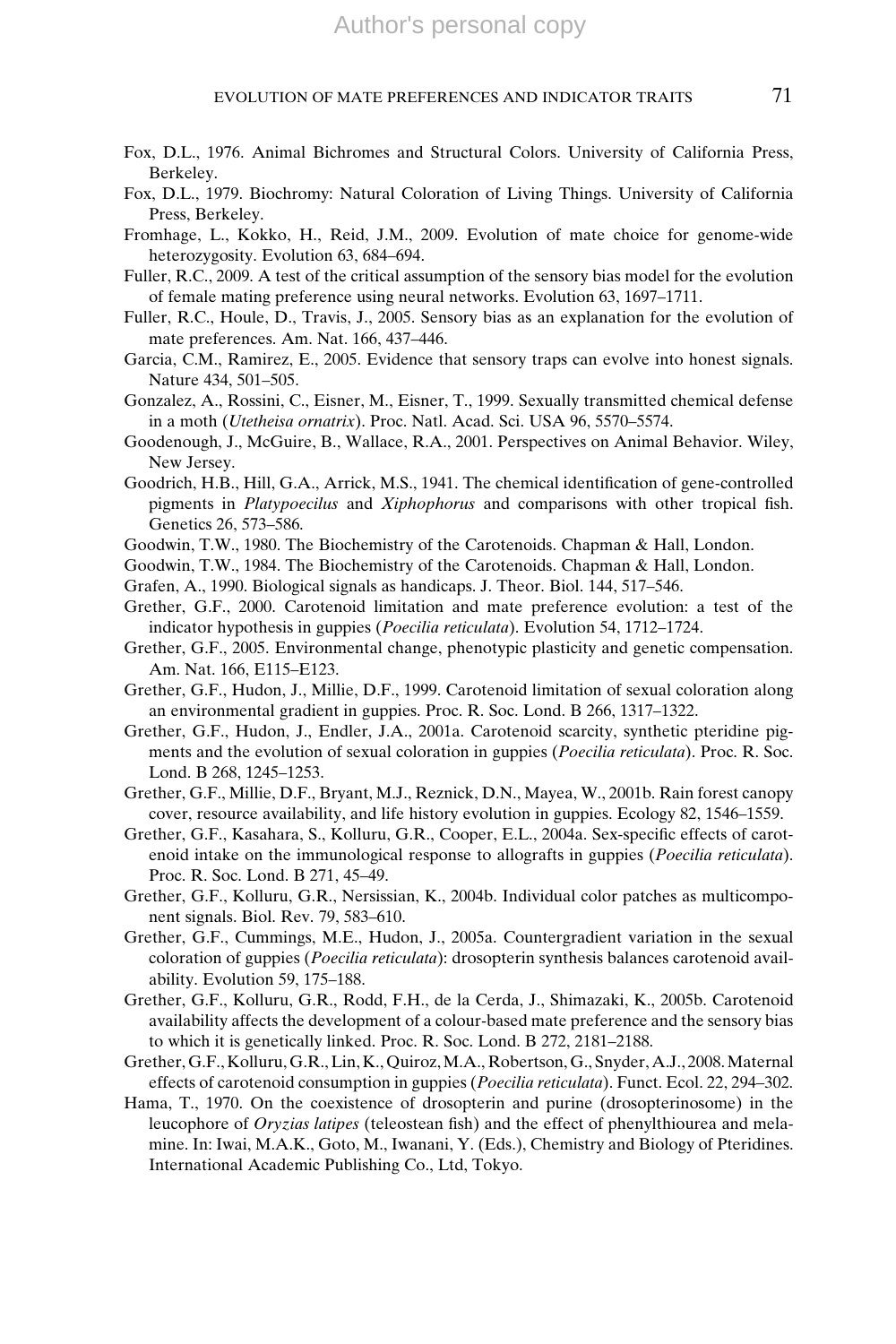- Fox, D.L., 1976. Animal Bichromes and Structural Colors. University of California Press, Berkeley.
- Fox, D.L., 1979. Biochromy: Natural Coloration of Living Things. University of California Press, Berkeley.
- Fromhage, L., Kokko, H., Reid, J.M., 2009. Evolution of mate choice for genome-wide heterozygosity. Evolution 63, 684–694.
- Fuller, R.C., 2009. A test of the critical assumption of the sensory bias model for the evolution of female mating preference using neural networks. Evolution 63, 1697–1711.
- Fuller, R.C., Houle, D., Travis, J., 2005. Sensory bias as an explanation for the evolution of mate preferences. Am. Nat. 166, 437–446.
- Garcia, C.M., Ramirez, E., 2005. Evidence that sensory traps can evolve into honest signals. Nature 434, 501–505.
- Gonzalez, A., Rossini, C., Eisner, M., Eisner, T., 1999. Sexually transmitted chemical defense in a moth (Utetheisa ornatrix). Proc. Natl. Acad. Sci. USA 96, 5570-5574.
- Goodenough, J., McGuire, B., Wallace, R.A., 2001. Perspectives on Animal Behavior. Wiley, New Jersey.
- Goodrich, H.B., Hill, G.A., Arrick, M.S., 1941. The chemical identification of gene-controlled pigments in Platypoecilus and Xiphophorus and comparisons with other tropical fish. Genetics 26, 573–586.
- Goodwin, T.W., 1980. The Biochemistry of the Carotenoids. Chapman & Hall, London.
- Goodwin, T.W., 1984. The Biochemistry of the Carotenoids. Chapman & Hall, London.
- Grafen, A., 1990. Biological signals as handicaps. J. Theor. Biol. 144, 517–546.
- Grether, G.F., 2000. Carotenoid limitation and mate preference evolution: a test of the indicator hypothesis in guppies (Poecilia reticulata). Evolution 54, 1712–1724.
- Grether, G.F., 2005. Environmental change, phenotypic plasticity and genetic compensation. Am. Nat. 166, E115–E123.
- Grether, G.F., Hudon, J., Millie, D.F., 1999. Carotenoid limitation of sexual coloration along an environmental gradient in guppies. Proc. R. Soc. Lond. B 266, 1317–1322.
- Grether, G.F., Hudon, J., Endler, J.A., 2001a. Carotenoid scarcity, synthetic pteridine pigments and the evolution of sexual coloration in guppies (*Poecilia reticulata*). Proc. R. Soc. Lond. B 268, 1245–1253.
- Grether, G.F., Millie, D.F., Bryant, M.J., Reznick, D.N., Mayea, W., 2001b. Rain forest canopy cover, resource availability, and life history evolution in guppies. Ecology 82, 1546–1559.
- Grether, G.F., Kasahara, S., Kolluru, G.R., Cooper, E.L., 2004a. Sex-specific effects of carotenoid intake on the immunological response to allografts in guppies (*Poecilia reticulata*). Proc. R. Soc. Lond. B 271, 45–49.
- Grether, G.F., Kolluru, G.R., Nersissian, K., 2004b. Individual color patches as multicomponent signals. Biol. Rev. 79, 583–610.
- Grether, G.F., Cummings, M.E., Hudon, J., 2005a. Countergradient variation in the sexual coloration of guppies (Poecilia reticulata): drosopterin synthesis balances carotenoid availability. Evolution 59, 175–188.
- Grether, G.F., Kolluru, G.R., Rodd, F.H., de la Cerda, J., Shimazaki, K., 2005b. Carotenoid availability affects the development of a colour-based mate preference and the sensory bias to which it is genetically linked. Proc. R. Soc. Lond. B 272, 2181–2188.
- Grether, G.F., Kolluru, G.R., Lin, K., Quiroz,M.A., Robertson, G., Snyder, A.J., 2008.Maternal effects of carotenoid consumption in guppies (*Poecilia reticulata*). Funct. Ecol. 22, 294–302.
- Hama, T., 1970. On the coexistence of drosopterin and purine (drosopterinosome) in the leucophore of Oryzias latipes (teleostean fish) and the effect of phenylthiourea and melamine. In: Iwai, M.A.K., Goto, M., Iwanani, Y. (Eds.), Chemistry and Biology of Pteridines. International Academic Publishing Co., Ltd, Tokyo.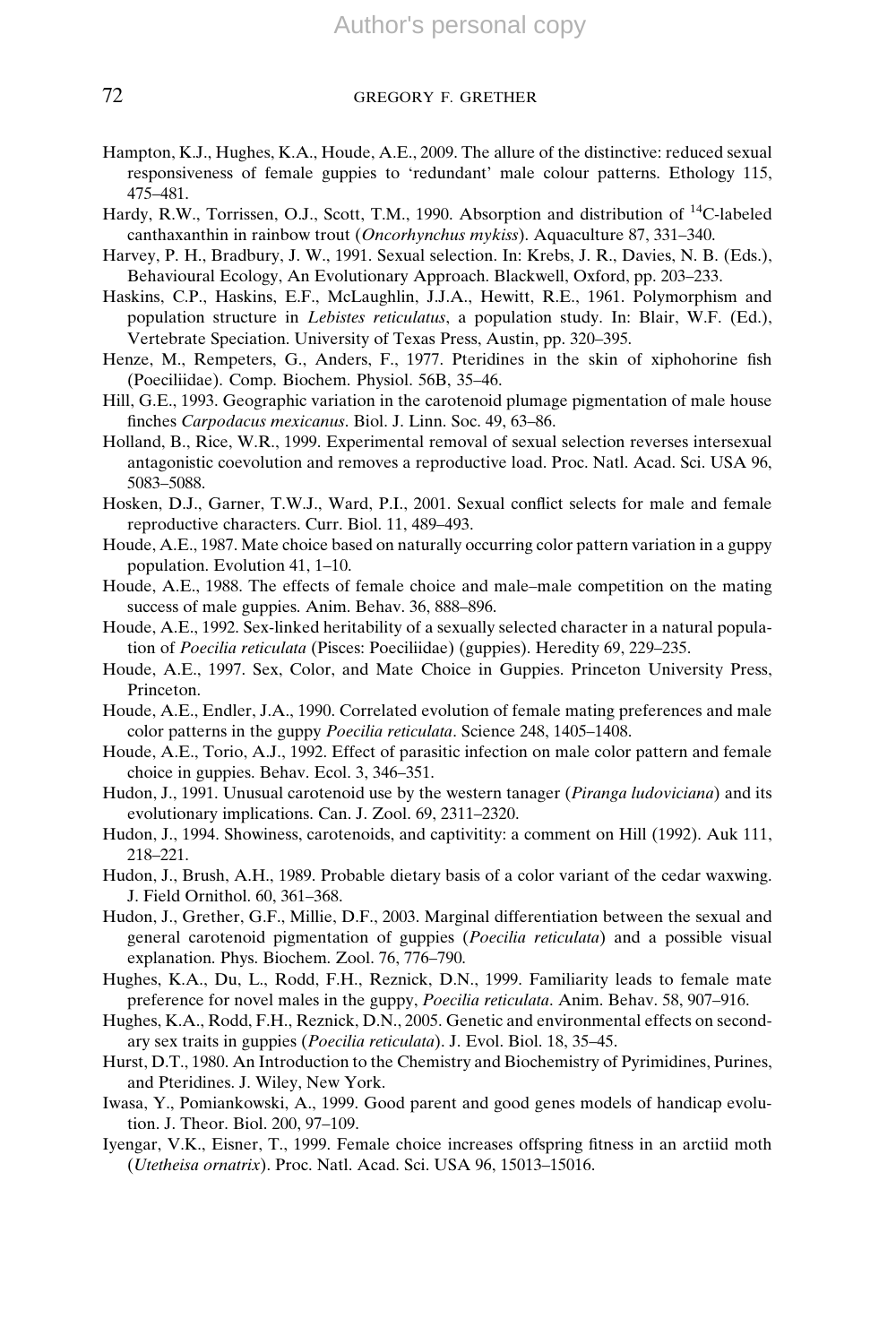- Hampton, K.J., Hughes, K.A., Houde, A.E., 2009. The allure of the distinctive: reduced sexual responsiveness of female guppies to 'redundant' male colour patterns. Ethology 115, 475–481.
- Hardy, R.W., Torrissen, O.J., Scott, T.M., 1990. Absorption and distribution of <sup>14</sup>C-labeled canthaxanthin in rainbow trout (Oncorhynchus mykiss). Aquaculture 87, 331–340.
- Harvey, P. H., Bradbury, J. W., 1991. Sexual selection. In: Krebs, J. R., Davies, N. B. (Eds.), Behavioural Ecology, An Evolutionary Approach. Blackwell, Oxford, pp. 203–233.
- Haskins, C.P., Haskins, E.F., McLaughlin, J.J.A., Hewitt, R.E., 1961. Polymorphism and population structure in *Lebistes reticulatus*, a population study. In: Blair, W.F. (Ed.), Vertebrate Speciation. University of Texas Press, Austin, pp. 320–395.
- Henze, M., Rempeters, G., Anders, F., 1977. Pteridines in the skin of xiphohorine fish (Poeciliidae). Comp. Biochem. Physiol. 56B, 35–46.
- Hill, G.E., 1993. Geographic variation in the carotenoid plumage pigmentation of male house finches Carpodacus mexicanus. Biol. J. Linn. Soc. 49, 63–86.
- Holland, B., Rice, W.R., 1999. Experimental removal of sexual selection reverses intersexual antagonistic coevolution and removes a reproductive load. Proc. Natl. Acad. Sci. USA 96, 5083–5088.
- Hosken, D.J., Garner, T.W.J., Ward, P.I., 2001. Sexual conflict selects for male and female reproductive characters. Curr. Biol. 11, 489–493.
- Houde, A.E., 1987. Mate choice based on naturally occurring color pattern variation in a guppy population. Evolution 41, 1–10.
- Houde, A.E., 1988. The effects of female choice and male–male competition on the mating success of male guppies. Anim. Behav. 36, 888–896.
- Houde, A.E., 1992. Sex-linked heritability of a sexually selected character in a natural population of Poecilia reticulata (Pisces: Poeciliidae) (guppies). Heredity 69, 229–235.
- Houde, A.E., 1997. Sex, Color, and Mate Choice in Guppies. Princeton University Press, Princeton.
- Houde, A.E., Endler, J.A., 1990. Correlated evolution of female mating preferences and male color patterns in the guppy Poecilia reticulata. Science 248, 1405–1408.
- Houde, A.E., Torio, A.J., 1992. Effect of parasitic infection on male color pattern and female choice in guppies. Behav. Ecol. 3, 346–351.
- Hudon, J., 1991. Unusual carotenoid use by the western tanager (*Piranga ludoviciana*) and its evolutionary implications. Can. J. Zool. 69, 2311–2320.
- Hudon, J., 1994. Showiness, carotenoids, and captivitity: a comment on Hill (1992). Auk 111, 218–221.
- Hudon, J., Brush, A.H., 1989. Probable dietary basis of a color variant of the cedar waxwing. J. Field Ornithol. 60, 361–368.
- Hudon, J., Grether, G.F., Millie, D.F., 2003. Marginal differentiation between the sexual and general carotenoid pigmentation of guppies (Poecilia reticulata) and a possible visual explanation. Phys. Biochem. Zool. 76, 776–790.
- Hughes, K.A., Du, L., Rodd, F.H., Reznick, D.N., 1999. Familiarity leads to female mate preference for novel males in the guppy, Poecilia reticulata. Anim. Behav. 58, 907–916.
- Hughes, K.A., Rodd, F.H., Reznick, D.N., 2005. Genetic and environmental effects on secondary sex traits in guppies (Poecilia reticulata). J. Evol. Biol. 18, 35–45.
- Hurst, D.T., 1980. An Introduction to the Chemistry and Biochemistry of Pyrimidines, Purines, and Pteridines. J. Wiley, New York.
- Iwasa, Y., Pomiankowski, A., 1999. Good parent and good genes models of handicap evolution. J. Theor. Biol. 200, 97–109.
- Iyengar, V.K., Eisner, T., 1999. Female choice increases offspring fitness in an arctiid moth (Utetheisa ornatrix). Proc. Natl. Acad. Sci. USA 96, 15013–15016.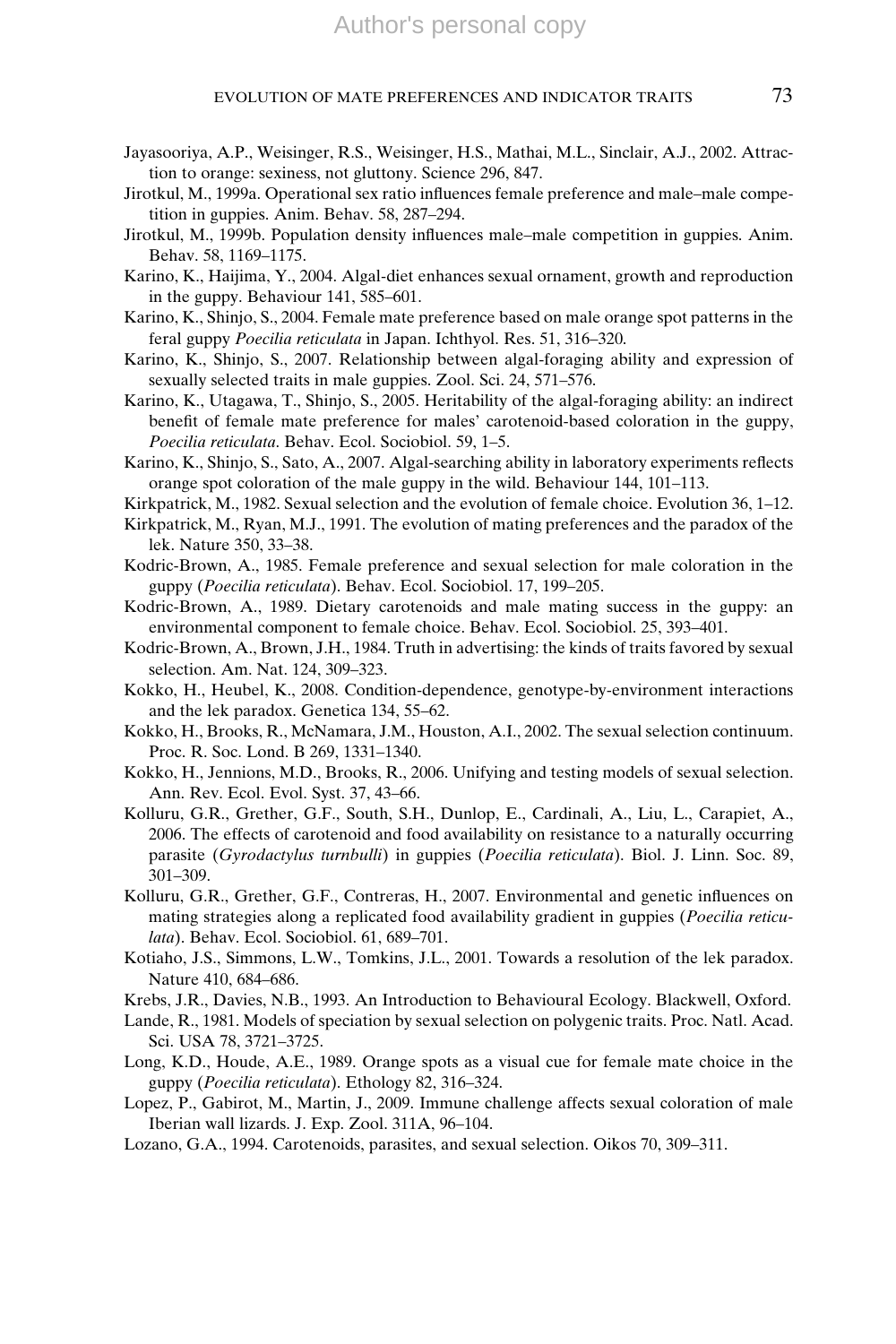- Jayasooriya, A.P., Weisinger, R.S., Weisinger, H.S., Mathai, M.L., Sinclair, A.J., 2002. Attraction to orange: sexiness, not gluttony. Science 296, 847.
- Jirotkul, M., 1999a. Operational sex ratio influences female preference and male–male competition in guppies. Anim. Behav. 58, 287–294.
- Jirotkul, M., 1999b. Population density influences male–male competition in guppies. Anim. Behav. 58, 1169–1175.
- Karino, K., Haijima, Y., 2004. Algal-diet enhances sexual ornament, growth and reproduction in the guppy. Behaviour 141, 585–601.
- Karino, K., Shinjo, S., 2004. Female mate preference based on male orange spot patterns in the feral guppy Poecilia reticulata in Japan. Ichthyol. Res. 51, 316-320.
- Karino, K., Shinjo, S., 2007. Relationship between algal-foraging ability and expression of sexually selected traits in male guppies. Zool. Sci. 24, 571–576.
- Karino, K., Utagawa, T., Shinjo, S., 2005. Heritability of the algal-foraging ability: an indirect benefit of female mate preference for males' carotenoid-based coloration in the guppy, Poecilia reticulata. Behav. Ecol. Sociobiol. 59, 1–5.
- Karino, K., Shinjo, S., Sato, A., 2007. Algal-searching ability in laboratory experiments reflects orange spot coloration of the male guppy in the wild. Behaviour 144, 101–113.
- Kirkpatrick, M., 1982. Sexual selection and the evolution of female choice. Evolution 36, 1–12.
- Kirkpatrick, M., Ryan, M.J., 1991. The evolution of mating preferences and the paradox of the lek. Nature 350, 33–38.
- Kodric-Brown, A., 1985. Female preference and sexual selection for male coloration in the guppy (Poecilia reticulata). Behav. Ecol. Sociobiol. 17, 199–205.
- Kodric-Brown, A., 1989. Dietary carotenoids and male mating success in the guppy: an environmental component to female choice. Behav. Ecol. Sociobiol. 25, 393–401.
- Kodric-Brown, A., Brown, J.H., 1984. Truth in advertising: the kinds of traits favored by sexual selection. Am. Nat. 124, 309–323.
- Kokko, H., Heubel, K., 2008. Condition-dependence, genotype-by-environment interactions and the lek paradox. Genetica 134, 55–62.
- Kokko, H., Brooks, R., McNamara, J.M., Houston, A.I., 2002. The sexual selection continuum. Proc. R. Soc. Lond. B 269, 1331–1340.
- Kokko, H., Jennions, M.D., Brooks, R., 2006. Unifying and testing models of sexual selection. Ann. Rev. Ecol. Evol. Syst. 37, 43–66.
- Kolluru, G.R., Grether, G.F., South, S.H., Dunlop, E., Cardinali, A., Liu, L., Carapiet, A., 2006. The effects of carotenoid and food availability on resistance to a naturally occurring parasite (Gyrodactylus turnbulli) in guppies (Poecilia reticulata). Biol. J. Linn. Soc. 89, 301–309.
- Kolluru, G.R., Grether, G.F., Contreras, H., 2007. Environmental and genetic influences on mating strategies along a replicated food availability gradient in guppies (Poecilia reticulata). Behav. Ecol. Sociobiol. 61, 689–701.
- Kotiaho, J.S., Simmons, L.W., Tomkins, J.L., 2001. Towards a resolution of the lek paradox. Nature 410, 684–686.
- Krebs, J.R., Davies, N.B., 1993. An Introduction to Behavioural Ecology. Blackwell, Oxford.
- Lande, R., 1981. Models of speciation by sexual selection on polygenic traits. Proc. Natl. Acad. Sci. USA 78, 3721–3725.
- Long, K.D., Houde, A.E., 1989. Orange spots as a visual cue for female mate choice in the guppy (Poecilia reticulata). Ethology 82, 316-324.
- Lopez, P., Gabirot, M., Martin, J., 2009. Immune challenge affects sexual coloration of male Iberian wall lizards. J. Exp. Zool. 311A, 96–104.
- Lozano, G.A., 1994. Carotenoids, parasites, and sexual selection. Oikos 70, 309–311.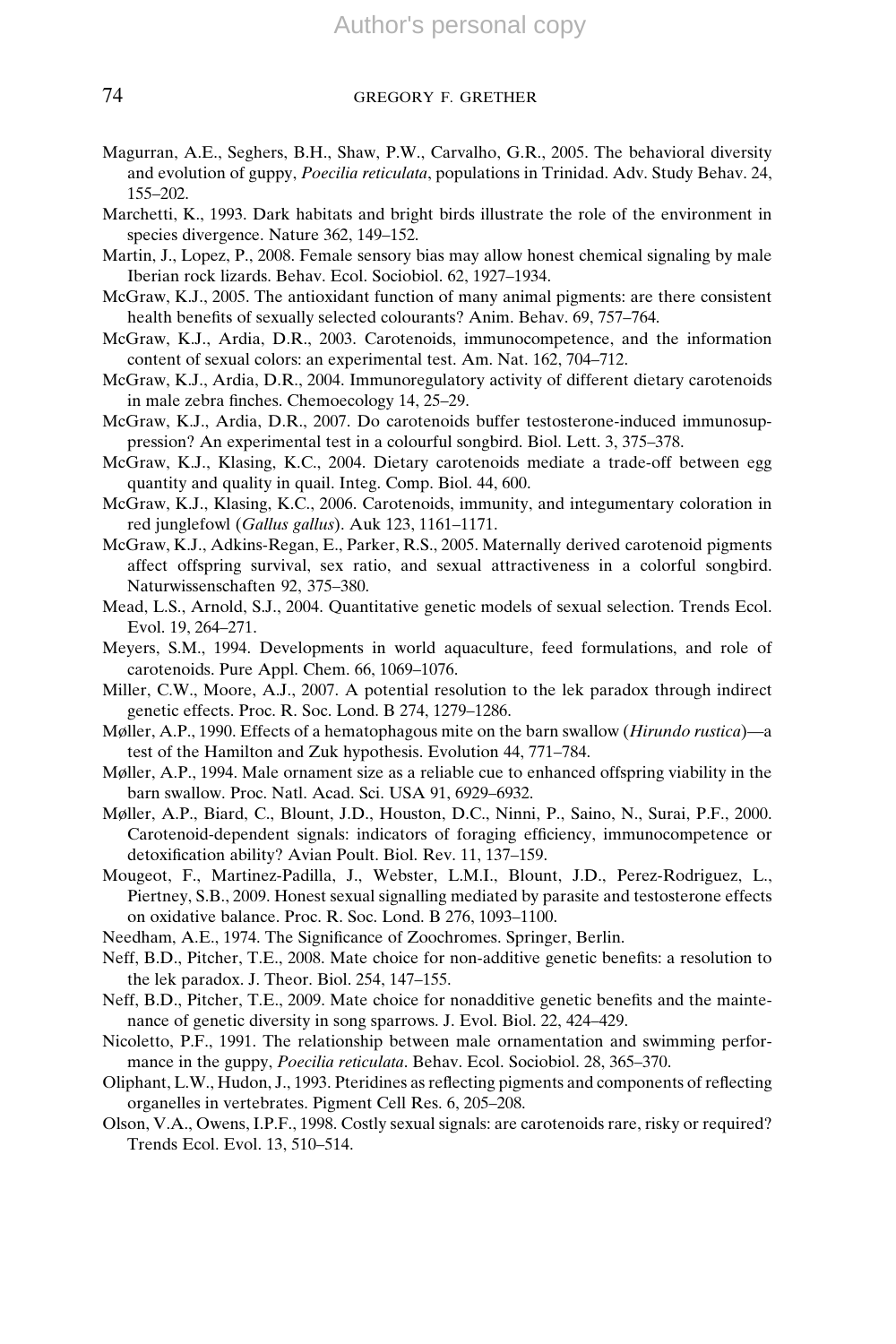- Magurran, A.E., Seghers, B.H., Shaw, P.W., Carvalho, G.R., 2005. The behavioral diversity and evolution of guppy, Poecilia reticulata, populations in Trinidad. Adv. Study Behav. 24, 155–202.
- Marchetti, K., 1993. Dark habitats and bright birds illustrate the role of the environment in species divergence. Nature 362, 149–152.
- Martin, J., Lopez, P., 2008. Female sensory bias may allow honest chemical signaling by male Iberian rock lizards. Behav. Ecol. Sociobiol. 62, 1927–1934.
- McGraw, K.J., 2005. The antioxidant function of many animal pigments: are there consistent health benefits of sexually selected colourants? Anim. Behav. 69, 757–764.
- McGraw, K.J., Ardia, D.R., 2003. Carotenoids, immunocompetence, and the information content of sexual colors: an experimental test. Am. Nat. 162, 704–712.
- McGraw, K.J., Ardia, D.R., 2004. Immunoregulatory activity of different dietary carotenoids in male zebra finches. Chemoecology 14, 25–29.
- McGraw, K.J., Ardia, D.R., 2007. Do carotenoids buffer testosterone-induced immunosuppression? An experimental test in a colourful songbird. Biol. Lett. 3, 375–378.
- McGraw, K.J., Klasing, K.C., 2004. Dietary carotenoids mediate a trade-off between egg quantity and quality in quail. Integ. Comp. Biol. 44, 600.
- McGraw, K.J., Klasing, K.C., 2006. Carotenoids, immunity, and integumentary coloration in red junglefowl (Gallus gallus). Auk 123, 1161–1171.
- McGraw, K.J., Adkins-Regan, E., Parker, R.S., 2005. Maternally derived carotenoid pigments affect offspring survival, sex ratio, and sexual attractiveness in a colorful songbird. Naturwissenschaften 92, 375–380.
- Mead, L.S., Arnold, S.J., 2004. Quantitative genetic models of sexual selection. Trends Ecol. Evol. 19, 264–271.
- Meyers, S.M., 1994. Developments in world aquaculture, feed formulations, and role of carotenoids. Pure Appl. Chem. 66, 1069–1076.
- Miller, C.W., Moore, A.J., 2007. A potential resolution to the lek paradox through indirect genetic effects. Proc. R. Soc. Lond. B 274, 1279–1286.
- Møller, A.P., 1990. Effects of a hematophagous mite on the barn swallow (Hirundo rustica)—a test of the Hamilton and Zuk hypothesis. Evolution 44, 771–784.
- Møller, A.P., 1994. Male ornament size as a reliable cue to enhanced offspring viability in the barn swallow. Proc. Natl. Acad. Sci. USA 91, 6929–6932.
- Møller, A.P., Biard, C., Blount, J.D., Houston, D.C., Ninni, P., Saino, N., Surai, P.F., 2000. Carotenoid-dependent signals: indicators of foraging efficiency, immunocompetence or detoxification ability? Avian Poult. Biol. Rev. 11, 137–159.
- Mougeot, F., Martinez-Padilla, J., Webster, L.M.I., Blount, J.D., Perez-Rodriguez, L., Piertney, S.B., 2009. Honest sexual signalling mediated by parasite and testosterone effects on oxidative balance. Proc. R. Soc. Lond. B 276, 1093–1100.

Needham, A.E., 1974. The Significance of Zoochromes. Springer, Berlin.

- Neff, B.D., Pitcher, T.E., 2008. Mate choice for non-additive genetic benefits: a resolution to the lek paradox. J. Theor. Biol. 254, 147–155.
- Neff, B.D., Pitcher, T.E., 2009. Mate choice for nonadditive genetic benefits and the maintenance of genetic diversity in song sparrows. J. Evol. Biol. 22, 424–429.
- Nicoletto, P.F., 1991. The relationship between male ornamentation and swimming performance in the guppy, Poecilia reticulata. Behav. Ecol. Sociobiol. 28, 365–370.
- Oliphant, L.W., Hudon, J., 1993. Pteridines as reflecting pigments and components of reflecting organelles in vertebrates. Pigment Cell Res. 6, 205–208.
- Olson, V.A., Owens, I.P.F., 1998. Costly sexual signals: are carotenoids rare, risky or required? Trends Ecol. Evol. 13, 510–514.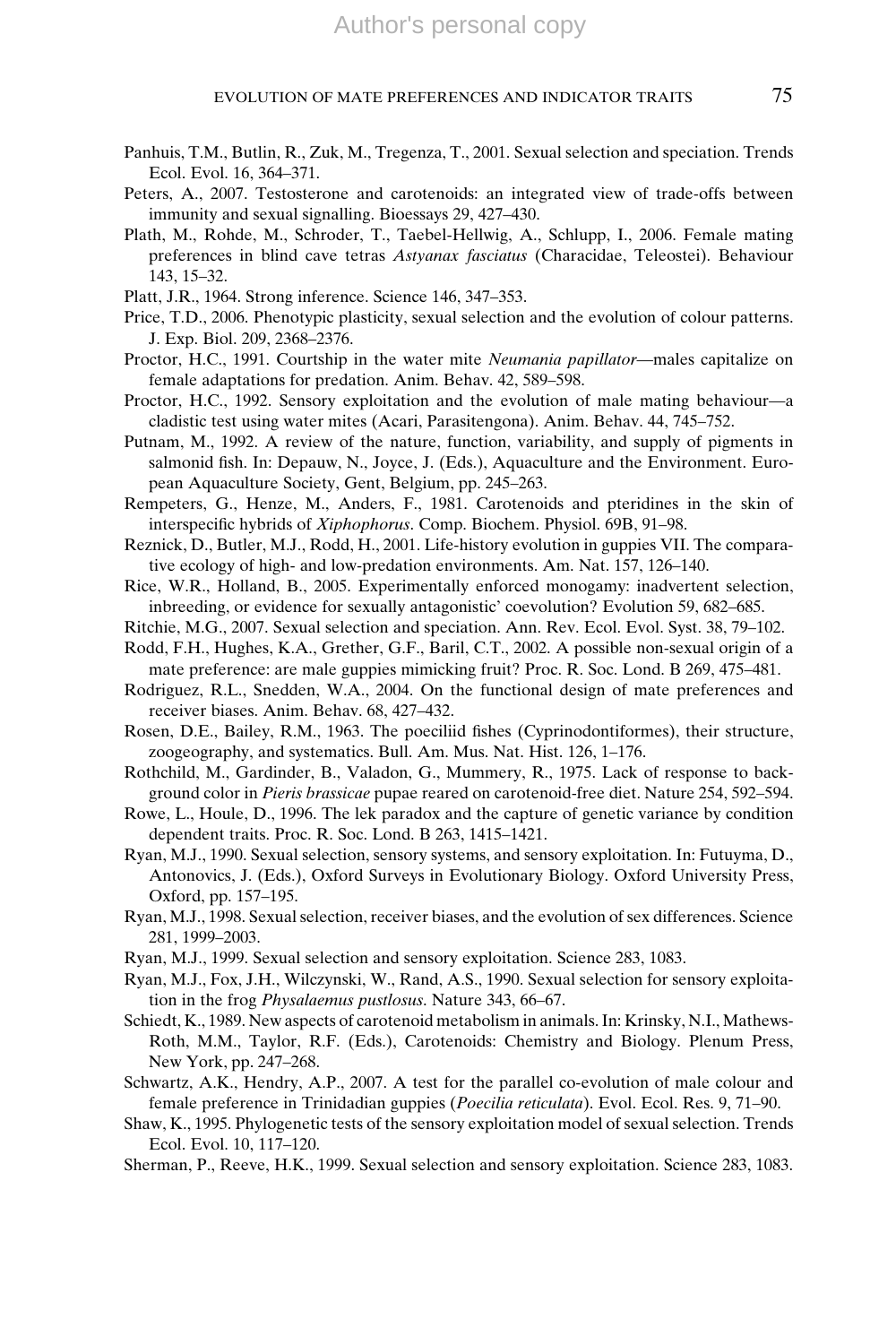- Panhuis, T.M., Butlin, R., Zuk, M., Tregenza, T., 2001. Sexual selection and speciation. Trends Ecol. Evol. 16, 364–371.
- Peters, A., 2007. Testosterone and carotenoids: an integrated view of trade-offs between immunity and sexual signalling. Bioessays 29, 427–430.
- Plath, M., Rohde, M., Schroder, T., Taebel-Hellwig, A., Schlupp, I., 2006. Female mating preferences in blind cave tetras Astyanax fasciatus (Characidae, Teleostei). Behaviour 143, 15–32.
- Platt, J.R., 1964. Strong inference. Science 146, 347–353.
- Price, T.D., 2006. Phenotypic plasticity, sexual selection and the evolution of colour patterns. J. Exp. Biol. 209, 2368–2376.
- Proctor, H.C., 1991. Courtship in the water mite Neumania papillator—males capitalize on female adaptations for predation. Anim. Behav. 42, 589–598.
- Proctor, H.C., 1992. Sensory exploitation and the evolution of male mating behaviour—a cladistic test using water mites (Acari, Parasitengona). Anim. Behav. 44, 745–752.
- Putnam, M., 1992. A review of the nature, function, variability, and supply of pigments in salmonid fish. In: Depauw, N., Joyce, J. (Eds.), Aquaculture and the Environment. European Aquaculture Society, Gent, Belgium, pp. 245–263.
- Rempeters, G., Henze, M., Anders, F., 1981. Carotenoids and pteridines in the skin of interspecific hybrids of Xiphophorus. Comp. Biochem. Physiol. 69B, 91–98.
- Reznick, D., Butler, M.J., Rodd, H., 2001. Life-history evolution in guppies VII. The comparative ecology of high- and low-predation environments. Am. Nat. 157, 126–140.
- Rice, W.R., Holland, B., 2005. Experimentally enforced monogamy: inadvertent selection, inbreeding, or evidence for sexually antagonistic' coevolution? Evolution 59, 682–685.
- Ritchie, M.G., 2007. Sexual selection and speciation. Ann. Rev. Ecol. Evol. Syst. 38, 79–102.
- Rodd, F.H., Hughes, K.A., Grether, G.F., Baril, C.T., 2002. A possible non-sexual origin of a mate preference: are male guppies mimicking fruit? Proc. R. Soc. Lond. B 269, 475–481.
- Rodriguez, R.L., Snedden, W.A., 2004. On the functional design of mate preferences and receiver biases. Anim. Behav. 68, 427–432.
- Rosen, D.E., Bailey, R.M., 1963. The poeciliid fishes (Cyprinodontiformes), their structure, zoogeography, and systematics. Bull. Am. Mus. Nat. Hist. 126, 1–176.
- Rothchild, M., Gardinder, B., Valadon, G., Mummery, R., 1975. Lack of response to background color in *Pieris brassicae* pupae reared on carotenoid-free diet. Nature 254, 592–594.
- Rowe, L., Houle, D., 1996. The lek paradox and the capture of genetic variance by condition dependent traits. Proc. R. Soc. Lond. B 263, 1415–1421.
- Ryan, M.J., 1990. Sexual selection, sensory systems, and sensory exploitation. In: Futuyma, D., Antonovics, J. (Eds.), Oxford Surveys in Evolutionary Biology. Oxford University Press, Oxford, pp. 157–195.
- Ryan, M.J., 1998. Sexual selection, receiver biases, and the evolution of sex differences. Science 281, 1999–2003.
- Ryan, M.J., 1999. Sexual selection and sensory exploitation. Science 283, 1083.
- Ryan, M.J., Fox, J.H., Wilczynski, W., Rand, A.S., 1990. Sexual selection for sensory exploitation in the frog Physalaemus pustlosus. Nature 343, 66-67.
- Schiedt, K., 1989. New aspects of carotenoid metabolism in animals. In: Krinsky, N.I., Mathews-Roth, M.M., Taylor, R.F. (Eds.), Carotenoids: Chemistry and Biology. Plenum Press, New York, pp. 247–268.
- Schwartz, A.K., Hendry, A.P., 2007. A test for the parallel co-evolution of male colour and female preference in Trinidadian guppies (Poecilia reticulata). Evol. Ecol. Res. 9, 71–90.
- Shaw, K., 1995. Phylogenetic tests of the sensory exploitation model of sexual selection. Trends Ecol. Evol. 10, 117–120.
- Sherman, P., Reeve, H.K., 1999. Sexual selection and sensory exploitation. Science 283, 1083.